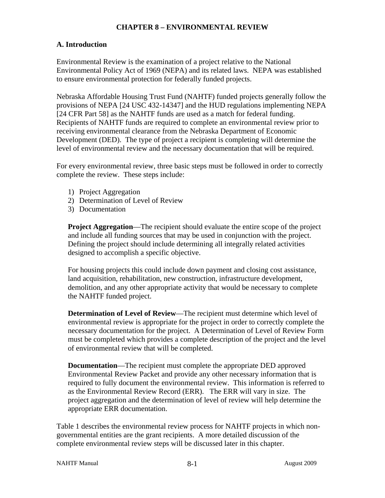#### **CHAPTER 8 – ENVIRONMENTAL REVIEW**

#### **A. Introduction**

Environmental Review is the examination of a project relative to the National Environmental Policy Act of 1969 (NEPA) and its related laws. NEPA was established to ensure environmental protection for federally funded projects.

Nebraska Affordable Housing Trust Fund (NAHTF) funded projects generally follow the provisions of NEPA [24 USC 432-14347] and the HUD regulations implementing NEPA [24 CFR Part 58] as the NAHTF funds are used as a match for federal funding. Recipients of NAHTF funds are required to complete an environmental review prior to receiving environmental clearance from the Nebraska Department of Economic Development (DED). The type of project a recipient is completing will determine the level of environmental review and the necessary documentation that will be required.

For every environmental review, three basic steps must be followed in order to correctly complete the review. These steps include:

- 1) Project Aggregation
- 2) Determination of Level of Review
- 3) Documentation

**Project Aggregation**—The recipient should evaluate the entire scope of the project and include all funding sources that may be used in conjunction with the project. Defining the project should include determining all integrally related activities designed to accomplish a specific objective.

For housing projects this could include down payment and closing cost assistance, land acquisition, rehabilitation, new construction, infrastructure development, demolition, and any other appropriate activity that would be necessary to complete the NAHTF funded project.

**Determination of Level of Review**—The recipient must determine which level of environmental review is appropriate for the project in order to correctly complete the necessary documentation for the project. A Determination of Level of Review Form must be completed which provides a complete description of the project and the level of environmental review that will be completed.

**Documentation**—The recipient must complete the appropriate DED approved Environmental Review Packet and provide any other necessary information that is required to fully document the environmental review. This information is referred to as the Environmental Review Record (ERR). The ERR will vary in size. The project aggregation and the determination of level of review will help determine the appropriate ERR documentation.

Table 1 describes the environmental review process for NAHTF projects in which nongovernmental entities are the grant recipients. A more detailed discussion of the complete environmental review steps will be discussed later in this chapter.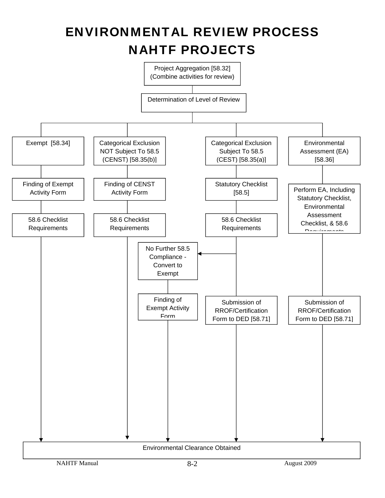# ENVIRONMENTAL REVIEW PROCESS NAHTF PROJECTS

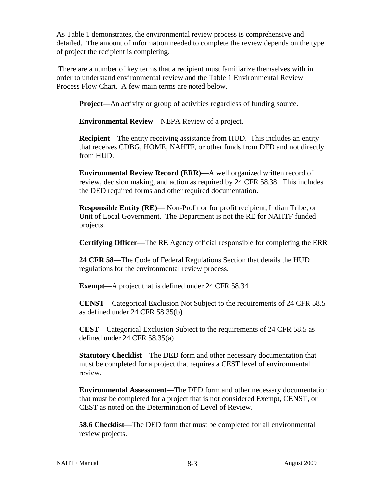As Table 1 demonstrates, the environmental review process is comprehensive and detailed. The amount of information needed to complete the review depends on the type of project the recipient is completing.

 There are a number of key terms that a recipient must familiarize themselves with in order to understand environmental review and the Table 1 Environmental Review Process Flow Chart. A few main terms are noted below.

**Project—An activity or group of activities regardless of funding source.** 

**Environmental Review**—NEPA Review of a project.

**Recipient**—The entity receiving assistance from HUD. This includes an entity that receives CDBG, HOME, NAHTF, or other funds from DED and not directly from HUD.

**Environmental Review Record (ERR)**—A well organized written record of review, decision making, and action as required by 24 CFR 58.38. This includes the DED required forms and other required documentation.

**Responsible Entity (RE)**— Non-Profit or for profit recipient, Indian Tribe, or Unit of Local Government. The Department is not the RE for NAHTF funded projects.

**Certifying Officer**—The RE Agency official responsible for completing the ERR

**24 CFR 58**—The Code of Federal Regulations Section that details the HUD regulations for the environmental review process.

**Exempt**—A project that is defined under 24 CFR 58.34

**CENST**—Categorical Exclusion Not Subject to the requirements of 24 CFR 58.5 as defined under 24 CFR 58.35(b)

**CEST**—Categorical Exclusion Subject to the requirements of 24 CFR 58.5 as defined under 24 CFR 58.35(a)

**Statutory Checklist**—The DED form and other necessary documentation that must be completed for a project that requires a CEST level of environmental review.

**Environmental Assessment**—The DED form and other necessary documentation that must be completed for a project that is not considered Exempt, CENST, or CEST as noted on the Determination of Level of Review.

**58.6 Checklist**—The DED form that must be completed for all environmental review projects.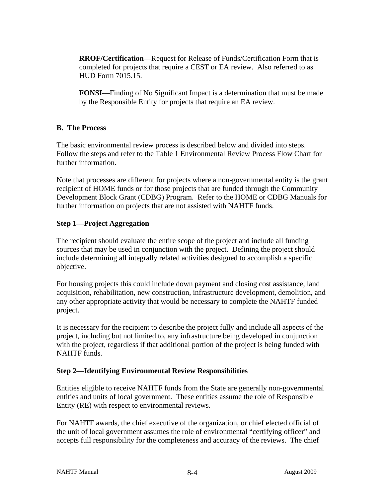**RROF/Certification**—Request for Release of Funds/Certification Form that is completed for projects that require a CEST or EA review. Also referred to as HUD Form 7015.15.

**FONSI**—Finding of No Significant Impact is a determination that must be made by the Responsible Entity for projects that require an EA review.

#### **B. The Process**

The basic environmental review process is described below and divided into steps. Follow the steps and refer to the Table 1 Environmental Review Process Flow Chart for further information.

Note that processes are different for projects where a non-governmental entity is the grant recipient of HOME funds or for those projects that are funded through the Community Development Block Grant (CDBG) Program. Refer to the HOME or CDBG Manuals for further information on projects that are not assisted with NAHTF funds.

#### **Step 1—Project Aggregation**

The recipient should evaluate the entire scope of the project and include all funding sources that may be used in conjunction with the project. Defining the project should include determining all integrally related activities designed to accomplish a specific objective.

For housing projects this could include down payment and closing cost assistance, land acquisition, rehabilitation, new construction, infrastructure development, demolition, and any other appropriate activity that would be necessary to complete the NAHTF funded project.

It is necessary for the recipient to describe the project fully and include all aspects of the project, including but not limited to, any infrastructure being developed in conjunction with the project, regardless if that additional portion of the project is being funded with NAHTF funds.

#### **Step 2—Identifying Environmental Review Responsibilities**

Entities eligible to receive NAHTF funds from the State are generally non-governmental entities and units of local government. These entities assume the role of Responsible Entity (RE) with respect to environmental reviews.

For NAHTF awards, the chief executive of the organization, or chief elected official of the unit of local government assumes the role of environmental "certifying officer" and accepts full responsibility for the completeness and accuracy of the reviews. The chief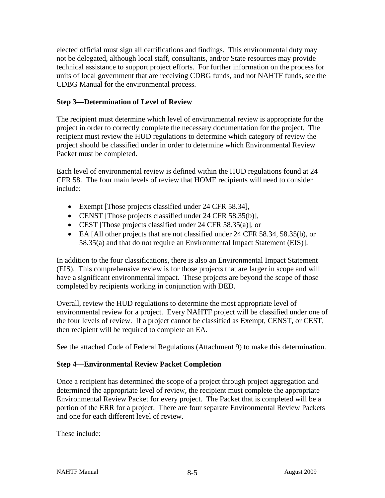elected official must sign all certifications and findings. This environmental duty may not be delegated, although local staff, consultants, and/or State resources may provide technical assistance to support project efforts. For further information on the process for units of local government that are receiving CDBG funds, and not NAHTF funds, see the CDBG Manual for the environmental process.

#### **Step 3—Determination of Level of Review**

The recipient must determine which level of environmental review is appropriate for the project in order to correctly complete the necessary documentation for the project. The recipient must review the HUD regulations to determine which category of review the project should be classified under in order to determine which Environmental Review Packet must be completed.

Each level of environmental review is defined within the HUD regulations found at 24 CFR 58. The four main levels of review that HOME recipients will need to consider include:

- Exempt [Those projects classified under 24 CFR 58.34],
- CENST [Those projects classified under 24 CFR 58.35(b)],
- CEST [Those projects classified under 24 CFR 58.35(a)], or
- EA [All other projects that are not classified under 24 CFR 58.34, 58.35(b), or 58.35(a) and that do not require an Environmental Impact Statement (EIS)].

In addition to the four classifications, there is also an Environmental Impact Statement (EIS). This comprehensive review is for those projects that are larger in scope and will have a significant environmental impact. These projects are beyond the scope of those completed by recipients working in conjunction with DED.

Overall, review the HUD regulations to determine the most appropriate level of environmental review for a project. Every NAHTF project will be classified under one of the four levels of review. If a project cannot be classified as Exempt, CENST, or CEST, then recipient will be required to complete an EA.

See the attached Code of Federal Regulations (Attachment 9) to make this determination.

#### **Step 4—Environmental Review Packet Completion**

Once a recipient has determined the scope of a project through project aggregation and determined the appropriate level of review, the recipient must complete the appropriate Environmental Review Packet for every project. The Packet that is completed will be a portion of the ERR for a project. There are four separate Environmental Review Packets and one for each different level of review.

These include: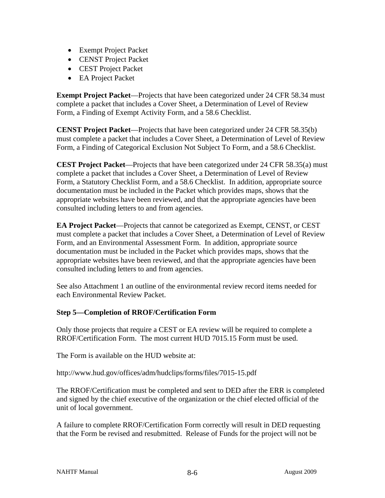- Exempt Project Packet
- CENST Project Packet
- CEST Project Packet
- EA Project Packet

**Exempt Project Packet—Projects that have been categorized under 24 CFR 58.34 must** complete a packet that includes a Cover Sheet, a Determination of Level of Review Form, a Finding of Exempt Activity Form, and a 58.6 Checklist.

**CENST Project Packet**—Projects that have been categorized under 24 CFR 58.35(b) must complete a packet that includes a Cover Sheet, a Determination of Level of Review Form, a Finding of Categorical Exclusion Not Subject To Form, and a 58.6 Checklist.

**CEST Project Packet**—Projects that have been categorized under 24 CFR 58.35(a) must complete a packet that includes a Cover Sheet, a Determination of Level of Review Form, a Statutory Checklist Form, and a 58.6 Checklist. In addition, appropriate source documentation must be included in the Packet which provides maps, shows that the appropriate websites have been reviewed, and that the appropriate agencies have been consulted including letters to and from agencies.

**EA Project Packet**—Projects that cannot be categorized as Exempt, CENST, or CEST must complete a packet that includes a Cover Sheet, a Determination of Level of Review Form, and an Environmental Assessment Form. In addition, appropriate source documentation must be included in the Packet which provides maps, shows that the appropriate websites have been reviewed, and that the appropriate agencies have been consulted including letters to and from agencies.

See also Attachment 1 an outline of the environmental review record items needed for each Environmental Review Packet.

#### **Step 5—Completion of RROF/Certification Form**

Only those projects that require a CEST or EA review will be required to complete a RROF/Certification Form. The most current HUD 7015.15 Form must be used.

The Form is available on the HUD website at:

http://www.hud.gov/offices/adm/hudclips/forms/files/7015-15.pdf

The RROF/Certification must be completed and sent to DED after the ERR is completed and signed by the chief executive of the organization or the chief elected official of the unit of local government.

A failure to complete RROF/Certification Form correctly will result in DED requesting that the Form be revised and resubmitted. Release of Funds for the project will not be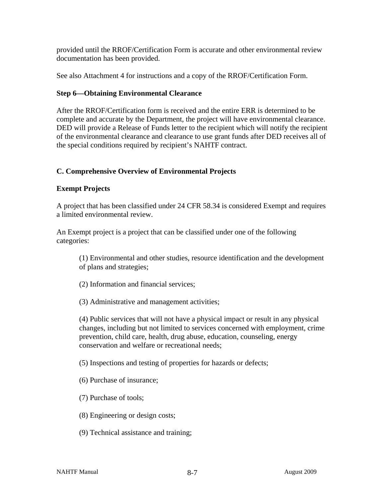provided until the RROF/Certification Form is accurate and other environmental review documentation has been provided.

See also Attachment 4 for instructions and a copy of the RROF/Certification Form.

#### **Step 6—Obtaining Environmental Clearance**

After the RROF/Certification form is received and the entire ERR is determined to be complete and accurate by the Department, the project will have environmental clearance. DED will provide a Release of Funds letter to the recipient which will notify the recipient of the environmental clearance and clearance to use grant funds after DED receives all of the special conditions required by recipient's NAHTF contract.

#### **C. Comprehensive Overview of Environmental Projects**

#### **Exempt Projects**

A project that has been classified under 24 CFR 58.34 is considered Exempt and requires a limited environmental review.

An Exempt project is a project that can be classified under one of the following categories:

(1) Environmental and other studies, resource identification and the development of plans and strategies;

(2) Information and financial services;

(3) Administrative and management activities;

(4) Public services that will not have a physical impact or result in any physical changes, including but not limited to services concerned with employment, crime prevention, child care, health, drug abuse, education, counseling, energy conservation and welfare or recreational needs;

(5) Inspections and testing of properties for hazards or defects;

(6) Purchase of insurance;

- (7) Purchase of tools;
- (8) Engineering or design costs;
- (9) Technical assistance and training;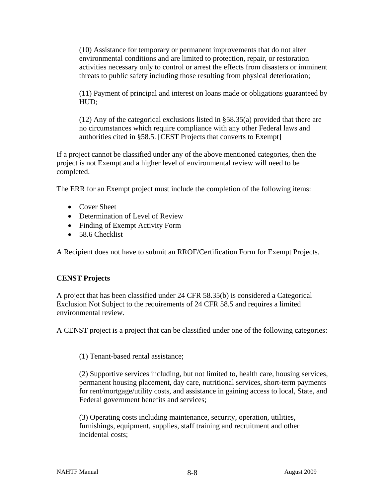(10) Assistance for temporary or permanent improvements that do not alter environmental conditions and are limited to protection, repair, or restoration activities necessary only to control or arrest the effects from disasters or imminent threats to public safety including those resulting from physical deterioration;

(11) Payment of principal and interest on loans made or obligations guaranteed by HUD;

(12) Any of the categorical exclusions listed in §58.35(a) provided that there are no circumstances which require compliance with any other Federal laws and authorities cited in §58.5. [CEST Projects that converts to Exempt]

If a project cannot be classified under any of the above mentioned categories, then the project is not Exempt and a higher level of environmental review will need to be completed.

The ERR for an Exempt project must include the completion of the following items:

- Cover Sheet
- Determination of Level of Review
- Finding of Exempt Activity Form
- 58.6 Checklist

A Recipient does not have to submit an RROF/Certification Form for Exempt Projects.

#### **CENST Projects**

A project that has been classified under 24 CFR 58.35(b) is considered a Categorical Exclusion Not Subject to the requirements of 24 CFR 58.5 and requires a limited environmental review.

A CENST project is a project that can be classified under one of the following categories:

(1) Tenant-based rental assistance;

(2) Supportive services including, but not limited to, health care, housing services, permanent housing placement, day care, nutritional services, short-term payments for rent/mortgage/utility costs, and assistance in gaining access to local, State, and Federal government benefits and services;

(3) Operating costs including maintenance, security, operation, utilities, furnishings, equipment, supplies, staff training and recruitment and other incidental costs;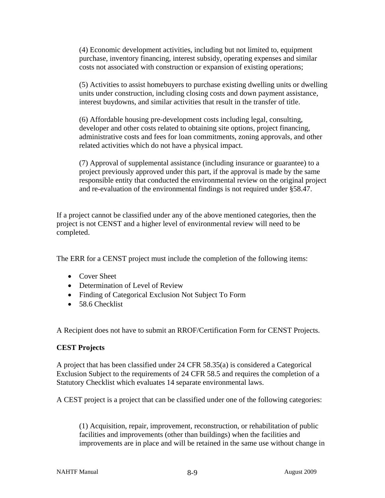(4) Economic development activities, including but not limited to, equipment purchase, inventory financing, interest subsidy, operating expenses and similar costs not associated with construction or expansion of existing operations;

(5) Activities to assist homebuyers to purchase existing dwelling units or dwelling units under construction, including closing costs and down payment assistance, interest buydowns, and similar activities that result in the transfer of title.

(6) Affordable housing pre-development costs including legal, consulting, developer and other costs related to obtaining site options, project financing, administrative costs and fees for loan commitments, zoning approvals, and other related activities which do not have a physical impact.

(7) Approval of supplemental assistance (including insurance or guarantee) to a project previously approved under this part, if the approval is made by the same responsible entity that conducted the environmental review on the original project and re-evaluation of the environmental findings is not required under §58.47.

If a project cannot be classified under any of the above mentioned categories, then the project is not CENST and a higher level of environmental review will need to be completed.

The ERR for a CENST project must include the completion of the following items:

- Cover Sheet
- Determination of Level of Review
- Finding of Categorical Exclusion Not Subject To Form
- 58.6 Checklist

A Recipient does not have to submit an RROF/Certification Form for CENST Projects.

#### **CEST Projects**

A project that has been classified under 24 CFR 58.35(a) is considered a Categorical Exclusion Subject to the requirements of 24 CFR 58.5 and requires the completion of a Statutory Checklist which evaluates 14 separate environmental laws.

A CEST project is a project that can be classified under one of the following categories:

(1) Acquisition, repair, improvement, reconstruction, or rehabilitation of public facilities and improvements (other than buildings) when the facilities and improvements are in place and will be retained in the same use without change in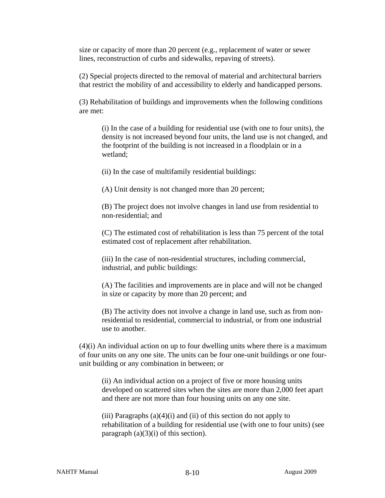size or capacity of more than 20 percent (e.g., replacement of water or sewer lines, reconstruction of curbs and sidewalks, repaving of streets).

(2) Special projects directed to the removal of material and architectural barriers that restrict the mobility of and accessibility to elderly and handicapped persons.

(3) Rehabilitation of buildings and improvements when the following conditions are met:

(i) In the case of a building for residential use (with one to four units), the density is not increased beyond four units, the land use is not changed, and the footprint of the building is not increased in a floodplain or in a wetland;

(ii) In the case of multifamily residential buildings:

(A) Unit density is not changed more than 20 percent;

(B) The project does not involve changes in land use from residential to non-residential; and

(C) The estimated cost of rehabilitation is less than 75 percent of the total estimated cost of replacement after rehabilitation.

(iii) In the case of non-residential structures, including commercial, industrial, and public buildings:

(A) The facilities and improvements are in place and will not be changed in size or capacity by more than 20 percent; and

(B) The activity does not involve a change in land use, such as from nonresidential to residential, commercial to industrial, or from one industrial use to another.

(4)(i) An individual action on up to four dwelling units where there is a maximum of four units on any one site. The units can be four one-unit buildings or one fourunit building or any combination in between; or

(ii) An individual action on a project of five or more housing units developed on scattered sites when the sites are more than 2,000 feet apart and there are not more than four housing units on any one site.

(iii) Paragraphs  $(a)(4)(i)$  and (ii) of this section do not apply to rehabilitation of a building for residential use (with one to four units) (see paragraph  $(a)(3)(i)$  of this section).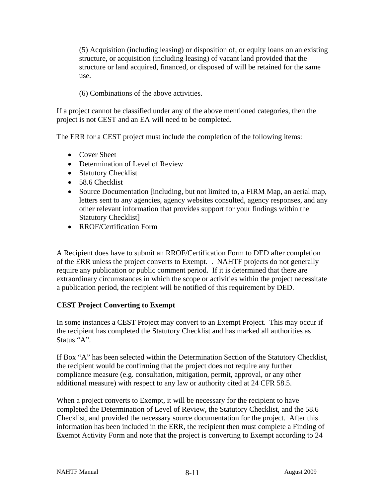(5) Acquisition (including leasing) or disposition of, or equity loans on an existing structure, or acquisition (including leasing) of vacant land provided that the structure or land acquired, financed, or disposed of will be retained for the same use.

(6) Combinations of the above activities.

If a project cannot be classified under any of the above mentioned categories, then the project is not CEST and an EA will need to be completed.

The ERR for a CEST project must include the completion of the following items:

- Cover Sheet
- Determination of Level of Review
- Statutory Checklist
- 58.6 Checklist
- Source Documentation [including, but not limited to, a FIRM Map, an aerial map, letters sent to any agencies, agency websites consulted, agency responses, and any other relevant information that provides support for your findings within the Statutory Checklist]
- RROF/Certification Form

A Recipient does have to submit an RROF/Certification Form to DED after completion of the ERR unless the project converts to Exempt. . NAHTF projects do not generally require any publication or public comment period. If it is determined that there are extraordinary circumstances in which the scope or activities within the project necessitate a publication period, the recipient will be notified of this requirement by DED.

#### **CEST Project Converting to Exempt**

In some instances a CEST Project may convert to an Exempt Project. This may occur if the recipient has completed the Statutory Checklist and has marked all authorities as Status "A".

If Box "A" has been selected within the Determination Section of the Statutory Checklist, the recipient would be confirming that the project does not require any further compliance measure (e.g. consultation, mitigation, permit, approval, or any other additional measure) with respect to any law or authority cited at 24 CFR 58.5.

When a project converts to Exempt, it will be necessary for the recipient to have completed the Determination of Level of Review, the Statutory Checklist, and the 58.6 Checklist, and provided the necessary source documentation for the project. After this information has been included in the ERR, the recipient then must complete a Finding of Exempt Activity Form and note that the project is converting to Exempt according to 24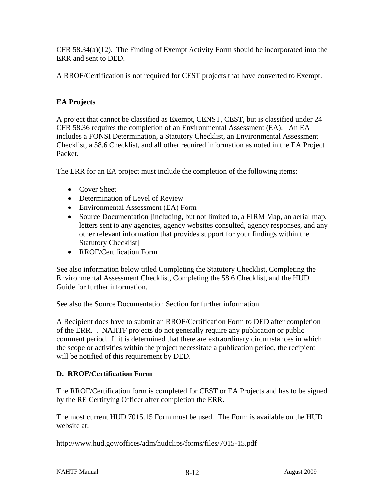CFR 58.34(a)(12). The Finding of Exempt Activity Form should be incorporated into the ERR and sent to DED.

A RROF/Certification is not required for CEST projects that have converted to Exempt.

#### **EA Projects**

A project that cannot be classified as Exempt, CENST, CEST, but is classified under 24 CFR 58.36 requires the completion of an Environmental Assessment (EA). An EA includes a FONSI Determination, a Statutory Checklist, an Environmental Assessment Checklist, a 58.6 Checklist, and all other required information as noted in the EA Project Packet.

The ERR for an EA project must include the completion of the following items:

- Cover Sheet
- Determination of Level of Review
- Environmental Assessment (EA) Form
- Source Documentation [including, but not limited to, a FIRM Map, an aerial map, letters sent to any agencies, agency websites consulted, agency responses, and any other relevant information that provides support for your findings within the Statutory Checklist]
- RROF/Certification Form

See also information below titled Completing the Statutory Checklist, Completing the Environmental Assessment Checklist, Completing the 58.6 Checklist, and the HUD Guide for further information.

See also the Source Documentation Section for further information.

A Recipient does have to submit an RROF/Certification Form to DED after completion of the ERR. . NAHTF projects do not generally require any publication or public comment period. If it is determined that there are extraordinary circumstances in which the scope or activities within the project necessitate a publication period, the recipient will be notified of this requirement by DED.

#### **D. RROF/Certification Form**

The RROF/Certification form is completed for CEST or EA Projects and has to be signed by the RE Certifying Officer after completion the ERR.

The most current HUD 7015.15 Form must be used. The Form is available on the HUD website at:

http://www.hud.gov/offices/adm/hudclips/forms/files/7015-15.pdf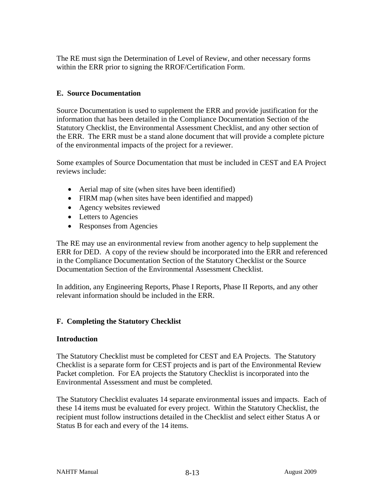The RE must sign the Determination of Level of Review, and other necessary forms within the ERR prior to signing the RROF/Certification Form.

#### **E. Source Documentation**

Source Documentation is used to supplement the ERR and provide justification for the information that has been detailed in the Compliance Documentation Section of the Statutory Checklist, the Environmental Assessment Checklist, and any other section of the ERR. The ERR must be a stand alone document that will provide a complete picture of the environmental impacts of the project for a reviewer.

Some examples of Source Documentation that must be included in CEST and EA Project reviews include:

- Aerial map of site (when sites have been identified)
- FIRM map (when sites have been identified and mapped)
- Agency websites reviewed
- Letters to Agencies
- Responses from Agencies

The RE may use an environmental review from another agency to help supplement the ERR for DED. A copy of the review should be incorporated into the ERR and referenced in the Compliance Documentation Section of the Statutory Checklist or the Source Documentation Section of the Environmental Assessment Checklist.

In addition, any Engineering Reports, Phase I Reports, Phase II Reports, and any other relevant information should be included in the ERR.

#### **F. Completing the Statutory Checklist**

#### **Introduction**

The Statutory Checklist must be completed for CEST and EA Projects. The Statutory Checklist is a separate form for CEST projects and is part of the Environmental Review Packet completion. For EA projects the Statutory Checklist is incorporated into the Environmental Assessment and must be completed.

The Statutory Checklist evaluates 14 separate environmental issues and impacts. Each of these 14 items must be evaluated for every project. Within the Statutory Checklist, the recipient must follow instructions detailed in the Checklist and select either Status A or Status B for each and every of the 14 items.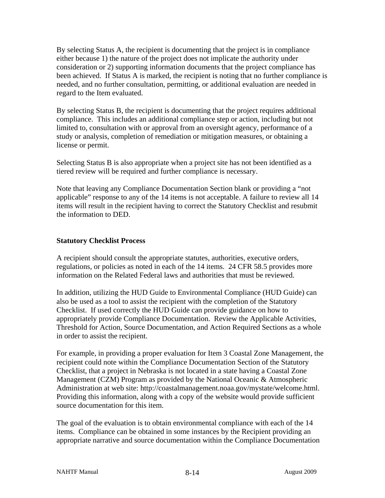By selecting Status A, the recipient is documenting that the project is in compliance either because 1) the nature of the project does not implicate the authority under consideration or 2) supporting information documents that the project compliance has been achieved. If Status A is marked, the recipient is noting that no further compliance is needed, and no further consultation, permitting, or additional evaluation are needed in regard to the Item evaluated.

By selecting Status B, the recipient is documenting that the project requires additional compliance. This includes an additional compliance step or action, including but not limited to, consultation with or approval from an oversight agency, performance of a study or analysis, completion of remediation or mitigation measures, or obtaining a license or permit.

Selecting Status B is also appropriate when a project site has not been identified as a tiered review will be required and further compliance is necessary.

Note that leaving any Compliance Documentation Section blank or providing a "not applicable" response to any of the 14 items is not acceptable. A failure to review all 14 items will result in the recipient having to correct the Statutory Checklist and resubmit the information to DED.

#### **Statutory Checklist Process**

A recipient should consult the appropriate statutes, authorities, executive orders, regulations, or policies as noted in each of the 14 items. 24 CFR 58.5 provides more information on the Related Federal laws and authorities that must be reviewed.

In addition, utilizing the HUD Guide to Environmental Compliance (HUD Guide) can also be used as a tool to assist the recipient with the completion of the Statutory Checklist. If used correctly the HUD Guide can provide guidance on how to appropriately provide Compliance Documentation. Review the Applicable Activities, Threshold for Action, Source Documentation, and Action Required Sections as a whole in order to assist the recipient.

For example, in providing a proper evaluation for Item 3 Coastal Zone Management, the recipient could note within the Compliance Documentation Section of the Statutory Checklist, that a project in Nebraska is not located in a state having a Coastal Zone Management (CZM) Program as provided by the National Oceanic & Atmospheric Administration at web site: http://coastalmanagement.noaa.gov/mystate/welcome.html. Providing this information, along with a copy of the website would provide sufficient source documentation for this item.

The goal of the evaluation is to obtain environmental compliance with each of the 14 items. Compliance can be obtained in some instances by the Recipient providing an appropriate narrative and source documentation within the Compliance Documentation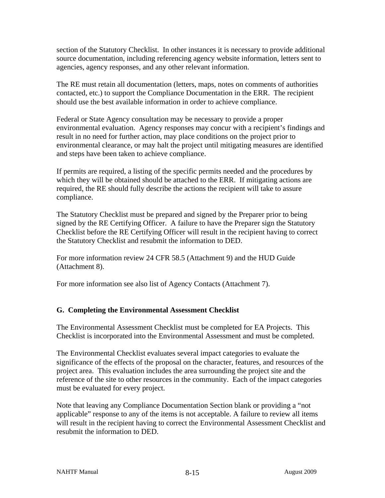section of the Statutory Checklist. In other instances it is necessary to provide additional source documentation, including referencing agency website information, letters sent to agencies, agency responses, and any other relevant information.

The RE must retain all documentation (letters, maps, notes on comments of authorities contacted, etc.) to support the Compliance Documentation in the ERR. The recipient should use the best available information in order to achieve compliance.

Federal or State Agency consultation may be necessary to provide a proper environmental evaluation. Agency responses may concur with a recipient's findings and result in no need for further action, may place conditions on the project prior to environmental clearance, or may halt the project until mitigating measures are identified and steps have been taken to achieve compliance.

If permits are required, a listing of the specific permits needed and the procedures by which they will be obtained should be attached to the ERR. If mitigating actions are required, the RE should fully describe the actions the recipient will take to assure compliance.

The Statutory Checklist must be prepared and signed by the Preparer prior to being signed by the RE Certifying Officer. A failure to have the Preparer sign the Statutory Checklist before the RE Certifying Officer will result in the recipient having to correct the Statutory Checklist and resubmit the information to DED.

For more information review 24 CFR 58.5 (Attachment 9) and the HUD Guide (Attachment 8).

For more information see also list of Agency Contacts (Attachment 7).

#### **G. Completing the Environmental Assessment Checklist**

The Environmental Assessment Checklist must be completed for EA Projects. This Checklist is incorporated into the Environmental Assessment and must be completed.

The Environmental Checklist evaluates several impact categories to evaluate the significance of the effects of the proposal on the character, features, and resources of the project area. This evaluation includes the area surrounding the project site and the reference of the site to other resources in the community. Each of the impact categories must be evaluated for every project.

Note that leaving any Compliance Documentation Section blank or providing a "not applicable" response to any of the items is not acceptable. A failure to review all items will result in the recipient having to correct the Environmental Assessment Checklist and resubmit the information to DED.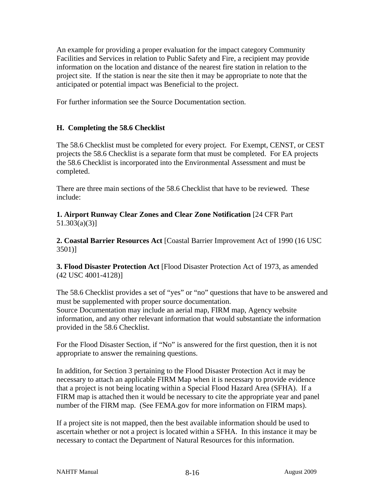An example for providing a proper evaluation for the impact category Community Facilities and Services in relation to Public Safety and Fire, a recipient may provide information on the location and distance of the nearest fire station in relation to the project site. If the station is near the site then it may be appropriate to note that the anticipated or potential impact was Beneficial to the project.

For further information see the Source Documentation section.

#### **H. Completing the 58.6 Checklist**

The 58.6 Checklist must be completed for every project. For Exempt, CENST, or CEST projects the 58.6 Checklist is a separate form that must be completed. For EA projects the 58.6 Checklist is incorporated into the Environmental Assessment and must be completed.

There are three main sections of the 58.6 Checklist that have to be reviewed. These include:

**1. Airport Runway Clear Zones and Clear Zone Notification** [24 CFR Part 51.303(a)(3)]

**2. Coastal Barrier Resources Act** [Coastal Barrier Improvement Act of 1990 (16 USC 3501)]

**3. Flood Disaster Protection Act** [Flood Disaster Protection Act of 1973, as amended (42 USC 4001-4128)]

The 58.6 Checklist provides a set of "yes" or "no" questions that have to be answered and must be supplemented with proper source documentation.

Source Documentation may include an aerial map, FIRM map, Agency website information, and any other relevant information that would substantiate the information provided in the 58.6 Checklist.

For the Flood Disaster Section, if "No" is answered for the first question, then it is not appropriate to answer the remaining questions.

In addition, for Section 3 pertaining to the Flood Disaster Protection Act it may be necessary to attach an applicable FIRM Map when it is necessary to provide evidence that a project is not being locating within a Special Flood Hazard Area (SFHA). If a FIRM map is attached then it would be necessary to cite the appropriate year and panel number of the FIRM map. (See FEMA.gov for more information on FIRM maps).

If a project site is not mapped, then the best available information should be used to ascertain whether or not a project is located within a SFHA. In this instance it may be necessary to contact the Department of Natural Resources for this information.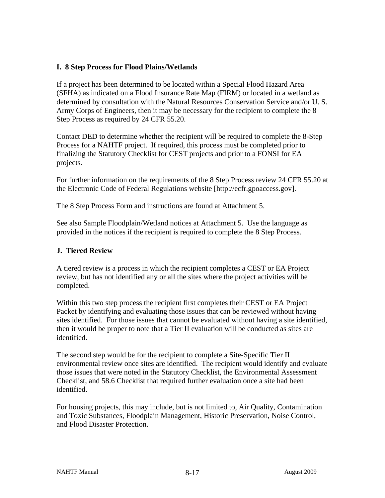#### **I. 8 Step Process for Flood Plains/Wetlands**

If a project has been determined to be located within a Special Flood Hazard Area (SFHA) as indicated on a Flood Insurance Rate Map (FIRM) or located in a wetland as determined by consultation with the Natural Resources Conservation Service and/or U. S. Army Corps of Engineers, then it may be necessary for the recipient to complete the 8 Step Process as required by 24 CFR 55.20.

Contact DED to determine whether the recipient will be required to complete the 8-Step Process for a NAHTF project. If required, this process must be completed prior to finalizing the Statutory Checklist for CEST projects and prior to a FONSI for EA projects.

For further information on the requirements of the 8 Step Process review 24 CFR 55.20 at the Electronic Code of Federal Regulations website [http://ecfr.gpoaccess.gov].

The 8 Step Process Form and instructions are found at Attachment 5.

See also Sample Floodplain/Wetland notices at Attachment 5. Use the language as provided in the notices if the recipient is required to complete the 8 Step Process.

#### **J. Tiered Review**

A tiered review is a process in which the recipient completes a CEST or EA Project review, but has not identified any or all the sites where the project activities will be completed.

Within this two step process the recipient first completes their CEST or EA Project Packet by identifying and evaluating those issues that can be reviewed without having sites identified. For those issues that cannot be evaluated without having a site identified, then it would be proper to note that a Tier II evaluation will be conducted as sites are identified.

The second step would be for the recipient to complete a Site-Specific Tier II environmental review once sites are identified. The recipient would identify and evaluate those issues that were noted in the Statutory Checklist, the Environmental Assessment Checklist, and 58.6 Checklist that required further evaluation once a site had been identified.

For housing projects, this may include, but is not limited to, Air Quality, Contamination and Toxic Substances, Floodplain Management, Historic Preservation, Noise Control, and Flood Disaster Protection.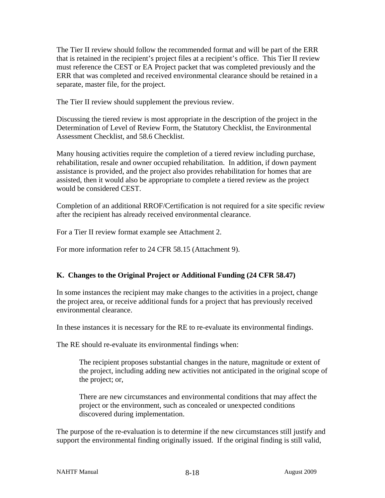The Tier II review should follow the recommended format and will be part of the ERR that is retained in the recipient's project files at a recipient's office. This Tier II review must reference the CEST or EA Project packet that was completed previously and the ERR that was completed and received environmental clearance should be retained in a separate, master file, for the project.

The Tier II review should supplement the previous review.

Discussing the tiered review is most appropriate in the description of the project in the Determination of Level of Review Form, the Statutory Checklist, the Environmental Assessment Checklist, and 58.6 Checklist.

Many housing activities require the completion of a tiered review including purchase, rehabilitation, resale and owner occupied rehabilitation. In addition, if down payment assistance is provided, and the project also provides rehabilitation for homes that are assisted, then it would also be appropriate to complete a tiered review as the project would be considered CEST.

Completion of an additional RROF/Certification is not required for a site specific review after the recipient has already received environmental clearance.

For a Tier II review format example see Attachment 2.

For more information refer to 24 CFR 58.15 (Attachment 9).

#### **K. Changes to the Original Project or Additional Funding (24 CFR 58.47)**

In some instances the recipient may make changes to the activities in a project, change the project area, or receive additional funds for a project that has previously received environmental clearance.

In these instances it is necessary for the RE to re-evaluate its environmental findings.

The RE should re-evaluate its environmental findings when:

The recipient proposes substantial changes in the nature, magnitude or extent of the project, including adding new activities not anticipated in the original scope of the project; or,

There are new circumstances and environmental conditions that may affect the project or the environment, such as concealed or unexpected conditions discovered during implementation.

The purpose of the re-evaluation is to determine if the new circumstances still justify and support the environmental finding originally issued. If the original finding is still valid,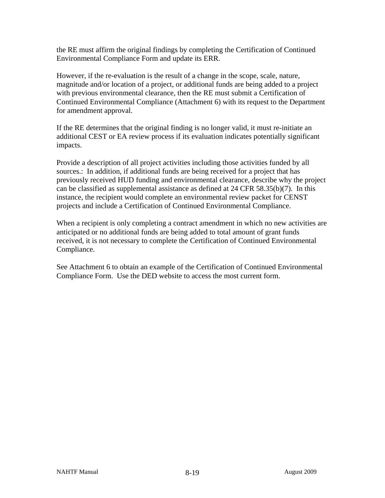the RE must affirm the original findings by completing the Certification of Continued Environmental Compliance Form and update its ERR.

However, if the re-evaluation is the result of a change in the scope, scale, nature, magnitude and/or location of a project, or additional funds are being added to a project with previous environmental clearance, then the RE must submit a Certification of Continued Environmental Compliance (Attachment 6) with its request to the Department for amendment approval.

If the RE determines that the original finding is no longer valid, it must re-initiate an additional CEST or EA review process if its evaluation indicates potentially significant impacts.

Provide a description of all project activities including those activities funded by all sources.: In addition, if additional funds are being received for a project that has previously received HUD funding and environmental clearance, describe why the project can be classified as supplemental assistance as defined at 24 CFR 58.35(b)(7). In this instance, the recipient would complete an environmental review packet for CENST projects and include a Certification of Continued Environmental Compliance.

When a recipient is only completing a contract amendment in which no new activities are anticipated or no additional funds are being added to total amount of grant funds received, it is not necessary to complete the Certification of Continued Environmental Compliance.

See Attachment 6 to obtain an example of the Certification of Continued Environmental Compliance Form. Use the DED website to access the most current form.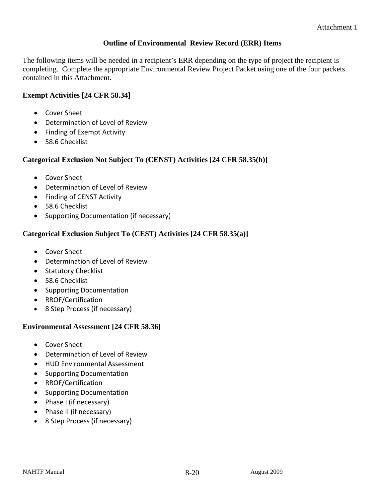#### **Outline of Environmental Review Record (ERR) Items**

The following items will be needed in a recipient's ERR depending on the type of project the recipient is completing. Complete the appropriate Environmental Review Project Packet using one of the four packets contained in this Attachment.

#### **Exempt Activities [24 CFR 58.34]**

- Cover Sheet
- Determination of Level of Review
- Finding of Exempt Activity
- 58.6 Checklist

#### **Categorical Exclusion Not Subject To (CENST) Activities [24 CFR 58.35(b)]**

- Cover Sheet
- Determination of Level of Review
- Finding of CENST Activity
- 58.6 Checklist
- Supporting Documentation (if necessary)

#### **Categorical Exclusion Subject To (CEST) Activities [24 CFR 58.35(a)]**

- Cover Sheet
- Determination of Level of Review
- Statutory Checklist
- 58.6 Checklist
- Supporting Documentation
- RROF/Certification
- 8 Step Process (if necessary)

#### **Environmental Assessment [24 CFR 58.36]**

- Cover Sheet
- Determination of Level of Review
- HUD Environmental Assessment
- Supporting Documentation
- RROF/Certification
- Supporting Documentation
- Phase I (if necessary)
- Phase II (if necessary)
- 8 Step Process (if necessary)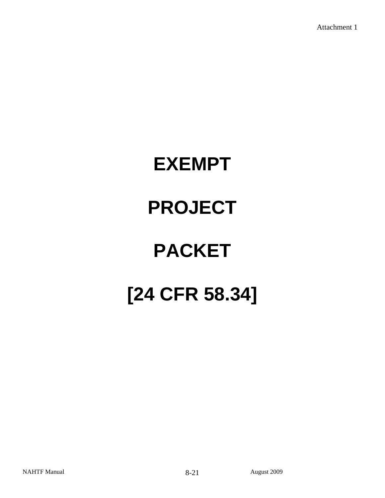# **EXEMPT PROJECT PACKET [24 CFR 58.34]**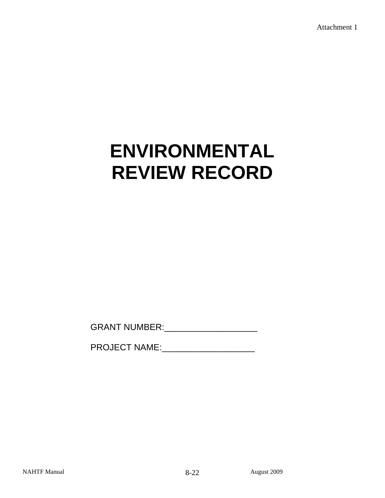# **ENVIRONMENTAL REVIEW RECORD**

GRANT NUMBER:\_\_\_\_\_\_\_\_\_\_\_\_\_\_\_\_\_\_\_

PROJECT NAME: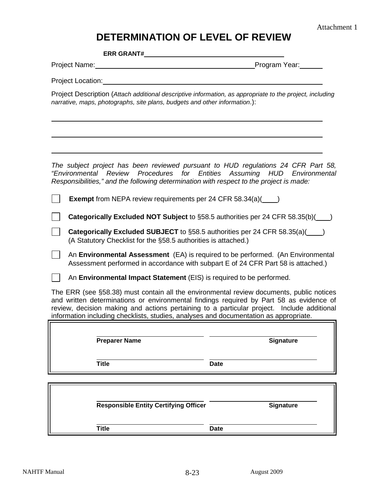## **DETERMINATION OF LEVEL OF REVIEW**

**ERR GRANT#** 

Project Name: Program Year:

Project Location:

 $\overline{a}$ 

 $\overline{a}$ 

Project Description (*Attach additional descriptive information, as appropriate to the project, including narrative, maps, photographs, site plans, budgets and other information*.):

*The subject project has been reviewed pursuant to HUD regulations 24 CFR Part 58, "Environmental Review Procedures for Entities Assuming HUD Environmental Responsibilities," and the following determination with respect to the project is made:* 

|  |  | <b>Exempt</b> from NEPA review requirements per 24 CFR 58.34(a)( |  |
|--|--|------------------------------------------------------------------|--|
|--|--|------------------------------------------------------------------|--|

**Categorically Excluded NOT Subject** to §58.5 authorities per 24 CFR 58.35(b)()

**Categorically Excluded SUBJECT** to §58.5 authorities per 24 CFR 58.35(a)( ) (A Statutory Checklist for the §58.5 authorities is attached.)

An **Environmental Assessment** (EA) is required to be performed. (An Environmental Assessment performed in accordance with subpart E of 24 CFR Part 58 is attached.)

An **Environmental Impact Statement** (EIS) is required to be performed.

The ERR (see §58.38) must contain all the environmental review documents, public notices and written determinations or environmental findings required by Part 58 as evidence of review, decision making and actions pertaining to a particular project. Include additional information including checklists, studies, analyses and documentation as appropriate.

**Preparer Name Signature** 

**Title Date** 

 $\overline{a}$ 

| <b>Responsible Entity Certifying Officer</b> | <b>Signature</b> |
|----------------------------------------------|------------------|
| <b>Title</b>                                 | Date             |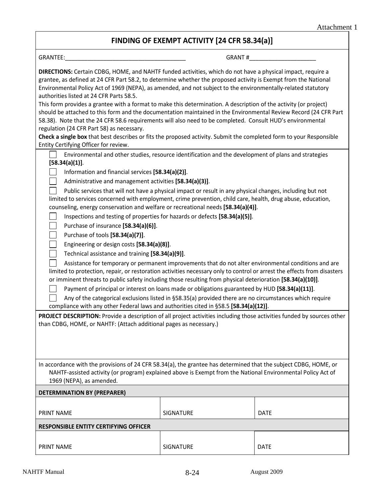### **FINDING OF EXEMPT ACTIVITY [24 CFR 58.34(a)]**

| GRANTEE: The contract of the contract of the contract of the contract of the contract of the contract of the contract of the contract of the contract of the contract of the contract of the contract of the contract of the c                                                                                                                                                              |                  | GRANT #     |  |  |  |
|---------------------------------------------------------------------------------------------------------------------------------------------------------------------------------------------------------------------------------------------------------------------------------------------------------------------------------------------------------------------------------------------|------------------|-------------|--|--|--|
| DIRECTIONS: Certain CDBG, HOME, and NAHTF funded activities, which do not have a physical impact, require a<br>grantee, as defined at 24 CFR Part 58.2, to determine whether the proposed activity is Exempt from the National<br>Environmental Policy Act of 1969 (NEPA), as amended, and not subject to the environmentally-related statutory<br>authorities listed at 24 CFR Parts 58.5. |                  |             |  |  |  |
| This form provides a grantee with a format to make this determination. A description of the activity (or project)<br>should be attached to this form and the documentation maintained in the Environmental Review Record (24 CFR Part<br>58.38). Note that the 24 CFR 58.6 requirements will also need to be completed. Consult HUD's environmental                                         |                  |             |  |  |  |
| regulation (24 CFR Part 58) as necessary.                                                                                                                                                                                                                                                                                                                                                   |                  |             |  |  |  |
| Check a single box that best describes or fits the proposed activity. Submit the completed form to your Responsible<br>Entity Certifying Officer for review.                                                                                                                                                                                                                                |                  |             |  |  |  |
| Environmental and other studies, resource identification and the development of plans and strategies<br>[58.34(a)(1)].                                                                                                                                                                                                                                                                      |                  |             |  |  |  |
| Information and financial services [58.34(a)(2)].                                                                                                                                                                                                                                                                                                                                           |                  |             |  |  |  |
| Administrative and management activities [58.34(a)(3)].                                                                                                                                                                                                                                                                                                                                     |                  |             |  |  |  |
| Public services that will not have a physical impact or result in any physical changes, including but not<br>limited to services concerned with employment, crime prevention, child care, health, drug abuse, education,<br>counseling, energy conservation and welfare or recreational needs [58.34(a)(4)].                                                                                |                  |             |  |  |  |
| Inspections and testing of properties for hazards or defects [58.34(a)(5)].                                                                                                                                                                                                                                                                                                                 |                  |             |  |  |  |
| Purchase of insurance [58.34(a)(6)].                                                                                                                                                                                                                                                                                                                                                        |                  |             |  |  |  |
| Purchase of tools [58.34(a)(7)].                                                                                                                                                                                                                                                                                                                                                            |                  |             |  |  |  |
| Engineering or design costs [58.34(a)(8)].                                                                                                                                                                                                                                                                                                                                                  |                  |             |  |  |  |
| Technical assistance and training [58.34(a)(9)].                                                                                                                                                                                                                                                                                                                                            |                  |             |  |  |  |
| Assistance for temporary or permanent improvements that do not alter environmental conditions and are<br>limited to protection, repair, or restoration activities necessary only to control or arrest the effects from disasters<br>or imminent threats to public safety including those resulting from physical deterioration [58.34(a)(10)].                                              |                  |             |  |  |  |
| Payment of principal or interest on loans made or obligations guaranteed by HUD [58.34(a)(11)].                                                                                                                                                                                                                                                                                             |                  |             |  |  |  |
| Any of the categorical exclusions listed in §58.35(a) provided there are no circumstances which require                                                                                                                                                                                                                                                                                     |                  |             |  |  |  |
| compliance with any other Federal laws and authorities cited in §58.5 [58.34(a)(12)].                                                                                                                                                                                                                                                                                                       |                  |             |  |  |  |
| PROJECT DESCRIPTION: Provide a description of all project activities including those activities funded by sources other<br>than CDBG, HOME, or NAHTF: (Attach additional pages as necessary.)                                                                                                                                                                                               |                  |             |  |  |  |
|                                                                                                                                                                                                                                                                                                                                                                                             |                  |             |  |  |  |
| In accordance with the provisions of 24 CFR 58.34(a), the grantee has determined that the subject CDBG, HOME, or<br>NAHTF-assisted activity (or program) explained above is Exempt from the National Environmental Policy Act of<br>1969 (NEPA), as amended.                                                                                                                                |                  |             |  |  |  |
| <b>DETERMINATION BY (PREPARER)</b>                                                                                                                                                                                                                                                                                                                                                          |                  |             |  |  |  |
| <b>PRINT NAME</b>                                                                                                                                                                                                                                                                                                                                                                           | SIGNATURE        | <b>DATE</b> |  |  |  |
| <b>RESPONSIBLE ENTITY CERTIFYING OFFICER</b>                                                                                                                                                                                                                                                                                                                                                |                  |             |  |  |  |
|                                                                                                                                                                                                                                                                                                                                                                                             |                  |             |  |  |  |
| <b>PRINT NAME</b>                                                                                                                                                                                                                                                                                                                                                                           | <b>SIGNATURE</b> | <b>DATE</b> |  |  |  |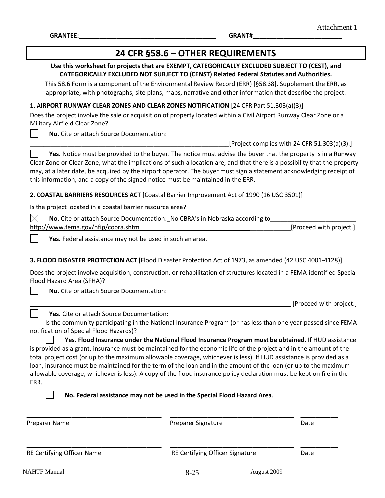$\overline{\phantom{a}}$ 

| 24 CFR §58.6 - OTHER REQUIREMENTS                                                                                                                                                                                                                                                                                                                                                                                                                                                            |                                                                                                                                                                                                                                                                                                                                                                                                                     |                         |  |  |  |
|----------------------------------------------------------------------------------------------------------------------------------------------------------------------------------------------------------------------------------------------------------------------------------------------------------------------------------------------------------------------------------------------------------------------------------------------------------------------------------------------|---------------------------------------------------------------------------------------------------------------------------------------------------------------------------------------------------------------------------------------------------------------------------------------------------------------------------------------------------------------------------------------------------------------------|-------------------------|--|--|--|
|                                                                                                                                                                                                                                                                                                                                                                                                                                                                                              | Use this worksheet for projects that are EXEMPT, CATEGORICALLY EXCLUDED SUBJECT TO (CEST), and<br>CATEGORICALLY EXCLUDED NOT SUBJECT TO (CENST) Related Federal Statutes and Authorities.<br>This 58.6 Form is a component of the Environmental Review Record (ERR) [§58.38]. Supplement the ERR, as<br>appropriate, with photographs, site plans, maps, narrative and other information that describe the project. |                         |  |  |  |
| 1. AIRPORT RUNWAY CLEAR ZONES AND CLEAR ZONES NOTIFICATION [24 CFR Part 51.303(a)(3)]                                                                                                                                                                                                                                                                                                                                                                                                        |                                                                                                                                                                                                                                                                                                                                                                                                                     |                         |  |  |  |
| Does the project involve the sale or acquisition of property located within a Civil Airport Runway Clear Zone or a<br>Military Airfield Clear Zone?                                                                                                                                                                                                                                                                                                                                          |                                                                                                                                                                                                                                                                                                                                                                                                                     |                         |  |  |  |
| No. Cite or attach Source Documentation: _____________                                                                                                                                                                                                                                                                                                                                                                                                                                       |                                                                                                                                                                                                                                                                                                                                                                                                                     |                         |  |  |  |
|                                                                                                                                                                                                                                                                                                                                                                                                                                                                                              | [Project complies with 24 CFR 51.303(a)(3).]                                                                                                                                                                                                                                                                                                                                                                        |                         |  |  |  |
| Yes. Notice must be provided to the buyer. The notice must advise the buyer that the property is in a Runway<br>Clear Zone or Clear Zone, what the implications of such a location are, and that there is a possibility that the property<br>may, at a later date, be acquired by the airport operator. The buyer must sign a statement acknowledging receipt of<br>this information, and a copy of the signed notice must be maintained in the ERR.                                         |                                                                                                                                                                                                                                                                                                                                                                                                                     |                         |  |  |  |
| 2. COASTAL BARRIERS RESOURCES ACT [Coastal Barrier Improvement Act of 1990 (16 USC 3501)]                                                                                                                                                                                                                                                                                                                                                                                                    |                                                                                                                                                                                                                                                                                                                                                                                                                     |                         |  |  |  |
| Is the project located in a coastal barrier resource area?                                                                                                                                                                                                                                                                                                                                                                                                                                   |                                                                                                                                                                                                                                                                                                                                                                                                                     |                         |  |  |  |
| $\times$<br>No. Cite or attach Source Documentation: No CBRA's in Nebraska according to                                                                                                                                                                                                                                                                                                                                                                                                      |                                                                                                                                                                                                                                                                                                                                                                                                                     |                         |  |  |  |
| http://www.fema.gov/nfip/cobra.shtm                                                                                                                                                                                                                                                                                                                                                                                                                                                          |                                                                                                                                                                                                                                                                                                                                                                                                                     | [Proceed with project.] |  |  |  |
| Yes. Federal assistance may not be used in such an area.                                                                                                                                                                                                                                                                                                                                                                                                                                     |                                                                                                                                                                                                                                                                                                                                                                                                                     |                         |  |  |  |
| 3. FLOOD DISASTER PROTECTION ACT [Flood Disaster Protection Act of 1973, as amended (42 USC 4001-4128)]<br>Does the project involve acquisition, construction, or rehabilitation of structures located in a FEMA-identified Special<br>Flood Hazard Area (SFHA)?<br>No. Cite or attach Source Documentation:                                                                                                                                                                                 |                                                                                                                                                                                                                                                                                                                                                                                                                     |                         |  |  |  |
|                                                                                                                                                                                                                                                                                                                                                                                                                                                                                              |                                                                                                                                                                                                                                                                                                                                                                                                                     | [Proceed with project.] |  |  |  |
| Yes. Cite or attach Source Documentation:                                                                                                                                                                                                                                                                                                                                                                                                                                                    |                                                                                                                                                                                                                                                                                                                                                                                                                     |                         |  |  |  |
| notification of Special Flood Hazards)?                                                                                                                                                                                                                                                                                                                                                                                                                                                      | Is the community participating in the National Insurance Program (or has less than one year passed since FEMA                                                                                                                                                                                                                                                                                                       |                         |  |  |  |
| is provided as a grant, insurance must be maintained for the economic life of the project and in the amount of the<br>total project cost (or up to the maximum allowable coverage, whichever is less). If HUD assistance is provided as a<br>loan, insurance must be maintained for the term of the loan and in the amount of the loan (or up to the maximum<br>allowable coverage, whichever is less). A copy of the flood insurance policy declaration must be kept on file in the<br>ERR. | Yes. Flood Insurance under the National Flood Insurance Program must be obtained. If HUD assistance                                                                                                                                                                                                                                                                                                                 |                         |  |  |  |
|                                                                                                                                                                                                                                                                                                                                                                                                                                                                                              | No. Federal assistance may not be used in the Special Flood Hazard Area.                                                                                                                                                                                                                                                                                                                                            |                         |  |  |  |
| Preparer Name                                                                                                                                                                                                                                                                                                                                                                                                                                                                                | Preparer Signature                                                                                                                                                                                                                                                                                                                                                                                                  | Date                    |  |  |  |
| RE Certifying Officer Name                                                                                                                                                                                                                                                                                                                                                                                                                                                                   | RE Certifying Officer Signature                                                                                                                                                                                                                                                                                                                                                                                     | Date                    |  |  |  |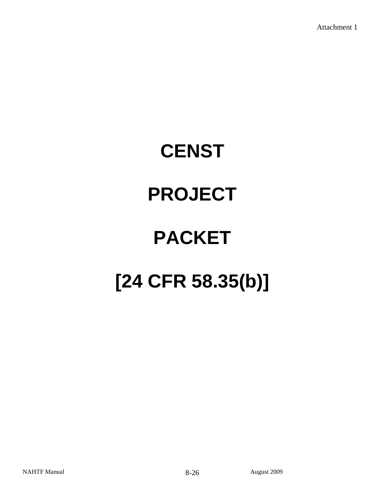# **CENST PROJECT PACKET [24 CFR 58.35(b)]**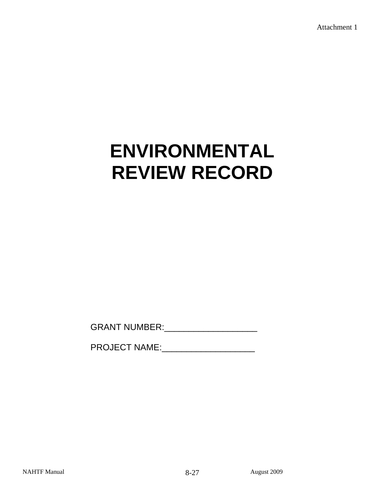# **ENVIRONMENTAL REVIEW RECORD**

GRANT NUMBER:\_\_\_\_\_\_\_\_\_\_\_\_\_\_\_\_\_\_\_

PROJECT NAME: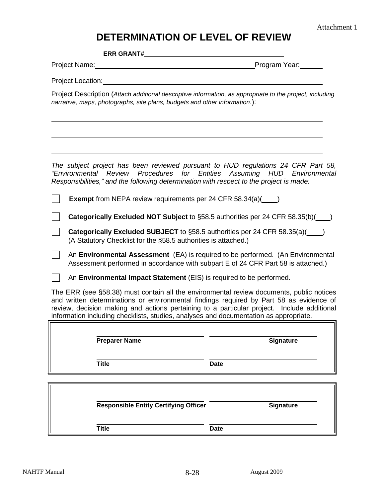## **DETERMINATION OF LEVEL OF REVIEW**

**ERR GRANT#** 

Project Name: Program Year:

Project Location:

 $\overline{a}$ 

 $\overline{a}$ 

Project Description (*Attach additional descriptive information, as appropriate to the project, including narrative, maps, photographs, site plans, budgets and other information*.):

*The subject project has been reviewed pursuant to HUD regulations 24 CFR Part 58, "Environmental Review Procedures for Entities Assuming HUD Environmental Responsibilities," and the following determination with respect to the project is made:* 

|  |  | <b>Exempt</b> from NEPA review requirements per 24 CFR 58.34(a)( |  |
|--|--|------------------------------------------------------------------|--|
|--|--|------------------------------------------------------------------|--|

**Categorically Excluded NOT Subject** to §58.5 authorities per 24 CFR 58.35(b)()

**Categorically Excluded SUBJECT** to §58.5 authorities per 24 CFR 58.35(a)( ) (A Statutory Checklist for the §58.5 authorities is attached.)

An **Environmental Assessment** (EA) is required to be performed. (An Environmental Assessment performed in accordance with subpart E of 24 CFR Part 58 is attached.)

An **Environmental Impact Statement** (EIS) is required to be performed.

The ERR (see §58.38) must contain all the environmental review documents, public notices and written determinations or environmental findings required by Part 58 as evidence of review, decision making and actions pertaining to a particular project. Include additional information including checklists, studies, analyses and documentation as appropriate.

**Preparer Name Signature** 

**Title Date** 

 $\overline{a}$ 

| <b>Responsible Entity Certifying Officer</b> |             | <b>Signature</b> |
|----------------------------------------------|-------------|------------------|
| <b>Title</b>                                 | <b>Date</b> |                  |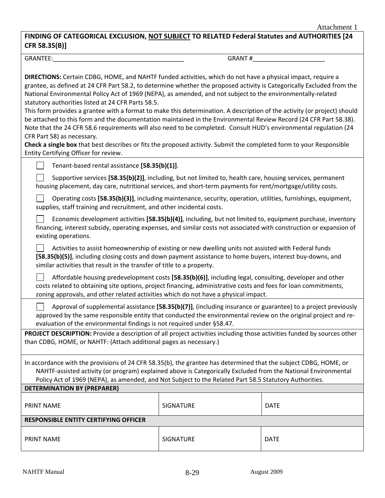#### **FINDING OF CATEGORICAL EXCLUSION, NOT SUBJECT TO RELATED Federal Statutes and AUTHORITIES [24 CFR 58.35(B)]**

GRANTEE:\_\_\_\_\_\_\_\_\_\_\_\_\_\_\_\_\_\_\_\_\_\_\_\_\_\_\_\_\_\_\_\_\_\_\_\_\_\_ GRANT #\_\_\_\_\_\_\_\_\_\_\_\_\_\_\_\_\_\_\_\_\_

| GRANT # |
|---------|
|---------|

| <b>DIRECTIONS:</b> Certain CDBG, HOME, and NAHTF funded activities, which do not have a physical impact, require a<br>grantee, as defined at 24 CFR Part 58.2, to determine whether the proposed activity is Categorically Excluded from the<br>National Environmental Policy Act of 1969 (NEPA), as amended, and not subject to the environmentally-related<br>statutory authorities listed at 24 CFR Parts 58.5.<br>This form provides a grantee with a format to make this determination. A description of the activity (or project) should<br>be attached to this form and the documentation maintained in the Environmental Review Record (24 CFR Part 58.38).<br>Note that the 24 CFR 58.6 requirements will also need to be completed. Consult HUD's environmental regulation (24<br>CFR Part 58) as necessary.<br>Check a single box that best describes or fits the proposed activity. Submit the completed form to your Responsible<br>Entity Certifying Officer for review. |                  |             |  |  |  |
|----------------------------------------------------------------------------------------------------------------------------------------------------------------------------------------------------------------------------------------------------------------------------------------------------------------------------------------------------------------------------------------------------------------------------------------------------------------------------------------------------------------------------------------------------------------------------------------------------------------------------------------------------------------------------------------------------------------------------------------------------------------------------------------------------------------------------------------------------------------------------------------------------------------------------------------------------------------------------------------|------------------|-------------|--|--|--|
| Tenant-based rental assistance [58.35(b)(1)].                                                                                                                                                                                                                                                                                                                                                                                                                                                                                                                                                                                                                                                                                                                                                                                                                                                                                                                                          |                  |             |  |  |  |
| Supportive services [58.35(b)(2)], including, but not limited to, health care, housing services, permanent<br>housing placement, day care, nutritional services, and short-term payments for rent/mortgage/utility costs.                                                                                                                                                                                                                                                                                                                                                                                                                                                                                                                                                                                                                                                                                                                                                              |                  |             |  |  |  |
| Operating costs [58.35(b)(3)], including maintenance, security, operation, utilities, furnishings, equipment,<br>supplies, staff training and recruitment, and other incidental costs.                                                                                                                                                                                                                                                                                                                                                                                                                                                                                                                                                                                                                                                                                                                                                                                                 |                  |             |  |  |  |
| Economic development activities [58.35(b)(4)], including, but not limited to, equipment purchase, inventory<br>financing, interest subsidy, operating expenses, and similar costs not associated with construction or expansion of<br>existing operations.                                                                                                                                                                                                                                                                                                                                                                                                                                                                                                                                                                                                                                                                                                                             |                  |             |  |  |  |
| Activities to assist homeownership of existing or new dwelling units not assisted with Federal funds<br>[58.35(b)(5)], including closing costs and down payment assistance to home buyers, interest buy-downs, and<br>similar activities that result in the transfer of title to a property.                                                                                                                                                                                                                                                                                                                                                                                                                                                                                                                                                                                                                                                                                           |                  |             |  |  |  |
| Affordable housing predevelopment costs [58.35(b)(6)], including legal, consulting, developer and other<br>costs related to obtaining site options, project financing, administrative costs and fees for loan commitments,<br>zoning approvals, and other related activities which do not have a physical impact.                                                                                                                                                                                                                                                                                                                                                                                                                                                                                                                                                                                                                                                                      |                  |             |  |  |  |
| Approval of supplemental assistance $[58.35(b)(7)]$ , (including insurance or guarantee) to a project previously<br>approved by the same responsible entity that conducted the environmental review on the original project and re-<br>evaluation of the environmental findings is not required under §58.47.                                                                                                                                                                                                                                                                                                                                                                                                                                                                                                                                                                                                                                                                          |                  |             |  |  |  |
| PROJECT DESCRIPTION: Provide a description of all project activities including those activities funded by sources other<br>than CDBG, HOME, or NAHTF: (Attach additional pages as necessary.)                                                                                                                                                                                                                                                                                                                                                                                                                                                                                                                                                                                                                                                                                                                                                                                          |                  |             |  |  |  |
| In accordance with the provisions of 24 CFR 58.35(b), the grantee has determined that the subject CDBG, HOME, or<br>NAHTF-assisted activity (or program) explained above is Categorically Excluded from the National Environmental<br>Policy Act of 1969 (NEPA), as amended, and Not Subject to the Related Part 58.5 Statutory Authorities.                                                                                                                                                                                                                                                                                                                                                                                                                                                                                                                                                                                                                                           |                  |             |  |  |  |
| <b>DETERMINATION BY (PREPARER)</b>                                                                                                                                                                                                                                                                                                                                                                                                                                                                                                                                                                                                                                                                                                                                                                                                                                                                                                                                                     |                  |             |  |  |  |
| <b>PRINT NAME</b>                                                                                                                                                                                                                                                                                                                                                                                                                                                                                                                                                                                                                                                                                                                                                                                                                                                                                                                                                                      | <b>SIGNATURE</b> | <b>DATE</b> |  |  |  |
| <b>RESPONSIBLE ENTITY CERTIFYING OFFICER</b>                                                                                                                                                                                                                                                                                                                                                                                                                                                                                                                                                                                                                                                                                                                                                                                                                                                                                                                                           |                  |             |  |  |  |
| <b>PRINT NAME</b><br>SIGNATURE<br><b>DATE</b>                                                                                                                                                                                                                                                                                                                                                                                                                                                                                                                                                                                                                                                                                                                                                                                                                                                                                                                                          |                  |             |  |  |  |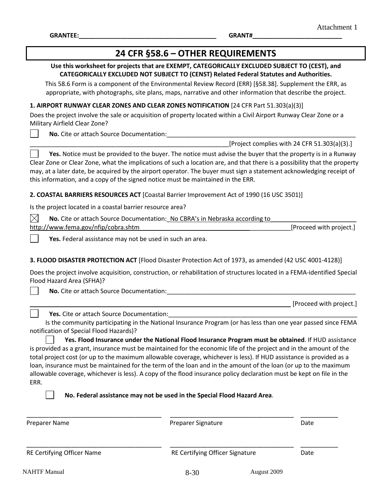$\overline{\phantom{a}}$ 

**GRANTEE:\_\_\_\_\_\_\_\_\_\_\_\_\_\_\_\_\_\_\_\_\_\_\_\_\_\_\_\_\_\_\_\_\_\_\_\_\_\_\_\_ GRANT#\_\_\_\_\_\_\_\_\_\_\_\_\_\_\_\_\_\_\_\_\_\_\_\_\_\_**

| 24 CFR §58.6 - OTHER REQUIREMENTS                                                                                                                                                                                                                                                                                                                                                                                                                                                            |                                                                                                                                                                                                                                                                                                                                                                                                                     |                         |  |  |  |
|----------------------------------------------------------------------------------------------------------------------------------------------------------------------------------------------------------------------------------------------------------------------------------------------------------------------------------------------------------------------------------------------------------------------------------------------------------------------------------------------|---------------------------------------------------------------------------------------------------------------------------------------------------------------------------------------------------------------------------------------------------------------------------------------------------------------------------------------------------------------------------------------------------------------------|-------------------------|--|--|--|
|                                                                                                                                                                                                                                                                                                                                                                                                                                                                                              | Use this worksheet for projects that are EXEMPT, CATEGORICALLY EXCLUDED SUBJECT TO (CEST), and<br>CATEGORICALLY EXCLUDED NOT SUBJECT TO (CENST) Related Federal Statutes and Authorities.<br>This 58.6 Form is a component of the Environmental Review Record (ERR) [§58.38]. Supplement the ERR, as<br>appropriate, with photographs, site plans, maps, narrative and other information that describe the project. |                         |  |  |  |
| 1. AIRPORT RUNWAY CLEAR ZONES AND CLEAR ZONES NOTIFICATION [24 CFR Part 51.303(a)(3)]                                                                                                                                                                                                                                                                                                                                                                                                        |                                                                                                                                                                                                                                                                                                                                                                                                                     |                         |  |  |  |
| Does the project involve the sale or acquisition of property located within a Civil Airport Runway Clear Zone or a<br>Military Airfield Clear Zone?                                                                                                                                                                                                                                                                                                                                          |                                                                                                                                                                                                                                                                                                                                                                                                                     |                         |  |  |  |
| No. Cite or attach Source Documentation:                                                                                                                                                                                                                                                                                                                                                                                                                                                     |                                                                                                                                                                                                                                                                                                                                                                                                                     |                         |  |  |  |
|                                                                                                                                                                                                                                                                                                                                                                                                                                                                                              | [Project complies with 24 CFR 51.303(a)(3).]                                                                                                                                                                                                                                                                                                                                                                        |                         |  |  |  |
| Yes. Notice must be provided to the buyer. The notice must advise the buyer that the property is in a Runway<br>Clear Zone or Clear Zone, what the implications of such a location are, and that there is a possibility that the property<br>may, at a later date, be acquired by the airport operator. The buyer must sign a statement acknowledging receipt of<br>this information, and a copy of the signed notice must be maintained in the ERR.                                         |                                                                                                                                                                                                                                                                                                                                                                                                                     |                         |  |  |  |
| 2. COASTAL BARRIERS RESOURCES ACT [Coastal Barrier Improvement Act of 1990 (16 USC 3501)]                                                                                                                                                                                                                                                                                                                                                                                                    |                                                                                                                                                                                                                                                                                                                                                                                                                     |                         |  |  |  |
| Is the project located in a coastal barrier resource area?                                                                                                                                                                                                                                                                                                                                                                                                                                   |                                                                                                                                                                                                                                                                                                                                                                                                                     |                         |  |  |  |
| $\times$<br>No. Cite or attach Source Documentation: No CBRA's in Nebraska according to                                                                                                                                                                                                                                                                                                                                                                                                      |                                                                                                                                                                                                                                                                                                                                                                                                                     |                         |  |  |  |
| http://www.fema.gov/nfip/cobra.shtm                                                                                                                                                                                                                                                                                                                                                                                                                                                          |                                                                                                                                                                                                                                                                                                                                                                                                                     | [Proceed with project.] |  |  |  |
| Yes. Federal assistance may not be used in such an area.                                                                                                                                                                                                                                                                                                                                                                                                                                     |                                                                                                                                                                                                                                                                                                                                                                                                                     |                         |  |  |  |
| 3. FLOOD DISASTER PROTECTION ACT [Flood Disaster Protection Act of 1973, as amended (42 USC 4001-4128)]<br>Does the project involve acquisition, construction, or rehabilitation of structures located in a FEMA-identified Special<br>Flood Hazard Area (SFHA)?<br>No. Cite or attach Source Documentation:                                                                                                                                                                                 |                                                                                                                                                                                                                                                                                                                                                                                                                     |                         |  |  |  |
|                                                                                                                                                                                                                                                                                                                                                                                                                                                                                              |                                                                                                                                                                                                                                                                                                                                                                                                                     | [Proceed with project.] |  |  |  |
| Yes. Cite or attach Source Documentation:                                                                                                                                                                                                                                                                                                                                                                                                                                                    |                                                                                                                                                                                                                                                                                                                                                                                                                     |                         |  |  |  |
| notification of Special Flood Hazards)?                                                                                                                                                                                                                                                                                                                                                                                                                                                      | Is the community participating in the National Insurance Program (or has less than one year passed since FEMA                                                                                                                                                                                                                                                                                                       |                         |  |  |  |
| is provided as a grant, insurance must be maintained for the economic life of the project and in the amount of the<br>total project cost (or up to the maximum allowable coverage, whichever is less). If HUD assistance is provided as a<br>loan, insurance must be maintained for the term of the loan and in the amount of the loan (or up to the maximum<br>allowable coverage, whichever is less). A copy of the flood insurance policy declaration must be kept on file in the<br>ERR. | Yes. Flood Insurance under the National Flood Insurance Program must be obtained. If HUD assistance<br>No. Federal assistance may not be used in the Special Flood Hazard Area.                                                                                                                                                                                                                                     |                         |  |  |  |
|                                                                                                                                                                                                                                                                                                                                                                                                                                                                                              |                                                                                                                                                                                                                                                                                                                                                                                                                     |                         |  |  |  |
| <b>Preparer Name</b>                                                                                                                                                                                                                                                                                                                                                                                                                                                                         | Preparer Signature                                                                                                                                                                                                                                                                                                                                                                                                  | Date                    |  |  |  |
| RE Certifying Officer Name                                                                                                                                                                                                                                                                                                                                                                                                                                                                   | RE Certifying Officer Signature                                                                                                                                                                                                                                                                                                                                                                                     | Date                    |  |  |  |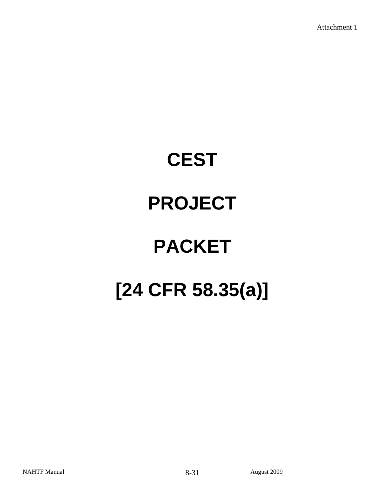# **CEST PROJECT PACKET [24 CFR 58.35(a)]**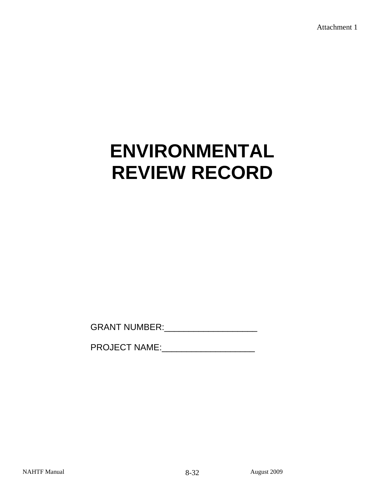# **ENVIRONMENTAL REVIEW RECORD**

GRANT NUMBER:\_\_\_\_\_\_\_\_\_\_\_\_\_\_\_\_\_\_\_

PROJECT NAME: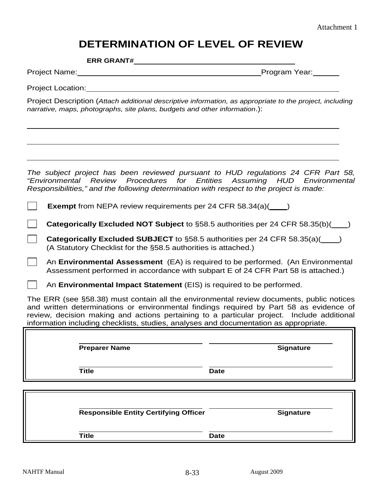### **DETERMINATION OF LEVEL OF REVIEW**

**ERR GRANT#** 

Project Name: Name: Program Year: Program Year:

Project Location: **Example 2018** 

 $\ddot{\phantom{a}}$ 

Project Description (*Attach additional descriptive information, as appropriate to the project, including narrative, maps, photographs, site plans, budgets and other information*.):

*The subject project has been reviewed pursuant to HUD regulations 24 CFR Part 58, "Environmental Review Procedures for Entities Assuming HUD Environmental Responsibilities," and the following determination with respect to the project is made:* 

**Exempt** from NEPA review requirements per 24 CFR 58.34(a)( )

**Categorically Excluded NOT Subject** to §58.5 authorities per 24 CFR 58.35(b)()

**Categorically Excluded SUBJECT** to §58.5 authorities per 24 CFR 58.35(a)( ) (A Statutory Checklist for the §58.5 authorities is attached.)

An **Environmental Assessment** (EA) is required to be performed. (An Environmental Assessment performed in accordance with subpart E of 24 CFR Part 58 is attached.)

An **Environmental Impact Statement** (EIS) is required to be performed.

The ERR (see §58.38) must contain all the environmental review documents, public notices and written determinations or environmental findings required by Part 58 as evidence of review, decision making and actions pertaining to a particular project. Include additional information including checklists, studies, analyses and documentation as appropriate.

| <b>Signature</b> |
|------------------|
| <b>Date</b>      |
|                  |

**Responsible Entity Certifying Officer Community Constraints Signature** 

**Title Date**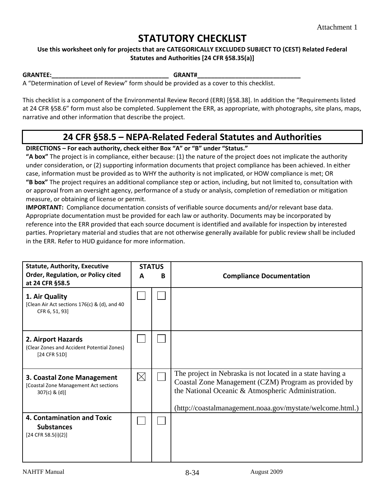## **STATUTORY CHECKLIST**

#### **Use this worksheet only for projects that are CATEGORICALLY EXCLUDED SUBJECT TO (CEST) Related Federal Statutes and Authorities [24 CFR §58.35(a)]**

**GRANTEE:\_\_\_\_\_\_\_\_\_\_\_\_\_\_\_\_\_\_\_\_\_\_\_\_\_\_\_\_\_\_\_\_\_\_ GRANT#\_\_\_\_\_\_\_\_\_\_\_\_\_\_\_\_\_\_\_\_\_\_\_\_\_\_\_\_\_\_**

A "Determination of Level of Review" form should be provided as a cover to this checklist.

This checklist is a component of the Environmental Review Record (ERR) [§58.38]. In addition the "Requirements listed at 24 CFR §58.6" form must also be completed. Supplement the ERR, as appropriate, with photographs, site plans, maps, narrative and other information that describe the project.

### **24 CFR §58.5 – NEPA‐Related Federal Statutes and Authorities**

#### **DIRECTIONS – For each authority, check either Box "A" or "B" under "Status."**

**"A box"** The project is in compliance, either because: (1) the nature of the project does not implicate the authority under consideration, or (2) supporting information documents that project compliance has been achieved. In either case, information must be provided as to WHY the authority is not implicated, or HOW compliance is met; OR **"B box"** The project requires an additional compliance step or action, including, but not limited to, consultation with or approval from an oversight agency, performance of a study or analysis, completion of remediation or mitigation measure, or obtaining of license or permit.

**IMPORTANT:** Compliance documentation consists of verifiable source documents and/or relevant base data. Appropriate documentation must be provided for each law or authority. Documents may be incorporated by reference into the ERR provided that each source document is identified and available for inspection by interested parties. Proprietary material and studies that are not otherwise generally available for public review shall be included in the ERR. Refer to HUD guidance for more information.

| <b>Statute, Authority, Executive</b>                                                   | <b>STATUS</b> |   |                                                                                                                                                                                                                                       |  |
|----------------------------------------------------------------------------------------|---------------|---|---------------------------------------------------------------------------------------------------------------------------------------------------------------------------------------------------------------------------------------|--|
| Order, Regulation, or Policy cited<br>at 24 CFR §58.5                                  | A             | B | <b>Compliance Documentation</b>                                                                                                                                                                                                       |  |
| 1. Air Quality<br>[Clean Air Act sections 176(c) & (d), and 40<br>CFR 6, 51, 93]       |               |   |                                                                                                                                                                                                                                       |  |
| 2. Airport Hazards<br>(Clear Zones and Accident Potential Zones)<br>[24 CFR 51D]       |               |   |                                                                                                                                                                                                                                       |  |
| 3. Coastal Zone Management<br>[Coastal Zone Management Act sections<br>$307(c)$ & (d)] | $\boxtimes$   |   | The project in Nebraska is not located in a state having a<br>Coastal Zone Management (CZM) Program as provided by<br>the National Oceanic & Atmospheric Administration.<br>(http://coastalmanagement.noaa.gov/mystate/welcome.html.) |  |
| 4. Contamination and Toxic<br><b>Substances</b><br>$[24$ CFR 58.5(i)(2)]               |               |   |                                                                                                                                                                                                                                       |  |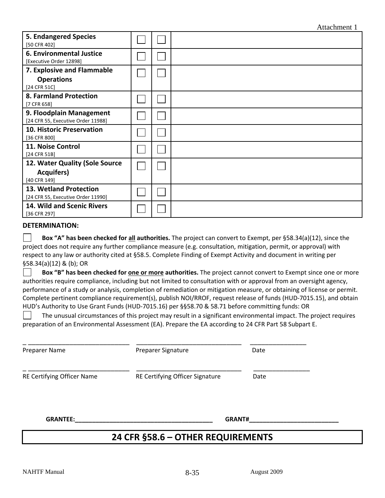|                                                     |  | Attachment 1 |
|-----------------------------------------------------|--|--------------|
| <b>5. Endangered Species</b><br>[50 CFR 402]        |  |              |
| 6. Environmental Justice<br>[Executive Order 12898] |  |              |
| 7. Explosive and Flammable                          |  |              |
| <b>Operations</b>                                   |  |              |
| [24 CFR 51C]                                        |  |              |
| 8. Farmland Protection                              |  |              |
| [7 CFR 658]                                         |  |              |
| 9. Floodplain Management                            |  |              |
| [24 CFR 55, Executive Order 11988]                  |  |              |
| <b>10. Historic Preservation</b>                    |  |              |
| [36 CFR 800]                                        |  |              |
| 11. Noise Control                                   |  |              |
| [24 CFR 51B]                                        |  |              |
| 12. Water Quality (Sole Source                      |  |              |
| <b>Acquifers)</b>                                   |  |              |
| [40 CFR 149]                                        |  |              |
| 13. Wetland Protection                              |  |              |
| [24 CFR 55, Executive Order 11990]                  |  |              |
| 14. Wild and Scenic Rivers                          |  |              |
| [36 CFR 297]                                        |  |              |

#### **DETERMINATION:**

 **Box "A" has been checked for all authorities.** The project can convert to Exempt, per §58.34(a)(12), since the project does not require any further compliance measure (e.g. consultation, mitigation, permit, or approval) with respect to any law or authority cited at §58.5. Complete Finding of Exempt Activity and document in writing per §58.34(a)(12) & (b); OR

 **Box "B" has been checked for one or more authorities.** The project cannot convert to Exempt since one or more authorities require compliance, including but not limited to consultation with or approval from an oversight agency, performance of a study or analysis, completion of remediation or mitigation measure, or obtaining of license or permit. Complete pertinent compliance requirement(s), publish NOI/RROF, request release of funds (HUD‐7015.15), and obtain HUD's Authority to Use Grant Funds (HUD‐7015.16) per §§58.70 & 58.71 before committing funds: OR

 The unusual circumstances of this project may result in a significant environmental impact. The project requires preparation of an Environmental Assessment (EA). Prepare the EA according to 24 CFR Part 58 Subpart E.

| Preparer Name              | Preparer Signature              | Date |
|----------------------------|---------------------------------|------|
| RE Certifying Officer Name | RE Certifying Officer Signature | Date |
| <b>GRANTEE:</b>            | <b>GRANT#</b>                   |      |

#### **24 CFR §58.6 – OTHER REQUIREMENTS**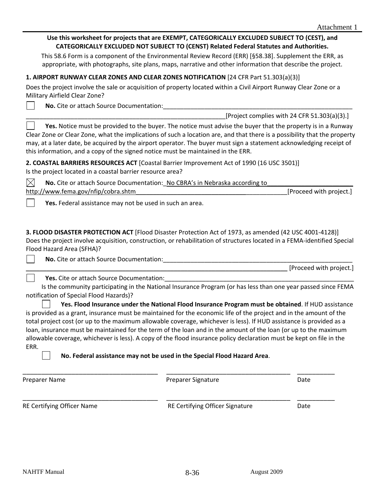|                                                                                                                                                                                                                                                                                                                                                                                                                                                                                                                                         | Use this worksheet for projects that are EXEMPT, CATEGORICALLY EXCLUDED SUBJECT TO (CEST), and<br>CATEGORICALLY EXCLUDED NOT SUBJECT TO (CENST) Related Federal Statutes and Authorities.                                                                                                        |                                              |
|-----------------------------------------------------------------------------------------------------------------------------------------------------------------------------------------------------------------------------------------------------------------------------------------------------------------------------------------------------------------------------------------------------------------------------------------------------------------------------------------------------------------------------------------|--------------------------------------------------------------------------------------------------------------------------------------------------------------------------------------------------------------------------------------------------------------------------------------------------|----------------------------------------------|
| This 58.6 Form is a component of the Environmental Review Record (ERR) [§58.38]. Supplement the ERR, as                                                                                                                                                                                                                                                                                                                                                                                                                                 | appropriate, with photographs, site plans, maps, narrative and other information that describe the project.                                                                                                                                                                                      |                                              |
|                                                                                                                                                                                                                                                                                                                                                                                                                                                                                                                                         |                                                                                                                                                                                                                                                                                                  |                                              |
| 1. AIRPORT RUNWAY CLEAR ZONES AND CLEAR ZONES NOTIFICATION [24 CFR Part 51.303(a)(3)]                                                                                                                                                                                                                                                                                                                                                                                                                                                   |                                                                                                                                                                                                                                                                                                  |                                              |
| Does the project involve the sale or acquisition of property located within a Civil Airport Runway Clear Zone or a<br>Military Airfield Clear Zone?                                                                                                                                                                                                                                                                                                                                                                                     |                                                                                                                                                                                                                                                                                                  |                                              |
|                                                                                                                                                                                                                                                                                                                                                                                                                                                                                                                                         |                                                                                                                                                                                                                                                                                                  |                                              |
|                                                                                                                                                                                                                                                                                                                                                                                                                                                                                                                                         |                                                                                                                                                                                                                                                                                                  | [Project complies with 24 CFR 51.303(a)(3).] |
| Clear Zone or Clear Zone, what the implications of such a location are, and that there is a possibility that the property<br>may, at a later date, be acquired by the airport operator. The buyer must sign a statement acknowledging receipt of<br>this information, and a copy of the signed notice must be maintained in the ERR.                                                                                                                                                                                                    | Yes. Notice must be provided to the buyer. The notice must advise the buyer that the property is in a Runway                                                                                                                                                                                     |                                              |
| 2. COASTAL BARRIERS RESOURCES ACT [Coastal Barrier Improvement Act of 1990 (16 USC 3501)]<br>Is the project located in a coastal barrier resource area?                                                                                                                                                                                                                                                                                                                                                                                 |                                                                                                                                                                                                                                                                                                  |                                              |
| $\times$<br>No. Cite or attach Source Documentation: No CBRA's in Nebraska according to                                                                                                                                                                                                                                                                                                                                                                                                                                                 |                                                                                                                                                                                                                                                                                                  |                                              |
| http://www.fema.gov/nfip/cobra.shtm                                                                                                                                                                                                                                                                                                                                                                                                                                                                                                     |                                                                                                                                                                                                                                                                                                  | [Proceed with project.]                      |
| 3. FLOOD DISASTER PROTECTION ACT [Flood Disaster Protection Act of 1973, as amended (42 USC 4001-4128)]<br>Does the project involve acquisition, construction, or rehabilitation of structures located in a FEMA-identified Special<br>Flood Hazard Area (SFHA)?                                                                                                                                                                                                                                                                        |                                                                                                                                                                                                                                                                                                  |                                              |
|                                                                                                                                                                                                                                                                                                                                                                                                                                                                                                                                         |                                                                                                                                                                                                                                                                                                  | [Proceed with project.]                      |
| Yes. Cite or attach Source Documentation:                                                                                                                                                                                                                                                                                                                                                                                                                                                                                               |                                                                                                                                                                                                                                                                                                  |                                              |
| notification of Special Flood Hazards)?<br>is provided as a grant, insurance must be maintained for the economic life of the project and in the amount of the<br>total project cost (or up to the maximum allowable coverage, whichever is less). If HUD assistance is provided as a<br>loan, insurance must be maintained for the term of the loan and in the amount of the loan (or up to the maximum<br>allowable coverage, whichever is less). A copy of the flood insurance policy declaration must be kept on file in the<br>ERR. | Is the community participating in the National Insurance Program (or has less than one year passed since FEMA<br>Yes. Flood Insurance under the National Flood Insurance Program must be obtained. If HUD assistance<br>No. Federal assistance may not be used in the Special Flood Hazard Area. |                                              |
| Preparer Name                                                                                                                                                                                                                                                                                                                                                                                                                                                                                                                           | Preparer Signature                                                                                                                                                                                                                                                                               | Date                                         |

RE Certifying Officer Name **BE CERTIFYING CONSUMING THE CERTIFYING OFFICER** Signature **Date** 

\_\_\_\_\_\_\_\_\_\_\_\_\_\_\_\_\_\_\_\_\_\_\_\_\_\_\_\_\_\_\_\_\_\_\_\_ \_\_\_\_\_\_\_\_\_\_\_\_\_\_\_\_\_\_\_\_\_\_\_\_\_\_\_\_\_\_\_\_\_ \_\_\_\_\_\_\_\_\_\_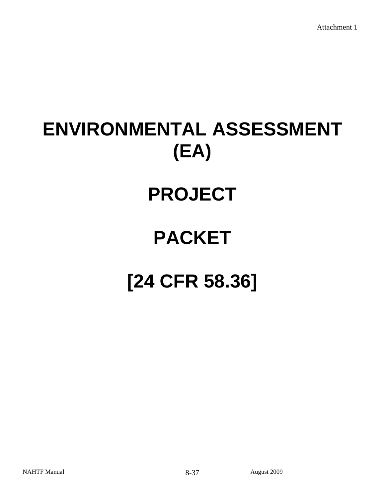# **ENVIRONMENTAL ASSESSMENT (EA)**

## **PROJECT**

## **PACKET**

# **[24 CFR 58.36]**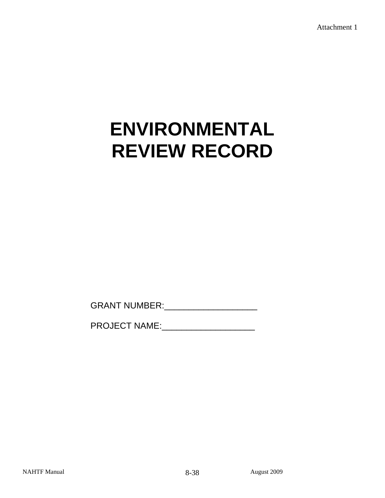## **ENVIRONMENTAL REVIEW RECORD**

GRANT NUMBER:\_\_\_\_\_\_\_\_\_\_\_\_\_\_\_\_\_\_\_

PROJECT NAME: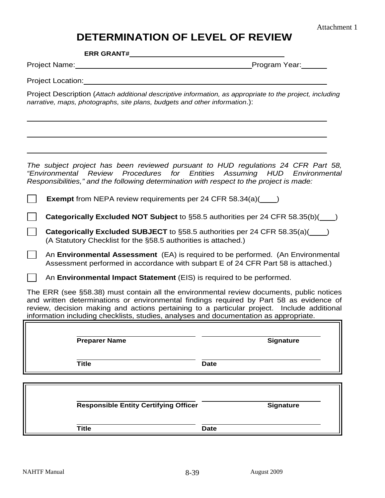## **DETERMINATION OF LEVEL OF REVIEW**

**ERR GRANT#** 

Project Name: Mame: Manual Albert Name: Manual Albert Name: Manual Albert Name: Manual Albert Name (Name of Na

Project Location:

 $\overline{a}$ 

 $\overline{a}$ 

Project Description (*Attach additional descriptive information, as appropriate to the project, including narrative, maps, photographs, site plans, budgets and other information*.):

*The subject project has been reviewed pursuant to HUD regulations 24 CFR Part 58, "Environmental Review Procedures for Entities Assuming HUD Environmental Responsibilities," and the following determination with respect to the project is made:* 

**Exempt** from NEPA review requirements per 24 CFR 58.34(a)( )

**Categorically Excluded NOT Subject** to §58.5 authorities per 24 CFR 58.35(b)()

**Categorically Excluded SUBJECT** to §58.5 authorities per 24 CFR 58.35(a)( ) (A Statutory Checklist for the §58.5 authorities is attached.)

An **Environmental Assessment** (EA) is required to be performed. (An Environmental Assessment performed in accordance with subpart E of 24 CFR Part 58 is attached.)

An **Environmental Impact Statement** (EIS) is required to be performed.

The ERR (see §58.38) must contain all the environmental review documents, public notices and written determinations or environmental findings required by Part 58 as evidence of review, decision making and actions pertaining to a particular project. Include additional information including checklists, studies, analyses and documentation as appropriate.

**Preparer Name Signature** 

**Title Date** 

 $\overline{a}$ 

L **Responsible Entity Certifying Officer Manual Signature Signature Title Date**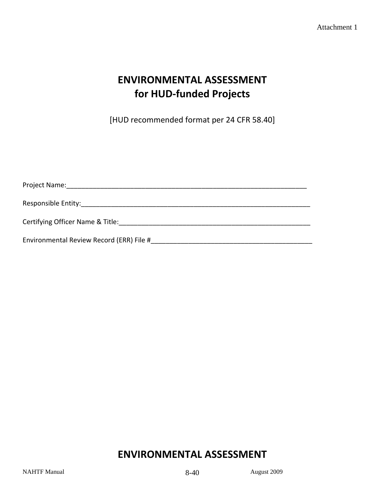## **ENVIRONMENTAL ASSESSMENT for HUD‐funded Projects**

[HUD recommended format per 24 CFR 58.40]

| Project Name: The contract of the contract of the contract of the contract of the contract of the contract of the contract of the contract of the contract of the contract of the contract of the contract of the contract of |
|-------------------------------------------------------------------------------------------------------------------------------------------------------------------------------------------------------------------------------|
|                                                                                                                                                                                                                               |
| Certifying Officer Name & Title:                                                                                                                                                                                              |
| Environmental Review Record (ERR) File #                                                                                                                                                                                      |

## **ENVIRONMENTAL ASSESSMENT**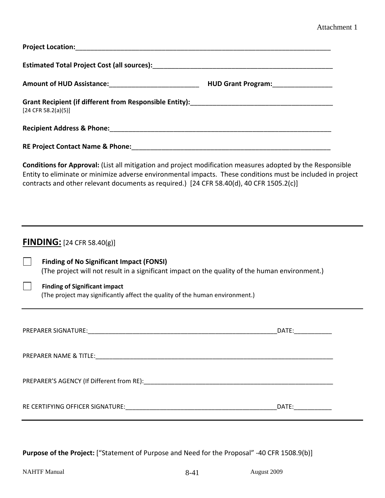| [24 CFR 58.2(a)(5)]                                                                                                                                                                                                                                                                                                   |  |
|-----------------------------------------------------------------------------------------------------------------------------------------------------------------------------------------------------------------------------------------------------------------------------------------------------------------------|--|
|                                                                                                                                                                                                                                                                                                                       |  |
|                                                                                                                                                                                                                                                                                                                       |  |
| Conditions for Approval: (List all mitigation and project modification measures adopted by the Responsible<br>Entity to eliminate or minimize adverse environmental impacts. These conditions must be included in project<br>contracts and other relevant documents as required.) [24 CFR 58.40(d), 40 CFR 1505.2(c)] |  |
|                                                                                                                                                                                                                                                                                                                       |  |
| <b>FINDING:</b> $[24 \text{ CFR } 58.40(g)]$                                                                                                                                                                                                                                                                          |  |
| <b>Finding of No Significant Impact (FONSI)</b><br>(The project will not result in a significant impact on the quality of the human environment.)                                                                                                                                                                     |  |
| <b>Finding of Significant impact</b><br>(The project may significantly affect the quality of the human environment.)                                                                                                                                                                                                  |  |
|                                                                                                                                                                                                                                                                                                                       |  |
|                                                                                                                                                                                                                                                                                                                       |  |
|                                                                                                                                                                                                                                                                                                                       |  |
|                                                                                                                                                                                                                                                                                                                       |  |
|                                                                                                                                                                                                                                                                                                                       |  |
|                                                                                                                                                                                                                                                                                                                       |  |

**Purpose of the Project:** ["Statement of Purpose and Need for the Proposal" ‐40 CFR 1508.9(b)]

l,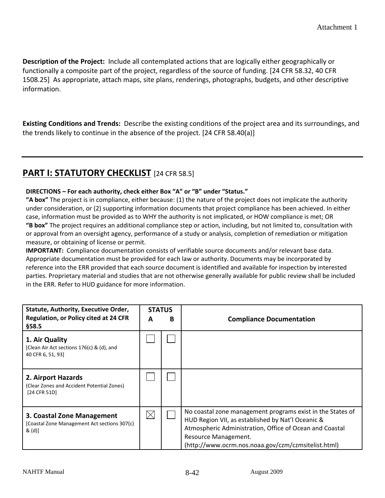**Description of the Project:** Include all contemplated actions that are logically either geographically or functionally a composite part of the project, regardless of the source of funding. [24 CFR 58.32, 40 CFR 1508.25] As appropriate, attach maps, site plans, renderings, photographs, budgets, and other descriptive information.

**Existing Conditions and Trends:** Describe the existing conditions of the project area and its surroundings, and the trends likely to continue in the absence of the project. [24 CFR 58.40(a)]

## **PART I: STATUTORY CHECKLIST** [24 CFR 58.5]

#### **DIRECTIONS – For each authority, check either Box "A" or "B" under "Status."**

**"A box"** The project is in compliance, either because: (1) the nature of the project does not implicate the authority under consideration, or (2) supporting information documents that project compliance has been achieved. In either case, information must be provided as to WHY the authority is not implicated, or HOW compliance is met; OR **"B box"** The project requires an additional compliance step or action, including, but not limited to, consultation with or approval from an oversight agency, performance of a study or analysis, completion of remediation or mitigation measure, or obtaining of license or permit.

**IMPORTANT:** Compliance documentation consists of verifiable source documents and/or relevant base data. Appropriate documentation must be provided for each law or authority. Documents may be incorporated by reference into the ERR provided that each source document is identified and available for inspection by interested parties. Proprietary material and studies that are not otherwise generally available for public review shall be included in the ERR. Refer to HUD guidance for more information.

| Statute, Authority, Executive Order,<br><b>Regulation, or Policy cited at 24 CFR</b><br>\$58.5 | <b>STATUS</b><br>A | B | <b>Compliance Documentation</b>                                                                                                                                                                                                                           |
|------------------------------------------------------------------------------------------------|--------------------|---|-----------------------------------------------------------------------------------------------------------------------------------------------------------------------------------------------------------------------------------------------------------|
| 1. Air Quality<br>[Clean Air Act sections 176(c) & (d), and<br>40 CFR 6, 51, 93                |                    |   |                                                                                                                                                                                                                                                           |
| 2. Airport Hazards<br>(Clear Zones and Accident Potential Zones)<br>[24 CFR 51D]               |                    |   |                                                                                                                                                                                                                                                           |
| 3. Coastal Zone Management<br>[Coastal Zone Management Act sections 307(c)<br>& (d)            | $\times$           |   | No coastal zone management programs exist in the States of<br>HUD Region VII, as established by Nat'l Oceanic &<br>Atmospheric Administration, Office of Ocean and Coastal<br>Resource Management.<br>(http://www.ocrm.nos.noaa.gov/czm/czmsitelist.html) |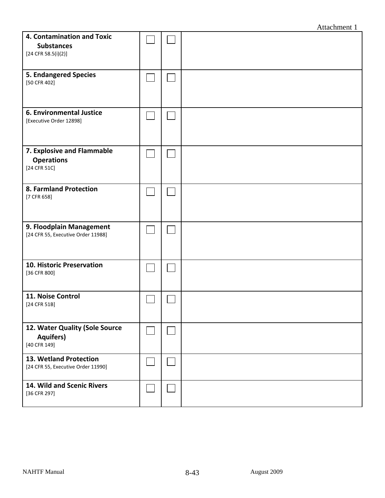|                                                                          |  | Attachment 1 |
|--------------------------------------------------------------------------|--|--------------|
| 4. Contamination and Toxic<br><b>Substances</b><br>$[24$ CFR 58.5(i)(2)] |  |              |
| <b>5. Endangered Species</b><br>[50 CFR 402]                             |  |              |
| 6. Environmental Justice<br>[Executive Order 12898]                      |  |              |
| 7. Explosive and Flammable<br><b>Operations</b><br>[24 CFR 51C]          |  |              |
| 8. Farmland Protection<br>[7 CFR 658]                                    |  |              |
| 9. Floodplain Management<br>[24 CFR 55, Executive Order 11988]           |  |              |
| 10. Historic Preservation<br>[36 CFR 800]                                |  |              |
| 11. Noise Control<br>[24 CFR 51B]                                        |  |              |
| 12. Water Quality (Sole Source<br><b>Aquifers)</b><br>[40 CFR 149]       |  |              |
| 13. Wetland Protection<br>[24 CFR 55, Executive Order 11990]             |  |              |
| 14. Wild and Scenic Rivers<br>[36 CFR 297]                               |  |              |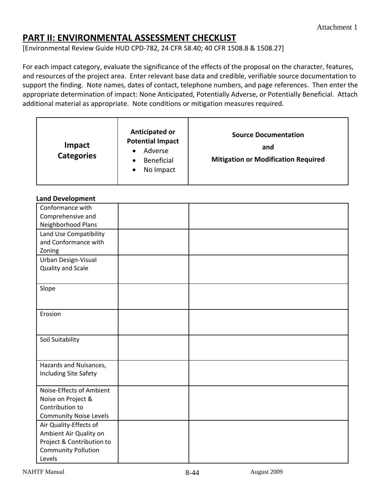## **PART II: ENVIRONMENTAL ASSESSMENT CHECKLIST**

[Environmental Review Guide HUD CPD‐782, 24 CFR 58.40; 40 CFR 1508.8 & 1508.27]

For each impact category, evaluate the significance of the effects of the proposal on the character, features, and resources of the project area. Enter relevant base data and credible, verifiable source documentation to support the finding. Note names, dates of contact, telephone numbers, and page references. Then enter the appropriate determination of impact: None Anticipated, Potentially Adverse, or Potentially Beneficial. Attach additional material as appropriate. Note conditions or mitigation measures required.

| Impact<br><b>Categories</b> | Anticipated or<br><b>Potential Impact</b><br>Adverse<br>Beneficial<br>No Impact<br>٠ | <b>Source Documentation</b><br>and<br><b>Mitigation or Modification Required</b> |
|-----------------------------|--------------------------------------------------------------------------------------|----------------------------------------------------------------------------------|
|-----------------------------|--------------------------------------------------------------------------------------|----------------------------------------------------------------------------------|

#### **Land Development**

| Conformance with              |  |
|-------------------------------|--|
| Comprehensive and             |  |
| Neighborhood Plans            |  |
| Land Use Compatibility        |  |
| and Conformance with          |  |
| Zoning                        |  |
| Urban Design-Visual           |  |
| Quality and Scale             |  |
|                               |  |
| Slope                         |  |
|                               |  |
|                               |  |
| Erosion                       |  |
|                               |  |
|                               |  |
| Soil Suitability              |  |
|                               |  |
|                               |  |
| Hazards and Nuisances,        |  |
| Including Site Safety         |  |
|                               |  |
| Noise-Effects of Ambient      |  |
| Noise on Project &            |  |
| Contribution to               |  |
| <b>Community Noise Levels</b> |  |
| Air Quality-Effects of        |  |
| Ambient Air Quality on        |  |
| Project & Contribution to     |  |
| <b>Community Pollution</b>    |  |
| Levels                        |  |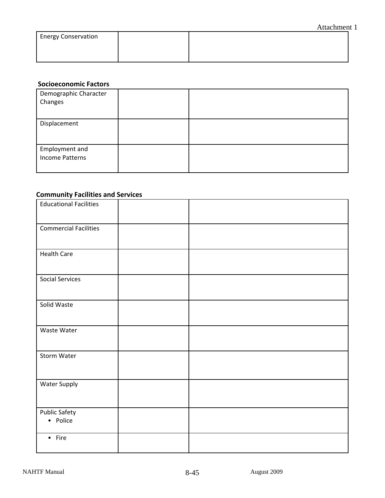| <b>Energy Conservation</b> |  |  |
|----------------------------|--|--|
|                            |  |  |
|                            |  |  |

## **Socioeconomic Factors**

| Demographic Character<br>Changes  |  |
|-----------------------------------|--|
| Displacement                      |  |
| Employment and<br>Income Patterns |  |

### **Community Facilities and Services**

| - 1                              |  |
|----------------------------------|--|
| <b>Educational Facilities</b>    |  |
| <b>Commercial Facilities</b>     |  |
| <b>Health Care</b>               |  |
| <b>Social Services</b>           |  |
| Solid Waste                      |  |
| Waste Water                      |  |
| Storm Water                      |  |
| <b>Water Supply</b>              |  |
| <b>Public Safety</b><br>• Police |  |
| $•$ Fire                         |  |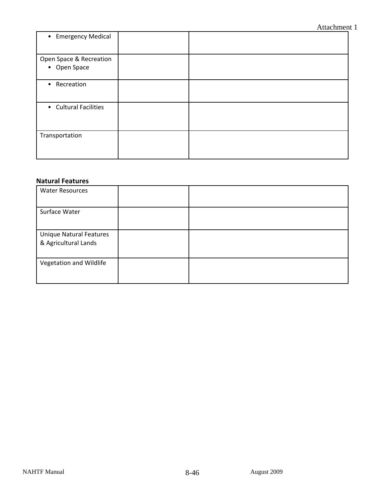| • Emergency Medical                     |  |
|-----------------------------------------|--|
| Open Space & Recreation<br>• Open Space |  |
| • Recreation                            |  |
| • Cultural Facilities                   |  |
| Transportation                          |  |

#### **Natural Features**

| <b>Water Resources</b>                                 |  |
|--------------------------------------------------------|--|
| Surface Water                                          |  |
| <b>Unique Natural Features</b><br>& Agricultural Lands |  |
| Vegetation and Wildlife                                |  |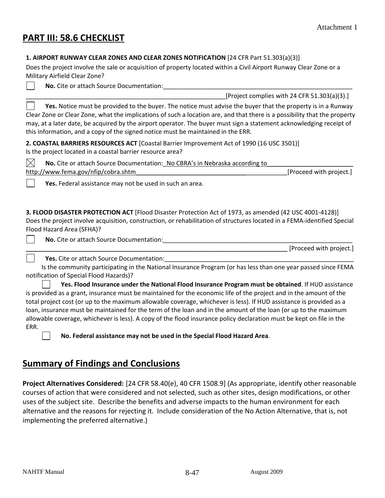## **PART III: 58.6 CHECKLIST**

 $\blacksquare$ 

#### **1. AIRPORT RUNWAY CLEAR ZONES AND CLEAR ZONES NOTIFICATION** [24 CFR Part 51.303(a)(3)]

Does the project involve the sale or acquisition of property located within a Civil Airport Runway Clear Zone or a Military Airfield Clear Zone?

No. Cite or attach Source Documentation:

 $[Project\,\,complex\,\,with\,\,24\,\,CFR\,\,51.303(a)(3).]$ 

 $\mathcal{L}$  **Yes.** Notice must be provided to the buyer. The notice must advise the buyer that the property is in a Runway Clear Zone or Clear Zone, what the implications of such a location are, and that there is a possibility that the property may, at a later date, be acquired by the airport operator. The buyer must sign a statement acknowledging receipt of this information, and a copy of the signed notice must be maintained in the ERR.

**2. COASTAL BARRIERS RESOURCES ACT** [Coastal Barrier Improvement Act of 1990 (16 USC 3501)] Is the project located in a coastal barrier resource area?

 $\boxtimes$  **No.** Cite or attach Source Documentation: No CBRA's in Nebraska according to http://www.fema.gov/nfip/cobra.shtm

**Yes.** Federal assistance may not be used in such an area.

**3. FLOOD DISASTER PROTECTION ACT** [Flood Disaster Protection Act of 1973, as amended (42 USC 4001‐4128)] Does the project involve acquisition, construction, or rehabilitation of structures located in a FEMA‐identified Special Flood Hazard Area (SFHA)?

**No.** Cite or attach Source Documentation:

\_\_\_\_\_\_\_\_\_\_\_\_\_\_\_\_\_\_\_\_\_\_\_\_\_\_\_\_\_\_\_\_\_\_\_\_\_\_\_\_\_\_\_\_\_\_\_\_\_\_\_\_\_\_\_\_\_\_\_\_\_\_\_\_\_\_\_\_\_\_\_\_\_\_\_\_ [Proceed with project.]

Yes. Cite or attach Source Documentation:

 Is the community participating in the National Insurance Program (or has less than one year passed since FEMA notification of Special Flood Hazards)?

 **Yes. Flood Insurance under the National Flood Insurance Program must be obtained**. If HUD assistance is provided as a grant, insurance must be maintained for the economic life of the project and in the amount of the total project cost (or up to the maximum allowable coverage, whichever is less). If HUD assistance is provided as a loan, insurance must be maintained for the term of the loan and in the amount of the loan (or up to the maximum allowable coverage, whichever is less). A copy of the flood insurance policy declaration must be kept on file in the ERR.

**No. Federal assistance may not be used in the Special Flood Hazard Area**.

## **Summary of Findings and Conclusions**

**Project Alternatives Considered:** [24 CFR 58.40(e), 40 CFR 1508.9] (As appropriate, identify other reasonable courses of action that were considered and not selected, such as other sites, design modifications, or other uses of the subject site. Describe the benefits and adverse impacts to the human environment for each alternative and the reasons for rejecting it. Include consideration of the No Action Alternative, that is, not implementing the preferred alternative.)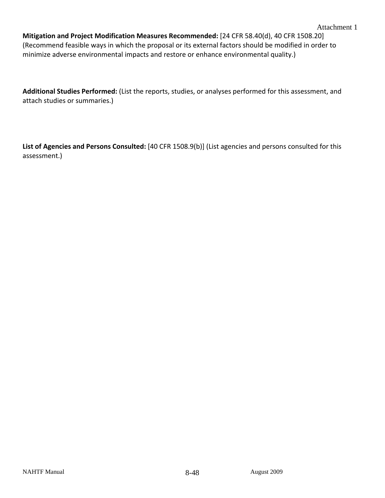**Mitigation and Project Modification Measures Recommended:** [24 CFR 58.40(d), 40 CFR 1508.20] (Recommend feasible ways in which the proposal or its external factors should be modified in order to minimize adverse environmental impacts and restore or enhance environmental quality.)

**Additional Studies Performed:** (List the reports, studies, or analyses performed for this assessment, and attach studies or summaries.)

**List of Agencies and Persons Consulted:** [40 CFR 1508.9(b)] (List agencies and persons consulted for this assessment.)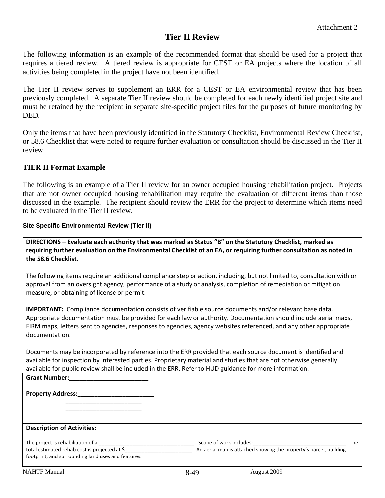#### **Tier II Review**

The following information is an example of the recommended format that should be used for a project that requires a tiered review. A tiered review is appropriate for CEST or EA projects where the location of all activities being completed in the project have not been identified.

The Tier II review serves to supplement an ERR for a CEST or EA environmental review that has been previously completed. A separate Tier II review should be completed for each newly identified project site and must be retained by the recipient in separate site-specific project files for the purposes of future monitoring by DED.

Only the items that have been previously identified in the Statutory Checklist, Environmental Review Checklist, or 58.6 Checklist that were noted to require further evaluation or consultation should be discussed in the Tier II review.

#### **TIER II Format Example**

The following is an example of a Tier II review for an owner occupied housing rehabilitation project. Projects that are not owner occupied housing rehabilitation may require the evaluation of different items than those discussed in the example. The recipient should review the ERR for the project to determine which items need to be evaluated in the Tier II review.

#### **Site Specific Environmental Review (Tier II)**

**DIRECTIONS – Evaluate each authority that was marked as Status "B" on the Statutory Checklist, marked as** requiring further evaluation on the Environmental Checklist of an EA, or requiring further consultation as noted in **the 58.6 Checklist.**

The following items require an additional compliance step or action, including, but not limited to, consultation with or approval from an oversight agency, performance of a study or analysis, completion of remediation or mitigation measure, or obtaining of license or permit.

**IMPORTANT:** Compliance documentation consists of verifiable source documents and/or relevant base data. Appropriate documentation must be provided for each law or authority. Documentation should include aerial maps, FIRM maps, letters sent to agencies, responses to agencies, agency websites referenced, and any other appropriate documentation.

Documents may be incorporated by reference into the ERR provided that each source document is identified and available for inspection by interested parties. Proprietary material and studies that are not otherwise generally available for public review shall be included in the ERR. Refer to HUD guidance for more information.

| <b>Grant Number:</b>                                                                                                                     |      |                                                                                                  |     |
|------------------------------------------------------------------------------------------------------------------------------------------|------|--------------------------------------------------------------------------------------------------|-----|
| <b>Property Address:</b>                                                                                                                 |      |                                                                                                  |     |
| <b>Description of Activities:</b>                                                                                                        |      |                                                                                                  |     |
| The project is rehabiliation of a<br>total estimated rehab cost is projected at \$<br>footprint, and surrounding land uses and features. |      | . Scope of work includes:<br>. An aerial map is attached showing the property's parcel, building | The |
| <b>NAHTF</b> Manual                                                                                                                      | 8-49 | August 2009                                                                                      |     |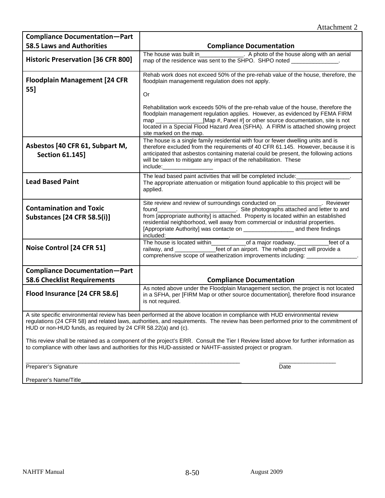| <b>Compliance Documentation-Part</b>                                                                                                                                                                                                              |                                                                                                                                                                                                                                                                                                                                                                                                                                                                      |  |  |  |
|---------------------------------------------------------------------------------------------------------------------------------------------------------------------------------------------------------------------------------------------------|----------------------------------------------------------------------------------------------------------------------------------------------------------------------------------------------------------------------------------------------------------------------------------------------------------------------------------------------------------------------------------------------------------------------------------------------------------------------|--|--|--|
| <b>58.5 Laws and Authorities</b>                                                                                                                                                                                                                  | <b>Compliance Documentation</b>                                                                                                                                                                                                                                                                                                                                                                                                                                      |  |  |  |
| <b>Historic Preservation [36 CFR 800]</b>                                                                                                                                                                                                         | The house was built in<br>A photo of the house along with an aerial<br>map of the residence was sent to the SHPO. SHPO noted _______________.                                                                                                                                                                                                                                                                                                                        |  |  |  |
| <b>Floodplain Management [24 CFR</b><br>55]                                                                                                                                                                                                       | Rehab work does not exceed 50% of the pre-rehab value of the house, therefore, the<br>floodplain managementt regulation does not apply.<br>Or                                                                                                                                                                                                                                                                                                                        |  |  |  |
|                                                                                                                                                                                                                                                   | Rehabilitation work exceeds 50% of the pre-rehab value of the house, therefore the<br>floodplain management regulation applies. However, as evidenced by FEMA FIRM<br>[Map #, Panel #] or other source documentation, site is not<br>map and the control of the control of the control of the control of the control of the control of the control o<br>located in a Special Flood Hazard Area (SFHA). A FIRM is attached showing project<br>site marked on the map. |  |  |  |
| Asbestos [40 CFR 61, Subpart M,<br><b>Section 61.145]</b>                                                                                                                                                                                         | The house is a single family residential with four or fewer dwelling units and is<br>therefore excluded from the requirements of 40 CFR 61.145. However, because it is<br>anticipated that asbestos containing material could be present, the following actions<br>will be taken to mitigate any impact of the rehabilitation. These<br>include:______                                                                                                               |  |  |  |
| <b>Lead Based Paint</b>                                                                                                                                                                                                                           | The lead based paint activities that will be completed include:<br>The appropriate attenuation or mitigation found applicable to this project will be<br>applied.                                                                                                                                                                                                                                                                                                    |  |  |  |
| <b>Contamination and Toxic</b><br><b>Substances [24 CFR 58.5(i)]</b>                                                                                                                                                                              | Site review and review of surroundings conducted on<br><b>Example 2</b> Reviewer<br>Site photographs attached and letter to and<br>found<br>from [appropriate authority] is attached. Property is located within an established<br>residential neighborhood, well away from commercial or industrial properties.<br>included:                                                                                                                                        |  |  |  |
| Noise Control [24 CFR 51]                                                                                                                                                                                                                         | The house is located within<br>of a major roadway, <u>eque</u><br>feet of a<br>_feet of an airport. The rehab project will provide a<br>railway, and<br>comprehensive scope of weatherization improvements including: __________                                                                                                                                                                                                                                     |  |  |  |
| <b>Compliance Documentation-Part</b>                                                                                                                                                                                                              |                                                                                                                                                                                                                                                                                                                                                                                                                                                                      |  |  |  |
| <b>58.6 Checklist Requirements</b>                                                                                                                                                                                                                | <b>Compliance Documentation</b>                                                                                                                                                                                                                                                                                                                                                                                                                                      |  |  |  |
| Flood Insurance [24 CFR 58.6]                                                                                                                                                                                                                     | As noted above under the Floodplain Management section, the project is not located<br>in a SFHA, per [FIRM Map or other source documentation], therefore flood insurance<br>is not required.                                                                                                                                                                                                                                                                         |  |  |  |
| HUD or non-HUD funds, as required by 24 CFR 58.22(a) and (c).                                                                                                                                                                                     | A site specific environmental review has been performed at the above location in compliance with HUD environmental review<br>regulations (24 CFR 58) and related laws, authorities, and requirements. The review has been performed prior to the commitment of                                                                                                                                                                                                       |  |  |  |
| This review shall be retained as a component of the project's ERR. Consult the Tier I Review listed above for further information as<br>to compliance with other laws and authorities for this HUD-assisted or NAHTF-assisted project or program. |                                                                                                                                                                                                                                                                                                                                                                                                                                                                      |  |  |  |

 $\frac{1}{2}$  ,  $\frac{1}{2}$  ,  $\frac{1}{2}$  ,  $\frac{1}{2}$  ,  $\frac{1}{2}$  ,  $\frac{1}{2}$  ,  $\frac{1}{2}$  ,  $\frac{1}{2}$  ,  $\frac{1}{2}$  ,  $\frac{1}{2}$  ,  $\frac{1}{2}$  ,  $\frac{1}{2}$  ,  $\frac{1}{2}$  ,  $\frac{1}{2}$  ,  $\frac{1}{2}$  ,  $\frac{1}{2}$  ,  $\frac{1}{2}$  ,  $\frac{1}{2}$  ,  $\frac{1$ Preparer's Signature Date

Preparer's Name/Title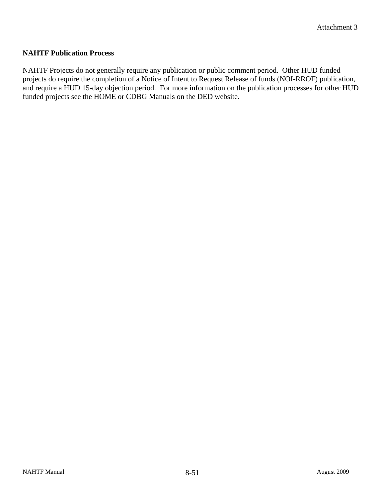#### **NAHTF Publication Process**

NAHTF Projects do not generally require any publication or public comment period. Other HUD funded projects do require the completion of a Notice of Intent to Request Release of funds (NOI-RROF) publication, and require a HUD 15-day objection period. For more information on the publication processes for other HUD funded projects see the HOME or CDBG Manuals on the DED website.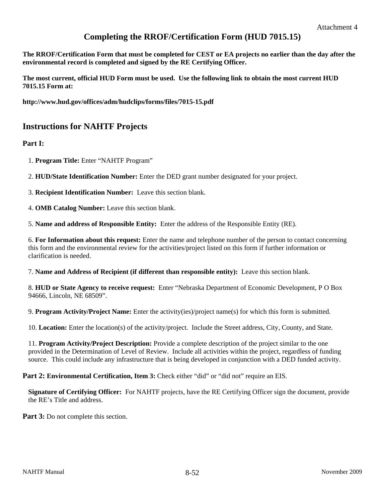### **Completing the RROF/Certification Form (HUD 7015.15)**

**The RROF/Certification Form that must be completed for CEST or EA projects no earlier than the day after the environmental record is completed and signed by the RE Certifying Officer.** 

**The most current, official HUD Form must be used. Use the following link to obtain the most current HUD 7015.15 Form at:** 

**http://www.hud.gov/offices/adm/hudclips/forms/files/7015-15.pdf** 

### **Instructions for NAHTF Projects**

**Part I:** 

1. **Program Title:** Enter "NAHTF Program"

2. **HUD/State Identification Number:** Enter the DED grant number designated for your project.

3. **Recipient Identification Number:** Leave this section blank.

4. **OMB Catalog Number:** Leave this section blank.

5. **Name and address of Responsible Entity:** Enter the address of the Responsible Entity (RE).

6. **For Information about this request:** Enter the name and telephone number of the person to contact concerning this form and the environmental review for the activities/project listed on this form if further information or clarification is needed.

7. **Name and Address of Recipient (if different than responsible entity):** Leave this section blank.

8. **HUD or State Agency to receive request:** Enter "Nebraska Department of Economic Development, P O Box 94666, Lincoln, NE 68509".

9. **Program Activity/Project Name:** Enter the activity(ies)/project name(s) for which this form is submitted.

10. **Location:** Enter the location(s) of the activity/project. Include the Street address, City, County, and State.

11. **Program Activity/Project Description:** Provide a complete description of the project similar to the one provided in the Determination of Level of Review. Include all activities within the project, regardless of funding source. This could include any infrastructure that is being developed in conjunction with a DED funded activity.

**Part 2: Environmental Certification, Item 3: Check either "did" or "did not" require an EIS.** 

**Signature of Certifying Officer:** For NAHTF projects, have the RE Certifying Officer sign the document, provide the RE's Title and address.

**Part 3:** Do not complete this section.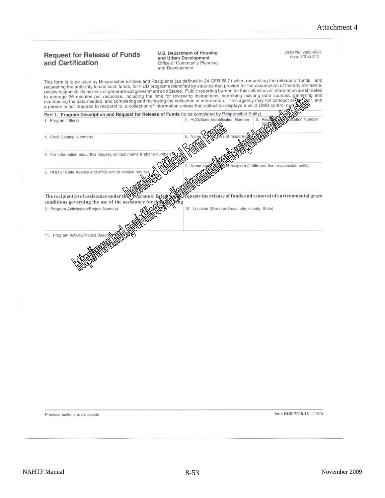#### **Request for Release of Funds** and Certification

U.S. Department of Housing and Urban Development Office of Community Planning and Development

This form is to be used by Responsible Entities and Recipients (as defined in 24 CFR 58.2) when requesting the release of funds, and requesting the authority to use such funds, for HUD programs identified by statutes that requesting the authority to use such tands; for note programs technics by exercising burden for this collection of information is estimated review responsibility by units of general local government and States. Public repo to average 36 minutes per response, including the time for reviewing instructions, searching existing data sources, gathering and

OMB No. 2506-0087 (exp. 3/31/2011)

sor, and

maintaining the data needed, and completing and reviewing the collection of information. This agency may not conduct or part a person is not required to respond to, a collection of information unless that collection displays a valid OMB control nu Part 1. Program Description and Request for Release of Funds (to be completed by Responsible Entity) 2. HUD/State Identification Number Number 1. Program Title(s) 4. OMB Catalog Number(s) 6. For information about this request, contact (name & phone numb ent (if different than responsible entity) 8. HUD or State Agency and office unit to receive re The recipient(s) of assistance under th uests the release of funds and removal of environmental grant conditions governing the use of the assistance 9. Program Activity(ies)/Project Name(s) 10. Location (Street address, city, county, State) 11. Program Activity/Project Description

Previous editions are obsolete

form HUD-7015.15 (1/99)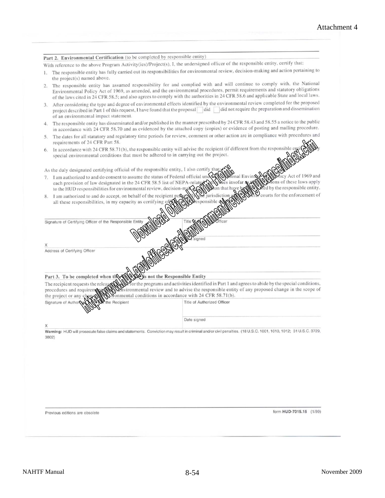#### Part 2. Environmental Certification (to be completed by responsible entity)

With reference to the above Program Activity(ies)/Project(s), I, the undersigned officer of the responsible entity, certify that:

- 1. The responsible entity has fully carried out its responsibilities for environmental review, decision-making and action pertaining to the project(s) named above.
- The responsible entity has assumed responsibility for and complied with and will continue to comply with, the National  $\overline{2}$ Environmental Policy Act of 1969, as amended, and the environmental procedures, permit requirements and statutory obligations of the laws cited in 24 CFR 58.5; and also agrees to comply with the authorities in 24 CFR 58.6 and applicable State and local laws.
- 3. After considering the type and degree of environmental effects identified by the environmental review completed for the proposed project described in Part 1 of this request, I have found that the proposal did did not require the preparation and dissemination of an environmental impact statement.
- 4. The responsible entity has disseminated and/or published in the manner prescribed by 24 CFR 58.43 and 58.55 a notice to the public in accordance with 24 CFR 58.70 and as evidenced by the attached copy (copies) or evidence of posting and mailing procedure.
- The dates for all statutory and regulatory time periods for review, comment or other action are in compliance with procedures and 5. requirements of 24 CFR Part 58.
- In accordance with 24 CFR 58.71(b), the responsible entity will advise the recipient (if different from the responsible special environmental conditions that must be adhered to in carrying out the project.

As the duly designated certifying official of the responsible entity, I also certify that

- 7. I am authorized to and do consent to assume the status of Federal official und Act of 1969 and ns of these laws apply each provision of law designated in the 24 CFR 58.5 list of NEPA-relat d by the responsible entity. to the HUD responsibilities for environmental review, decision-ma on that hay
- courts for the enforcement of 8. I am authorized to and do accept, on behalf of the recipient all these responsibilities, in my capacity as certifying

Signature of Certifying Officer of the Responsible Entit

Y

Address of Certifying Officer

#### is not the Responsible Entity Part 3. To be completed when the

or the programs and activities identified in Part 1 and agrees to abide by the special conditions, The recipient requests the relea procedures and requirem vironmental review and to advise the responsible entity of any proposed change in the scope of Monmental conditions in accordance with 24 CFR 58.71(b). the project or any change

| Signature of Authorse MOTOP the Recipient | Title of Authorized Officer |
|-------------------------------------------|-----------------------------|
| $\checkmark$                              | Date signed                 |

Warning: HUD will prosecute false claims and statements. Conviction may result in criminal and/or civil penalties. (18 U.S.C. 1001, 1010, 1012; 31 U.S.C. 3729, 3802)

Previous editions are obsolete

form HUD-7015.15 (1/99)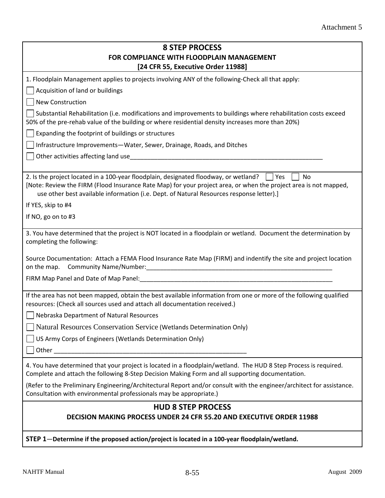| <b>8 STEP PROCESS</b><br>FOR COMPLIANCE WITH FLOODPLAIN MANAGEMENT                                                                                                                                                                                                                                                    |  |  |  |  |
|-----------------------------------------------------------------------------------------------------------------------------------------------------------------------------------------------------------------------------------------------------------------------------------------------------------------------|--|--|--|--|
| [24 CFR 55, Executive Order 11988]                                                                                                                                                                                                                                                                                    |  |  |  |  |
| 1. Floodplain Management applies to projects involving ANY of the following-Check all that apply:                                                                                                                                                                                                                     |  |  |  |  |
| Acquisition of land or buildings                                                                                                                                                                                                                                                                                      |  |  |  |  |
| New Construction                                                                                                                                                                                                                                                                                                      |  |  |  |  |
| Substantial Rehabilitation (i.e. modifications and improvements to buildings where rehabilitation costs exceed<br>50% of the pre-rehab value of the building or where residential density increases more than 20%)                                                                                                    |  |  |  |  |
| Expanding the footprint of buildings or structures                                                                                                                                                                                                                                                                    |  |  |  |  |
| Infrastructure Improvements-Water, Sewer, Drainage, Roads, and Ditches                                                                                                                                                                                                                                                |  |  |  |  |
|                                                                                                                                                                                                                                                                                                                       |  |  |  |  |
|                                                                                                                                                                                                                                                                                                                       |  |  |  |  |
| 2. Is the project located in a 100-year floodplain, designated floodway, or wetland? $\Box$ Yes<br>No<br>[Note: Review the FIRM (Flood Insurance Rate Map) for your project area, or when the project area is not mapped,<br>use other best available information (i.e. Dept. of Natural Resources response letter).] |  |  |  |  |
| If YES, skip to #4                                                                                                                                                                                                                                                                                                    |  |  |  |  |
| If NO, go on to #3                                                                                                                                                                                                                                                                                                    |  |  |  |  |
| 3. You have determined that the project is NOT located in a floodplain or wetland. Document the determination by<br>completing the following:                                                                                                                                                                         |  |  |  |  |
| Source Documentation: Attach a FEMA Flood Insurance Rate Map (FIRM) and indentify the site and project location                                                                                                                                                                                                       |  |  |  |  |
|                                                                                                                                                                                                                                                                                                                       |  |  |  |  |
| If the area has not been mapped, obtain the best available information from one or more of the following qualified<br>resources: (Check all sources used and attach all documentation received.)                                                                                                                      |  |  |  |  |
| Nebraska Department of Natural Resources                                                                                                                                                                                                                                                                              |  |  |  |  |
| Natural Resources Conservation Service (Wetlands Determination Only)                                                                                                                                                                                                                                                  |  |  |  |  |
| US Army Corps of Engineers (Wetlands Determination Only)                                                                                                                                                                                                                                                              |  |  |  |  |
| Other                                                                                                                                                                                                                                                                                                                 |  |  |  |  |
| 4. You have determined that your project is located in a floodplain/wetland. The HUD 8 Step Process is required.<br>Complete and attach the following 8-Step Decision Making Form and all supporting documentation.                                                                                                   |  |  |  |  |
| (Refer to the Preliminary Engineering/Architectural Report and/or consult with the engineer/architect for assistance.<br>Consultation with environmental professionals may be appropriate.)                                                                                                                           |  |  |  |  |
| <b>HUD 8 STEP PROCESS</b><br><b>DECISION MAKING PROCESS UNDER 24 CFR 55.20 AND EXECUTIVE ORDER 11988</b>                                                                                                                                                                                                              |  |  |  |  |
| STEP 1-Determine if the proposed action/project is located in a 100-year floodplain/wetland.                                                                                                                                                                                                                          |  |  |  |  |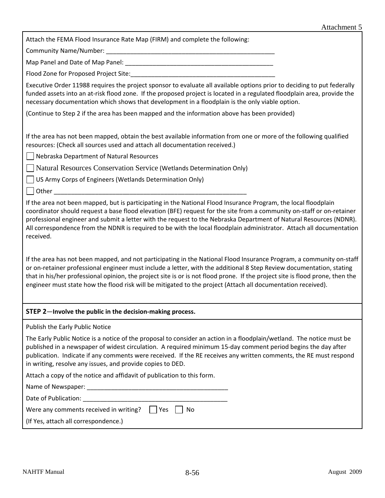Attach the FEMA Flood Insurance Rate Map (FIRM) and complete the following:

Community Name/Number:

Map Panel and Date of Map Panel: \_\_\_\_\_\_\_\_\_\_\_\_\_\_\_\_\_\_\_\_\_\_\_\_\_\_\_\_\_\_\_\_\_\_\_\_\_\_\_\_\_\_\_

Flood Zone for Proposed Project Site:

Executive Order 11988 requires the project sponsor to evaluate all available options prior to deciding to put federally funded assets into an at-risk flood zone. If the proposed project is located in a regulated floodplain area, provide the necessary documentation which shows that development in a floodplain is the only viable option.

(Continue to Step 2 if the area has been mapped and the information above has been provided)

If the area has not been mapped, obtain the best available information from one or more of the following qualified resources: (Check all sources used and attach all documentation received.)

Nebraska Department of Natural Resources

Natural Resources Conservation Service (Wetlands Determination Only)

US Army Corps of Engineers (Wetlands Determination Only)

Other \_\_\_\_\_\_\_\_\_\_\_\_\_\_\_\_\_\_\_\_\_\_\_\_\_\_\_\_\_\_\_\_\_\_\_\_\_\_\_\_\_\_\_\_\_\_\_\_\_\_\_\_\_\_\_\_

If the area not been mapped, but is participating in the National Flood Insurance Program, the local floodplain coordinator should request a base flood elevation (BFE) request for the site from a community on‐staff or on‐retainer professional engineer and submit a letter with the request to the Nebraska Department of Natural Resources (NDNR). All correspondence from the NDNR is required to be with the local floodplain administrator. Attach all documentation received.

If the area has not been mapped, and not participating in the National Flood Insurance Program, a community on‐staff or on-retainer professional engineer must include a letter, with the additional 8 Step Review documentation, stating that in his/her professional opinion, the project site is or is not flood prone. If the project site is flood prone, then the engineer must state how the flood risk will be mitigated to the project (Attach all documentation received).

#### **STEP 2**—**Involve the public in the decision‐making process.**

Publish the Early Public Notice

| The Early Public Notice is a notice of the proposal to consider an action in a floodplain/wetland. The notice must be |
|-----------------------------------------------------------------------------------------------------------------------|
| published in a newspaper of widest circulation. A required minimum 15-day comment period begins the day after         |
| publication. Indicate if any comments were received. If the RE receives any written comments, the RE must respond     |
| in writing, resolve any issues, and provide copies to DED.                                                            |

Attach a copy of the notice and affidavit of publication to this form.

Name of Newspaper: \_\_\_\_\_\_\_\_\_\_\_\_\_\_\_\_\_\_\_\_\_\_\_\_\_\_\_\_\_\_\_\_\_\_\_\_\_\_\_\_\_

Date of Publication:

| Were any comments received in writing? | $\Box$ Yes $\Box$ No |  |
|----------------------------------------|----------------------|--|
|                                        |                      |  |

(If Yes, attach all correspondence.)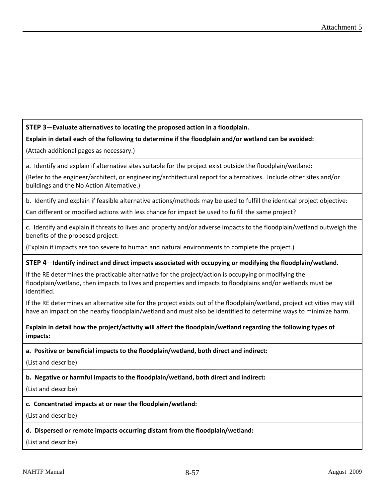#### **STEP 3**—**Evaluate alternatives to locating the proposed action in a floodplain.**

#### **Explain in detail each of the following to determine if the floodplain and/or wetland can be avoided:**

(Attach additional pages as necessary.)

a. Identify and explain if alternative sites suitable for the project exist outside the floodplain/wetland:

(Refer to the engineer/architect, or engineering/architectural report for alternatives. Include other sites and/or buildings and the No Action Alternative.)

b. Identify and explain if feasible alternative actions/methods may be used to fulfill the identical project objective:

Can different or modified actions with less chance for impact be used to fulfill the same project?

c. Identify and explain if threats to lives and property and/or adverse impacts to the floodplain/wetland outweigh the benefits of the proposed project:

(Explain if impacts are too severe to human and natural environments to complete the project.)

#### **STEP 4**—**Identify indirect and direct impacts associated with occupying or modifying the floodplain/wetland.**

If the RE determines the practicable alternative for the project/action is occupying or modifying the floodplain/wetland, then impacts to lives and properties and impacts to floodplains and/or wetlands must be identified.

If the RE determines an alternative site for the project exists out of the floodplain/wetland, project activities may still have an impact on the nearby floodplain/wetland and must also be identified to determine ways to minimize harm.

**Explain in detail how the project/activity will affect the floodplain/wetland regarding the following types of impacts:**

**a. Positive or beneficial impacts to the floodplain/wetland, both direct and indirect:**

(List and describe)

**b. Negative or harmful impacts to the floodplain/wetland, both direct and indirect:**

(List and describe)

#### **c. Concentrated impacts at or near the floodplain/wetland:**

(List and describe)

#### **d. Dispersed or remote impacts occurring distant from the floodplain/wetland:**

(List and describe)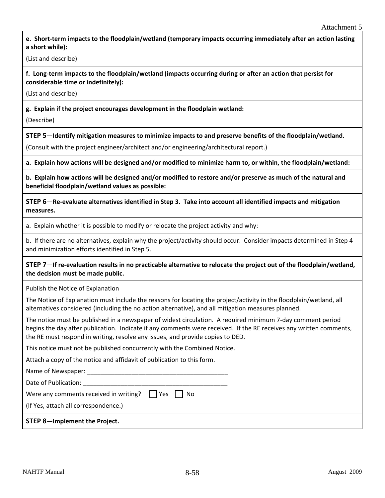e. Short-term impacts to the floodplain/wetland (temporary impacts occurring immediately after an action lasting **a short while):**

(List and describe)

f. Long-term impacts to the floodplain/wetland (impacts occurring during or after an action that persist for **considerable time or indefinitely):**

(List and describe)

**g. Explain if the project encourages development in the floodplain wetland:**

(Describe)

**STEP 5**—**Identify mitigation measures to minimize impacts to and preserve benefits of the floodplain/wetland.**

(Consult with the project engineer/architect and/or engineering/architectural report.)

a. Explain how actions will be designed and/or modified to minimize harm to, or within, the floodplain/wetland:

b. Explain how actions will be designed and/or modified to restore and/or preserve as much of the natural and **beneficial floodplain/wetland values as possible:**

STEP 6—Re-evaluate alternatives identified in Step 3. Take into account all identified impacts and mitigation **measures.**

a. Explain whether it is possible to modify or relocate the project activity and why:

b. If there are no alternatives, explain why the project/activity should occur. Consider impacts determined in Step 4 and minimization efforts identified in Step 5.

STEP 7-If re-evaluation results in no practicable alternative to relocate the project out of the floodplain/wetland, **the decision must be made public.**

Publish the Notice of Explanation

The Notice of Explanation must include the reasons for locating the project/activity in the floodplain/wetland, all alternatives considered (including the no action alternative), and all mitigation measures planned.

The notice must be published in a newspaper of widest circulation. A required minimum 7‐day comment period begins the day after publication. Indicate if any comments were received. If the RE receives any written comments, the RE must respond in writing, resolve any issues, and provide copies to DED.

This notice must not be published concurrently with the Combined Notice.

Attach a copy of the notice and affidavit of publication to this form.

Name of Newspaper:

Date of Publication:

Were any comments received in writing?  $\Box$  Yes  $\Box$  No

(If Yes, attach all correspondence.)

**STEP 8—Implement the Project.**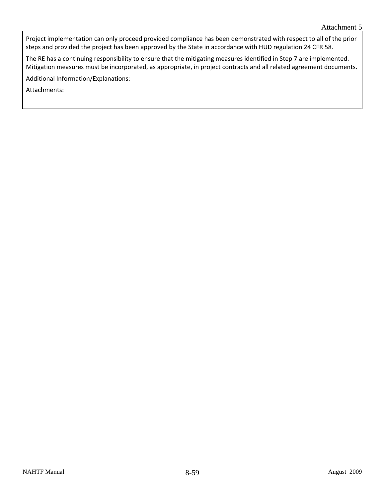Project implementation can only proceed provided compliance has been demonstrated with respect to all of the prior steps and provided the project has been approved by the State in accordance with HUD regulation 24 CFR 58.

The RE has a continuing responsibility to ensure that the mitigating measures identified in Step 7 are implemented. Mitigation measures must be incorporated, as appropriate, in project contracts and all related agreement documents.

Additional Information/Explanations: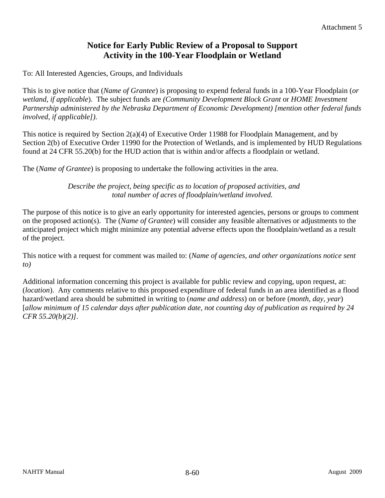## **Notice for Early Public Review of a Proposal to Support Activity in the 100-Year Floodplain or Wetland**

To: All Interested Agencies, Groups, and Individuals

This is to give notice that (*Name of Grantee*) is proposing to expend federal funds in a 100-Year Floodplain (*or wetland, if applicable*). The subject funds are *(Community Development Block Grant* or *HOME Investment Partnership administered by the Nebraska Department of Economic Development) [mention other federal funds involved, if applicable])*.

This notice is required by Section 2(a)(4) of Executive Order 11988 for Floodplain Management, and by Section 2(b) of Executive Order 11990 for the Protection of Wetlands, and is implemented by HUD Regulations found at 24 CFR 55.20(b) for the HUD action that is within and/or affects a floodplain or wetland.

The (*Name of Grantee*) is proposing to undertake the following activities in the area.

 *Describe the project, being specific as to location of proposed activities, and total number of acres of floodplain/wetland involved.*

The purpose of this notice is to give an early opportunity for interested agencies, persons or groups to comment on the proposed action(s). The (*Name of Grantee*) will consider any feasible alternatives or adjustments to the anticipated project which might minimize any potential adverse effects upon the floodplain/wetland as a result of the project.

This notice with a request for comment was mailed to: (*Name of agencies, and other organizations notice sent to)*

Additional information concerning this project is available for public review and copying, upon request, at: (*location*). Any comments relative to this proposed expenditure of federal funds in an area identified as a flood hazard/wetland area should be submitted in writing to (*name and address*) on or before (*month, day, year*) [*allow minimum of 15 calendar days after publication date, not counting day of publication as required by 24 CFR 55.20(b)(2)]*.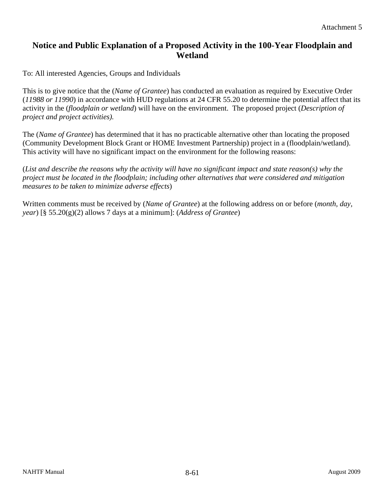## **Notice and Public Explanation of a Proposed Activity in the 100-Year Floodplain and Wetland**

To: All interested Agencies, Groups and Individuals

This is to give notice that the (*Name of Grantee*) has conducted an evaluation as required by Executive Order (*11988 or 11990*) in accordance with HUD regulations at 24 CFR 55.20 to determine the potential affect that its activity in the (*floodplain or wetland*) will have on the environment. The proposed project (*Description of project and project activities).* 

The (*Name of Grantee*) has determined that it has no practicable alternative other than locating the proposed (Community Development Block Grant or HOME Investment Partnership) project in a (floodplain/wetland). This activity will have no significant impact on the environment for the following reasons:

(*List and describe the reasons why the activity will have no significant impact and state reason(s) why the project must be located in the floodplain; including other alternatives that were considered and mitigation measures to be taken to minimize adverse effects*)

Written comments must be received by (*Name of Grantee*) at the following address on or before (*month, day, year*) [§ 55.20(g)(2) allows 7 days at a minimum]: (*Address of Grantee*)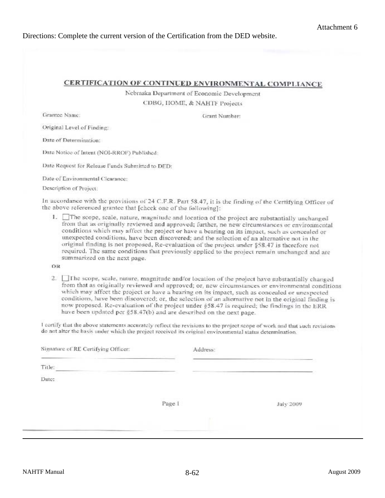#### Directions: Complete the current version of the Certification from the DED website.

#### **CERTIFICATION OF CONTINUED ENVIRONMENTAL COMPLIANCE**

Nebraska Department of Economic Development CDBG, HOME, & NAHTF Projects

Grantee Name:

Grant Number:

Original Level of Finding:

Date of Determination:

Date Notice of Intent (NOI-RROF) Published:

Date Request for Release Funds Submitted to DED:

Date of Environmental Clearance:

Description of Project:

In accordance with the provisions of 24 C.F.R. Part 58.47, it is the finding of the Certifying Officer of the above referenced grantee that [check one of the following]:

1. The scope, scale, nature, magnitude and location of the project are substantially unchanged from that as originally reviewed and approved; further, no new circumstances or environmental conditions which may affect the project or have a bearing on its impact, such as concealed or unexpected conditions, have been discovered; and the selection of an alternative not in the original finding is not proposed, Re-evaluation of the project under §58.47 is therefore not required. The same conditions that previously applied to the project remain unchanged and are summarized on the next page.

OR

2. The scope, scale, nature, magnitude and/or location of the project have substantially changed from that as originally reviewed and approved; or, new circumstances or environmental conditions which may affect the project or have a hearing on its impact, such as concealed or unexpected conditions, have been discovered; or, the selection of an alternative not in the original finding is now proposed. Re-evaluation of the project under §58.47 is required; the findings in the ERR have been updated per §58.47(b) and are described on the next page.

I certify that the above statements accurately reflect the revisions to the project scope of work and that such revisions do not alter the hasis under which the project received its original environmental status determination.

| Signature of RE Certifying Officer: |        | Address: |           |
|-------------------------------------|--------|----------|-----------|
| Title:                              |        |          |           |
| Date:                               |        |          |           |
|                                     | Page 1 |          | July 2009 |
|                                     |        |          |           |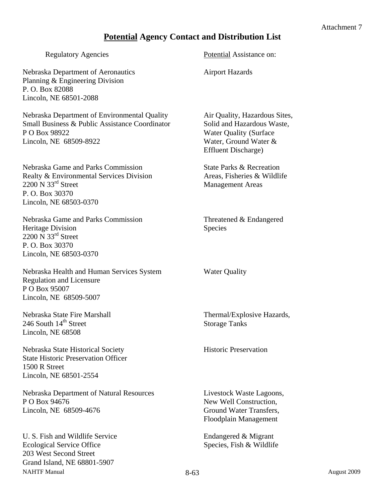## **Potential Agency Contact and Distribution List**

| <b>Regulatory Agencies</b>                                                                                                                                            | Potential Assistance on:                                                                                                                            |
|-----------------------------------------------------------------------------------------------------------------------------------------------------------------------|-----------------------------------------------------------------------------------------------------------------------------------------------------|
| Nebraska Department of Aeronautics<br>Planning & Engineering Division<br>P.O. Box 82088<br>Lincoln, NE 68501-2088                                                     | <b>Airport Hazards</b>                                                                                                                              |
| Nebraska Department of Environmental Quality<br><b>Small Business &amp; Public Assistance Coordinator</b><br>P O Box 98922<br>Lincoln, NE 68509-8922                  | Air Quality, Hazardous Sites,<br>Solid and Hazardous Waste,<br><b>Water Quality (Surface</b><br>Water, Ground Water &<br><b>Effluent Discharge)</b> |
| Nebraska Game and Parks Commission<br>Realty & Environmental Services Division<br>$2200 \text{ N } 33^{\text{rd}}$ Street<br>P.O. Box 30370<br>Lincoln, NE 68503-0370 | State Parks & Recreation<br>Areas, Fisheries & Wildlife<br><b>Management Areas</b>                                                                  |
| Nebraska Game and Parks Commission<br>Heritage Division<br>2200 $\overline{N}$ 33 <sup>rd</sup> Street<br>P.O. Box 30370<br>Lincoln, NE 68503-0370                    | Threatened & Endangered<br>Species                                                                                                                  |
| Nebraska Health and Human Services System<br><b>Regulation and Licensure</b><br>P O Box 95007<br>Lincoln, NE 68509-5007                                               | <b>Water Quality</b>                                                                                                                                |
| Nebraska State Fire Marshall<br>246 South 14 <sup>th</sup> Street<br>Lincoln, NE 68508                                                                                | Thermal/Explosive Hazards,<br><b>Storage Tanks</b>                                                                                                  |
| Nebraska State Historical Society<br><b>State Historic Preservation Officer</b><br>1500 R Street<br>Lincoln, NE 68501-2554                                            | <b>Historic Preservation</b>                                                                                                                        |
| Nebraska Department of Natural Resources<br>P O Box 94676<br>Lincoln, NE 68509-4676                                                                                   | Livestock Waste Lagoons,<br>New Well Construction,<br>Ground Water Transfers,<br>Floodplain Management                                              |
| U. S. Fish and Wildlife Service<br><b>Ecological Service Office</b><br>203 West Second Street<br>Grand Island, NE 68801-5907                                          | Endangered & Migrant<br>Species, Fish & Wildlife                                                                                                    |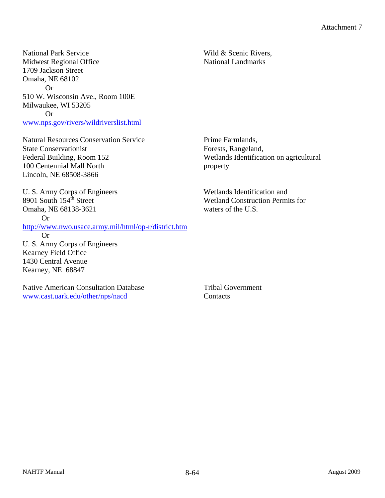National Park Service Wild & Scenic Rivers, Midwest Regional Office National Landmarks 1709 Jackson Street Omaha, NE 68102 Or 510 W. Wisconsin Ave., Room 100E Milwaukee, WI 53205 Or www.nps.gov/rivers/wildriverslist.html

Natural Resources Conservation Service Prime Farmlands, State Conservationist Forests, Rangeland, Federal Building, Room 152 Wetlands Identification on agricultural 100 Centennial Mall North property Lincoln, NE 68508-3866

U. S. Army Corps of Engineers Wetlands Identification and Omaha, NE 68138-3621 waters of the U.S.

Or

http://www.nwo.usace.army.mil/html/op-r/district.htm Or

U. S. Army Corps of Engineers Kearney Field Office 1430 Central Avenue Kearney, NE 68847

Native American Consultation Database Tribal Government www.cast.uark.edu/other/nps/nacd Contacts

8901 South  $154^{\text{th}}$  Street Wetland Construction Permits for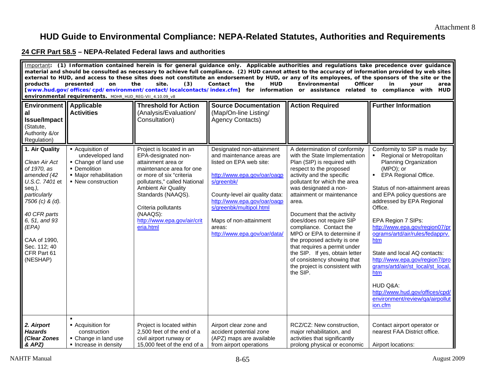## **HUD Guide to Environmental Compliance: NEPA-Related Statutes, Authorities and Requirements**

#### **24 CFR Part 58.5 – NEPA-Related Federal laws and authorities**

| Important: (1) Information contained herein is for general guidance only. Applicable authorities and regulations take precedence over guidance<br>material and should be consulted as necessary to achieve full compliance. (2) HUD cannot attest to the accuracy of information provided by web sites<br>external to HUD, and access to these sites does not constitute an endorsement by HUD, or any of its employees, of the sponsors of the site or the<br>presented<br>Contact<br><b>HUD</b><br>Environmental<br><b>Officer</b><br>products<br>on<br>the<br>site.<br>(3)<br>the<br>in<br>your<br>area<br>[www.hud.gov/offices/cpd/environment/contact/localcontacts/index.cfm] for information or assistance related to compliance with HUD<br>environmental requirements. MOHR_HUD_REG-VII_4.10.09_v8 |                                                                                                                              |                                                                                                                                                                                                                                                                                                  |                                                                                                                                                                                                                                                                                                |                                                                                                                                                                                                                                                                                                                                                                                                                                                                                                                                                         |                                                                                                                                                                                                                                                                                                                                                                                                                                                                                                                                                   |  |
|-------------------------------------------------------------------------------------------------------------------------------------------------------------------------------------------------------------------------------------------------------------------------------------------------------------------------------------------------------------------------------------------------------------------------------------------------------------------------------------------------------------------------------------------------------------------------------------------------------------------------------------------------------------------------------------------------------------------------------------------------------------------------------------------------------------|------------------------------------------------------------------------------------------------------------------------------|--------------------------------------------------------------------------------------------------------------------------------------------------------------------------------------------------------------------------------------------------------------------------------------------------|------------------------------------------------------------------------------------------------------------------------------------------------------------------------------------------------------------------------------------------------------------------------------------------------|---------------------------------------------------------------------------------------------------------------------------------------------------------------------------------------------------------------------------------------------------------------------------------------------------------------------------------------------------------------------------------------------------------------------------------------------------------------------------------------------------------------------------------------------------------|---------------------------------------------------------------------------------------------------------------------------------------------------------------------------------------------------------------------------------------------------------------------------------------------------------------------------------------------------------------------------------------------------------------------------------------------------------------------------------------------------------------------------------------------------|--|
| <b>Environment   Applicable</b><br>al<br><b>Issue/Impact</b><br>(Statute,<br>Authority &/or<br>Regulation)                                                                                                                                                                                                                                                                                                                                                                                                                                                                                                                                                                                                                                                                                                  | <b>Activities</b>                                                                                                            | <b>Threshold for Action</b><br>(Analysis/Evaluation/<br>Consultation)                                                                                                                                                                                                                            | <b>Source Documentation</b><br>(Map/On-line Listing/<br><b>Agency Contacts)</b>                                                                                                                                                                                                                | <b>Action Required</b>                                                                                                                                                                                                                                                                                                                                                                                                                                                                                                                                  | <b>Further Information</b>                                                                                                                                                                                                                                                                                                                                                                                                                                                                                                                        |  |
| 1. Air Quality<br>Clean Air Act<br>of 1970, as<br>amended (42<br>U.S.C. 7401 et<br>seq.),<br>particularly<br>7506 (c) & (d).<br>40 CFR parts<br>6, 51, and 93<br>(EPA)<br>CAA of 1990,<br>Sec. 112; 40<br>CFR Part 61<br>(NESHAP)                                                                                                                                                                                                                                                                                                                                                                                                                                                                                                                                                                           | - Acquisition of<br>undeveloped land<br>• Change of land use<br>• Demolition<br>• Major rehabilitation<br>• New construction | Project is located in an<br>EPA-designated non-<br>attainment area or<br>maintenance area for one<br>or more of six "criteria<br>pollutants," called National<br><b>Ambient Air Quality</b><br>Standards (NAAQS).<br>Criteria pollutants<br>(NAAQS):<br>http://www.epa.gov/air/crit<br>eria.html | Designated non-attainment<br>and maintenance areas are<br>listed on EPA web site:<br>http://www.epa.gov/oar/oagp<br>s/greenbk/<br>County-level air quality data:<br>http://www.epa.gov/oar/oaqp<br>s/greenbk/multipol.html<br>Maps of non-attainment<br>areas:<br>http://www.epa.gov/oar/data/ | A determination of conformity<br>with the State Implementation<br>Plan (SIP) is required with<br>respect to the proposed<br>activity and the specific<br>pollutant for which the area<br>was designated a non-<br>attainment or maintenance<br>area.<br>Document that the activity<br>does/does not require SIP<br>compliance. Contact the<br>MPO or EPA to determine if<br>the proposed activity is one<br>that requires a permit under<br>the SIP. If yes, obtain letter<br>of consistency showing that<br>the project is consistent with<br>the SIP. | Conformity to SIP is made by:<br>• Regional or Metropolitan<br>Planning Organization<br>(MPO); or<br>• EPA Regional Office.<br>Status of non-attainment areas<br>and EPA policy questions are<br>addressed by EPA Regional<br>Office.<br>EPA Region 7 SIPs:<br>http://www.epa.gov/region07/pr<br>ograms/artd/air/rules/fedapprv.<br>htm<br>State and local AQ contacts:<br>http://www.epa.gov/region7/pro<br>grams/artd/air/st_local/st_local<br>htm<br>HUD Q&A:<br>http://www.hud.gov/offices/cpd/<br>environment/review/qa/airpollut<br>ion.cfm |  |
| 2. Airport<br><b>Hazards</b><br>(Clear Zones<br>& APZ)                                                                                                                                                                                                                                                                                                                                                                                                                                                                                                                                                                                                                                                                                                                                                      | - Acquisition for<br>construction<br>• Change in land use<br>Increase in density                                             | Project is located within<br>2,500 feet of the end of a<br>civil airport runway or<br>15,000 feet of the end of a                                                                                                                                                                                | Airport clear zone and<br>accident potential zone<br>(APZ) maps are available<br>from airport operations                                                                                                                                                                                       | RCZ/CZ: New construction,<br>major rehabilitation, and<br>activities that significantly<br>prolong physical or economic                                                                                                                                                                                                                                                                                                                                                                                                                                 | Contact airport operator or<br>nearest FAA District office.<br>Airport locations:                                                                                                                                                                                                                                                                                                                                                                                                                                                                 |  |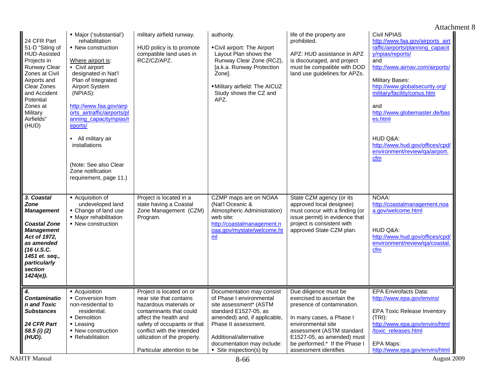|                                                                                                                                                                                                                   |                                                                                                                                                                                                                                                                                                                                                                                                   |                                                                                                                                                                                                                                                              |                                                                                                                                                                                                                                                   |                                                                                                                                                                                                                                                          | Attachment 8                                                                                                                                                                                                                                                                                                                                                                                   |
|-------------------------------------------------------------------------------------------------------------------------------------------------------------------------------------------------------------------|---------------------------------------------------------------------------------------------------------------------------------------------------------------------------------------------------------------------------------------------------------------------------------------------------------------------------------------------------------------------------------------------------|--------------------------------------------------------------------------------------------------------------------------------------------------------------------------------------------------------------------------------------------------------------|---------------------------------------------------------------------------------------------------------------------------------------------------------------------------------------------------------------------------------------------------|----------------------------------------------------------------------------------------------------------------------------------------------------------------------------------------------------------------------------------------------------------|------------------------------------------------------------------------------------------------------------------------------------------------------------------------------------------------------------------------------------------------------------------------------------------------------------------------------------------------------------------------------------------------|
| 24 CFR Part<br>51-D "Siting of<br>HUD-Assisted<br>Projects in<br><b>Runway Clear</b><br>Zones at Civil<br>Airports and<br>Clear Zones<br>and Accident<br>Potential<br>Zones at<br>Military<br>Airfields"<br>(HUD) | • Major ('substantial')<br>rehabilitation<br>• New construction<br>Where airport is:<br>- Civil airport<br>designated in Nat'l<br>Plan of Integrated<br>Airport System<br>(NPIAS):<br>http://www.faa.gov/airp<br>orts_airtraffic/airports/pl<br>anning capacity/npias/r<br>eports/<br>- All military air<br>installations<br>(Note: See also Clear<br>Zone notification<br>requirement, page 11.) | military airfield runway.<br>HUD policy is to promote<br>compatible land uses in<br>RCZ/CZ/APZ.                                                                                                                                                              | authority.<br>• Civil airport: The Airport<br>Layout Plan shows the<br>Runway Clear Zone (RCZ),<br>[a.k.a. Runway Protection<br>Zonel.<br>· Military airfield: The AICUZ<br>Study shows the CZ and<br>APZ.                                        | life of the property are<br>prohibited.<br>APZ: HUD assistance in APZ<br>is discouraged, and project<br>must be compatible with DOD<br>land use guidelines for APZs.                                                                                     | <b>Civil NPIAS</b><br>http://www.faa.gov/airports_airt<br>raffic/airports/planning_capacit<br>y/npias/reports/<br>and<br>http://www.airnav.com/airports/<br><b>Military Bases:</b><br>http://www.globalsecurity.org/<br>military/facility/conus.htm<br>and<br>http://www.globemaster.de/bas<br>es.html<br>HUD Q&A:<br>http://www.hud.gov/offices/cpd/<br>environment/review/qa/airport.<br>cfm |
| 3. Coastal<br><b>Zone</b><br><b>Management</b><br><b>Coastal Zone</b><br><b>Management</b><br>Act of 1972,<br>as amended<br>(16 U.S.C.<br>1451 et. seq.,<br>particularly<br>section<br>1424(e)).                  | - Acquisition of<br>undeveloped land<br>• Change of land use<br>· Major rehabilitation<br>• New construction                                                                                                                                                                                                                                                                                      | Project is located in a<br>state having a Coastal<br>Zone Management (CZM)<br>Program.                                                                                                                                                                       | CZMP maps are on NOAA<br>(Nat'l Oceanic &<br>Atmospheric Administration)<br>web site:<br>http://coastalmanagement.n<br>oaa.gov/mystate/welcome.ht<br>m <sub>l</sub>                                                                               | State CZM agency (or its<br>approved local designee)<br>must concur with a finding (or<br>issue permit) in evidence that<br>project is consistent with<br>approved State CZM plan.                                                                       | NOAA:<br>http://coastalmanagement.noa<br>a.gov/welcome.html<br>HUD Q&A:<br>http://www.hud.gov/offices/cpd/<br>environment/review/ga/coastal<br>cfm                                                                                                                                                                                                                                             |
| $\boldsymbol{4}$ .<br><b>Contaminatio</b><br>n and Toxic<br><b>Substances</b><br>24 CFR Part<br>58.5 (i) (2)<br>(HUD).                                                                                            | • Acquisition<br>• Conversion from<br>non-residential to<br>residential.<br>• Demolition<br>• Leasing<br>• New construction<br>• Rehabilitation                                                                                                                                                                                                                                                   | Project is located on or<br>near site that contains<br>hazardous materials or<br>contaminants that could<br>affect the health and<br>safety of occupants or that<br>conflict with the intended<br>utilization of the property.<br>Particular attention to be | Documentation may consist<br>of Phase I environmental<br>site assessment* (ASTM<br>standard E1527-05, as<br>amended) and, if applicable,<br>Phase II assessment.<br>Additional/alternative<br>documentation may include:<br>Site inspection(s) by | Due diligence must be<br>exercised to ascertain the<br>presence of contamination.<br>In many cases, a Phase I<br>environmental site<br>assessment (ASTM standard<br>E1527-05, as amended) must<br>be performed.* If the Phase I<br>assessment identifies | <b>EPA Envirofacts Data:</b><br>http://www.epa.gov/enviro/<br><b>EPA Toxic Release Inventory</b><br>$(TRI)$ :<br>http://www.epa.gov/enviro/html<br>/toxic_releases.html<br>EPA Maps:<br>http://www.epa.gov/enviro/html                                                                                                                                                                         |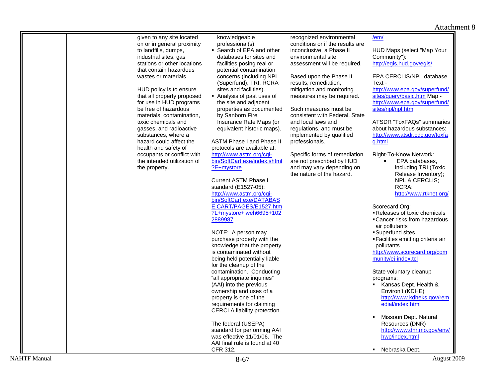|  | given to any site located                      | knowledgeable                                         | recognized environmental                       | /em/                                                     |
|--|------------------------------------------------|-------------------------------------------------------|------------------------------------------------|----------------------------------------------------------|
|  | on or in general proximity                     | professional(s).                                      | conditions or if the results are               |                                                          |
|  | to landfills, dumps,                           | • Search of EPA and other                             | inconclusive, a Phase II                       | HUD Maps (select "Map Your                               |
|  | industrial sites, gas                          | databases for sites and                               | environmental site                             | Community"):                                             |
|  | stations or other locations                    | facilities posing real or                             | assessment will be required.                   | http://egis.hud.gov/egis/                                |
|  | that contain hazardous                         | potential contamination                               |                                                |                                                          |
|  | wastes or materials.                           | concerns (including NPL                               | Based upon the Phase II                        | EPA CERCLIS/NPL database                                 |
|  |                                                | (Superfund), TRI, RCRA                                | results, remediation,                          | Text -                                                   |
|  | HUD policy is to ensure                        | sites and facilities).                                | mitigation and monitoring                      | http://www.epa.gov/superfund/                            |
|  | that all property proposed                     | Analysis of past uses of                              | measures may be required.                      | sites/query/basic.htm Map -                              |
|  | for use in HUD programs                        | the site and adjacent                                 |                                                | http://www.epa.gov/superfund/                            |
|  | be free of hazardous                           | properties as documented                              | Such measures must be                          | sites/npl/npl.htm                                        |
|  | materials, contamination,                      | by Sanborn Fire                                       | consistent with Federal, State                 |                                                          |
|  | toxic chemicals and<br>gasses, and radioactive | Insurance Rate Maps (or<br>equivalent historic maps). | and local laws and<br>regulations, and must be | ATSDR "ToxFAQs" summaries<br>about hazardous substances: |
|  | substances, where a                            |                                                       | implemented by qualified                       | http://www.atsdr.cdc.gov/toxfa                           |
|  | hazard could affect the                        | <b>ASTM Phase I and Phase II</b>                      | professionals.                                 | a.html                                                   |
|  | health and safety of                           | protocols are available at:                           |                                                |                                                          |
|  | occupants or conflict with                     | http://www.astm.org/cgi-                              | Specific forms of remediation                  | Right-To-Know Network:                                   |
|  | the intended utilization of                    | bin/SoftCart.exe/index.shtml                          | are not prescribed by HUD                      | EPA databases,                                           |
|  | the property.                                  | ?E+mystore                                            | and may vary depending on                      | including TRI (Toxic                                     |
|  |                                                |                                                       | the nature of the hazard.                      | Release Inventory);                                      |
|  |                                                | <b>Current ASTM Phase I</b>                           |                                                | NPL & CERCLIS;                                           |
|  |                                                | standard (E1527-05):                                  |                                                | RCRA:                                                    |
|  |                                                | http://www.astm.org/cgi-                              |                                                | http://www.rtknet.org/                                   |
|  |                                                | bin/SoftCart.exe/DATABAS                              |                                                |                                                          |
|  |                                                | E.CART/PAGES/E1527.htm                                |                                                | Scorecard.Org:                                           |
|  |                                                | ?L+mystore+iweh6695+102                               |                                                | Releases of toxic chemicals                              |
|  |                                                | 2889987                                               |                                                | • Cancer risks from hazardous                            |
|  |                                                |                                                       |                                                | air pollutants                                           |
|  |                                                | NOTE: A person may                                    |                                                | Superfund sites                                          |
|  |                                                | purchase property with the                            |                                                | ■ Facilities emitting criteria air                       |
|  |                                                | knowledge that the property                           |                                                | pollutants                                               |
|  |                                                | is contaminated without                               |                                                | http://www.scorecard.org/com                             |
|  |                                                | being held potentially liable                         |                                                | munity/ej-index.tcl                                      |
|  |                                                | for the cleanup of the<br>contamination. Conducting   |                                                | State voluntary cleanup                                  |
|  |                                                | "all appropriate inquiries"                           |                                                |                                                          |
|  |                                                | (AAI) into the previous                               |                                                | programs:<br>Kansas Dept. Health &                       |
|  |                                                | ownership and uses of a                               |                                                | Environ't (KDHE)                                         |
|  |                                                | property is one of the                                |                                                | http://www.kdheks.gov/rem                                |
|  |                                                | requirements for claiming                             |                                                | edial/index.html                                         |
|  |                                                | CERCLA liability protection.                          |                                                |                                                          |
|  |                                                |                                                       |                                                | Missouri Dept. Natural                                   |
|  |                                                | The federal (USEPA)                                   |                                                | Resources (DNR)                                          |
|  |                                                | standard for performing AAI                           |                                                | http://www.dnr.mo.gov/env/                               |
|  |                                                | was effective 11/01/06. The                           |                                                | hwp/index.html                                           |
|  |                                                | AAI final rule is found at 40                         |                                                |                                                          |
|  |                                                | CFR 312.                                              |                                                | • Nebraska Dept.                                         |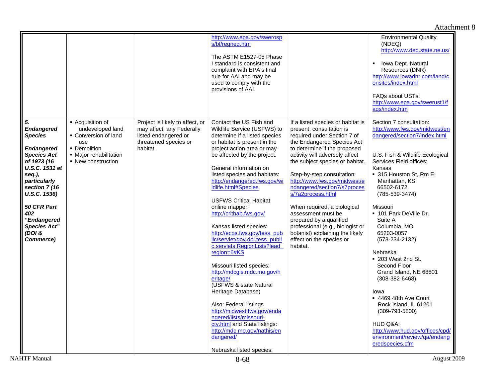|                                                                                                                                                                                                                                                                     |                                                                                                                                   |                                                                                                                           | http://www.epa.gov/swerosp<br>s/bf/reanea.htm<br>The ASTM E1527-05 Phase<br>I standard is consistent and<br>complaint with EPA's final<br>rule for AAI and may be<br>used to comply with the<br>provisions of AAI.                                                                                                                                                                                                                                                                                                                                                                                                                                                                                                                                                                                                                             |                                                                                                                                                                                                                                                                                                                                                                                                                                                                                                                                                  | <b>Environmental Quality</b><br>(NDEQ)<br>http://www.deq.state.ne.us/<br>Iowa Dept. Natural<br>Resources (DNR)<br>http://www.iowadnr.com/land/c<br>onsites/index.html<br>FAQs about USTs:<br>http://www.epa.gov/swerust1/f<br>aqs/index.htm                                                                                                                                                                                                                                                                                                                                                                                           |
|---------------------------------------------------------------------------------------------------------------------------------------------------------------------------------------------------------------------------------------------------------------------|-----------------------------------------------------------------------------------------------------------------------------------|---------------------------------------------------------------------------------------------------------------------------|------------------------------------------------------------------------------------------------------------------------------------------------------------------------------------------------------------------------------------------------------------------------------------------------------------------------------------------------------------------------------------------------------------------------------------------------------------------------------------------------------------------------------------------------------------------------------------------------------------------------------------------------------------------------------------------------------------------------------------------------------------------------------------------------------------------------------------------------|--------------------------------------------------------------------------------------------------------------------------------------------------------------------------------------------------------------------------------------------------------------------------------------------------------------------------------------------------------------------------------------------------------------------------------------------------------------------------------------------------------------------------------------------------|---------------------------------------------------------------------------------------------------------------------------------------------------------------------------------------------------------------------------------------------------------------------------------------------------------------------------------------------------------------------------------------------------------------------------------------------------------------------------------------------------------------------------------------------------------------------------------------------------------------------------------------|
| 5.<br><b>Endangered</b><br><b>Species</b><br><b>Endangered</b><br><b>Species Act</b><br>of 1973 (16<br>U.S.C. 1531 et<br>seq.),<br>particularly<br>section 7 (16<br>U.S.C. 1536)<br>50 CFR Part<br>402<br>"Endangered<br><b>Species Act"</b><br>(DOI &<br>Commerce) | - Acquisition of<br>undeveloped land<br>Conversion of land<br>use<br>• Demolition<br>• Major rehabilitation<br>• New construction | Project is likely to affect, or<br>may affect, any Federally<br>listed endangered or<br>threatened species or<br>habitat. | Contact the US Fish and<br>Wildlife Service (USFWS) to<br>determine if a listed species<br>or habitat is present in the<br>project action area or may<br>be affected by the project.<br>General information on<br>listed species and habitats:<br>http://endangered.fws.gov/wi<br>Idlife.html#Species<br><b>USFWS Critical Habitat</b><br>online mapper:<br>http://crithab.fws.gov/<br>Kansas listed species:<br>http://ecos.fws.gov/tess_pub<br>lic/servlet/gov.doi.tess_publi<br>c.servlets.RegionLists?lead<br>region=6#KS<br>Missouri listed species:<br>http://mdcgis.mdc.mo.gov/h<br>eritage/<br>(USFWS & state Natural<br>Heritage Database)<br>Also: Federal listings<br>http://midwest.fws.gov/enda<br>ngered/lists/missouri-<br>cty.html and State listings:<br>http://mdc.mo.gov/nathis/en<br>dangered/<br>Nebraska listed species: | If a listed species or habitat is<br>present, consultation is<br>required under Section 7 of<br>the Endangered Species Act<br>to determine if the proposed<br>activity will adversely affect<br>the subject species or habitat.<br>Step-by-step consultation:<br>http://www.fws.gov/midwest/e<br>ndangered/section7/s7proces<br>s/7a2process.html<br>When required, a biological<br>assessment must be<br>prepared by a qualified<br>professional (e.g., biologist or<br>botanist) explaining the likely<br>effect on the species or<br>habitat. | Section 7 consultation:<br>http://www.fws.gov/midwest/en<br>dangered/section7/index.html<br>U.S. Fish & Wildlife Ecological<br>Services Field offices:<br>Kansas<br>■ 315 Houston St, Rm E;<br>Manhattan, KS<br>66502-6172<br>$(785-539-3474)$<br>Missouri<br>■ 101 Park DeVille Dr.<br>Suite A<br>Columbia, MO<br>65203-0057<br>$(573-234-2132)$<br>Nebraska<br>• 203 West 2nd St.<br>Second Floor<br>Grand Island, NE 68801<br>$(308-382-6468)$<br>Iowa<br>■ 4469 48th Ave Court<br>Rock Island, IL 61201<br>$(309 - 793 - 5800)$<br>HUD Q&A:<br>http://www.hud.gov/offices/cpd/<br>environment/review/ga/endang<br>eredspecies.cfm |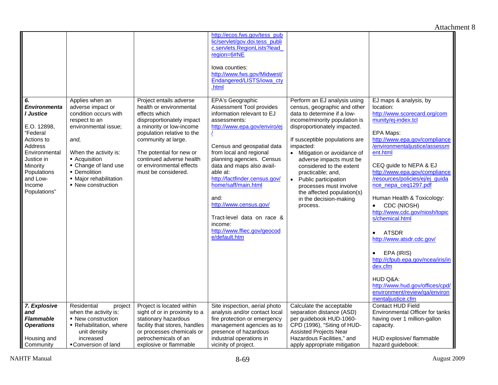|                                       |                                             |                                                       | http://ecos.fws.gov/tess_pub                              |                                                                    |                                                   |
|---------------------------------------|---------------------------------------------|-------------------------------------------------------|-----------------------------------------------------------|--------------------------------------------------------------------|---------------------------------------------------|
|                                       |                                             |                                                       | lic/servlet/gov.doi.tess_publi                            |                                                                    |                                                   |
|                                       |                                             |                                                       | c.servlets.RegionLists?lead                               |                                                                    |                                                   |
|                                       |                                             |                                                       | region=6#NE                                               |                                                                    |                                                   |
|                                       |                                             |                                                       | lowa counties:                                            |                                                                    |                                                   |
|                                       |                                             |                                                       | http://www.fws.gov/Midwest/                               |                                                                    |                                                   |
|                                       |                                             |                                                       | Endangered/LISTS/iowa_cty                                 |                                                                    |                                                   |
|                                       |                                             |                                                       | .html                                                     |                                                                    |                                                   |
|                                       |                                             |                                                       | EPA's Geographic                                          | Perform an EJ analysis using                                       | EJ maps & analysis, by                            |
| 6.<br><b>Environmenta</b>             | Applies when an<br>adverse impact or        | Project entails adverse<br>health or environmental    | Assessment Tool provides                                  | census, geographic and other                                       | location:                                         |
| I Justice                             | condition occurs with                       | effects which                                         | information relevant to EJ                                | data to determine if a low-                                        | http://www.scorecard.org/com                      |
|                                       | respect to an                               | disproportionately impact                             | assessments:                                              | income/minority population is                                      | munity/ej-index.tcl                               |
| E.O. 12898.                           | environmental issue;                        | a minority or low-income                              | http://www.epa.gov/enviro/ej                              | disproportionately impacted.                                       |                                                   |
| "Federal                              |                                             | population relative to the                            |                                                           |                                                                    | EPA Maps:                                         |
| Actions to                            | and,                                        | community at large.                                   |                                                           | If susceptible populations are                                     | http://www.epa.gov/compliance                     |
| Address                               |                                             |                                                       | Census and geospatial data                                | impacted:                                                          | /environmentaliustice/assessm<br>ent.html         |
| Environmental<br>Justice in           | When the activity is:<br>• Acquisition      | The potential for new or<br>continued adverse health  | from local and regional<br>planning agencies. Census      | Mitigation or avoidance of<br>$\bullet$<br>adverse impacts must be |                                                   |
| Minority                              | • Change of land use                        | or environmental effects                              | data and maps also avail-                                 | considered to the extent                                           | CEQ guide to NEPA & EJ                            |
| Populations                           | • Demolition                                | must be considered.                                   | able at:                                                  | practicable; and,                                                  | http://www.epa.gov/compliance                     |
| and Low-                              | • Major rehabilitation                      |                                                       | http://factfinder.census.gov/                             | Public participation<br>$\bullet$                                  | /resources/policies/ej/ej_quida                   |
| Income                                | • New construction                          |                                                       | home/saff/main.html                                       | processes must involve                                             | nce nepa ceg1297.pdf                              |
| Populations"                          |                                             |                                                       |                                                           | the affected population(s)                                         |                                                   |
|                                       |                                             |                                                       | and:                                                      | in the decision-making                                             | Human Health & Toxicology:                        |
|                                       |                                             |                                                       | http://www.census.gov/                                    | process.                                                           | CDC (NIOSH)                                       |
|                                       |                                             |                                                       | Tract-level data on race &                                |                                                                    | http://www.cdc.gov/niosh/topic<br>s/chemical.html |
|                                       |                                             |                                                       | income:                                                   |                                                                    |                                                   |
|                                       |                                             |                                                       | http://www.ffiec.gov/geocod                               |                                                                    | <b>ATSDR</b><br>$\bullet$                         |
|                                       |                                             |                                                       | e/default.htm                                             |                                                                    | http://www.atsdr.cdc.gov/                         |
|                                       |                                             |                                                       |                                                           |                                                                    |                                                   |
|                                       |                                             |                                                       |                                                           |                                                                    | EPA (IRIS)<br>$\bullet$                           |
|                                       |                                             |                                                       |                                                           |                                                                    | http://cfpub.epa.gov/ncea/iris/in                 |
|                                       |                                             |                                                       |                                                           |                                                                    | dex.cfm                                           |
|                                       |                                             |                                                       |                                                           |                                                                    | HUD Q&A:                                          |
|                                       |                                             |                                                       |                                                           |                                                                    | http://www.hud.gov/offices/cpd/                   |
|                                       |                                             |                                                       |                                                           |                                                                    | environment/review/qa/environ                     |
|                                       |                                             |                                                       |                                                           |                                                                    | mentaljustice.cfm                                 |
| 7. Explosive                          | Residential<br>project                      | Project is located within                             | Site inspection, aerial photo                             | Calculate the acceptable                                           | Contact HUD Field                                 |
| and                                   | when the activity is:                       | sight of or in proximity to a                         | analysis and/or contact local                             | separation distance (ASD)                                          | Environmental Officer for tanks                   |
| <b>Flammable</b><br><b>Operations</b> | • New construction<br>Rehabilitation, where | stationary hazardous<br>facility that stores, handles | fire protection or emergency<br>management agencies as to | per guidebook HUD-1060-<br>CPD (1996), "Siting of HUD-             | having over 1 million-gallon<br>capacity.         |
|                                       | unit density                                | or processes chemicals or                             | presence of hazardous                                     | <b>Assisted Projects Near</b>                                      |                                                   |
| Housing and                           | increased                                   | petrochemicals of an                                  | industrial operations in                                  | Hazardous Facilities," and                                         | HUD explosive/ flammable                          |
| Community                             | ■ Conversion of land                        | explosive or flammable                                | vicinity of project.                                      | apply appropriate mitigation                                       | hazard quidebook:                                 |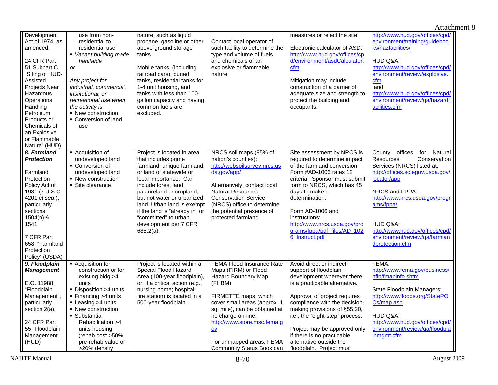#### Attachment 8 **Development** Act of 1974, as amended. 24 CFR Part 51 Subpart C "Siting of HUD-Assisted Projects Near **Hazardous Operations** Handling Petroleum Products or Chemicals of an Explosive or Flammable Nature" (HUD) use from nonresidential to residential use  *Vacant building made habitable or Any project for industrial, commercial, institutional, or recreational use when the activity is:*  • New construction • Conversion of land use nature, such as liquid propane, gasoline or other above-ground storage tanks. Mobile tanks, (including railroad cars), buried tanks, residential tanks for 1-4 unit housing, and tanks with less than 100gallon capacity and having common fuels are excluded. Contact local operator of such facility to determine the type and volume of fuels and chemicals of an explosive or flammable nature. measures or reject the site. Electronic calculator of ASD: http://www.hud.gov/offices/cp d/environment/asdCalculator.cfmMitigation may include construction of a barrier of adequate size and strength to protect the building and occupants. http://www.hud.gov/offices/cpd/ environment/training/guideboo ks/hazfacilities/HUD Q&A: http://www.hud.gov/offices/cpd/ environment/review/explosive. cfm and http://www.hud.gov/offices/cpd/ environment/review/qa/hazardf acilities.cfm*8. Farmland Protection*Farmland **Protection** Policy Act of 1981 (7 U.S.C. 4201 *et seq*.), particularly sections 1504(b) & 1541 7 CFR Part 658, "Farmland Protection Policy" (USDA) **Acquisition of** undeveloped land **Conversion of** undeveloped land • New construction Site clearance Project is located in area that includes prime farmland, unique farmland, or land of statewide or local importance. Can include forest land, pastureland or cropland, but not water or urbanized land. Urban land is exempt if the land is "already in" or "committed" to urban development per 7 CFR 685.2(a). NRCS soil maps (95% of nation's counties): http://websoilsurvey.nrcs.us da.gov/app/ Alternatively, contact local Natural Resources Conservation Service (NRCS) office to determine the potential presence of protected farmland. Site assessment by NRCS is required to determine impact of the farmland conversion. Form #AD-1006 rates 12 criteria. Sponsor must submit form to NRCS, which has 45 days to make a determination. Form AD-1006 and instructions: http://www.nrcs.usda.gov/pro grams/fppa/pdf\_files/AD\_102 6\_Instruct.pdf County offices for Natural<br>Resources Conservation Conservation Services (NRCS) listed at: http://offices.sc.egov.usda.gov/ locator/app NRCS and FPPA: http://www.nrcs.usda.gov/progr ams/fppa/ HUD Q&A: http://www.hud.gov/offices/cpd/ environment/review/qa/farmlan dprotection.cfm *9. Floodplain Management*  E.O. 11988, "Floodplain Management", particularly section 2(a). 24 CFR Part 55 "Floodplain Management" (HUD) **Acquisition for** construction or for existing bldg >4 units • Disposition >4 units • Financing >4 units ■ Leasing >4 units • New construction Substantial Rehabilitation >4 units housing (rehab cost >50% pre-rehab value or >20% density Project is located within a Special Flood Hazard Area (100-year floodplain), or, if a critical action (e.g., nursing home; hospital; fire station) is located in a 500-year floodplain. FEMA Flood Insurance Rate Maps (FIRM) or Flood Hazard Boundary Map (FHBM). FIRMETTE maps, which cover small areas (approx. 1 sq. mile), can be obtained at no charge on-line: http://www.store.msc.fema.g <u>ov</u> For unmapped areas, FEMA Community Status Book can Avoid direct or indirect support of floodplain development wherever there is a practicable alternative. Approval of project requires compliance with the decisionmaking provisions of §55.20, i.e., the "eight-step" process. Project may be approved only if there is no practicable alternative outside the floodplain. Project must FEMA: http://www.fema.gov/business/ nfip/fmapinfo.shtm State Floodplain Managers: http://www.floods.org/StatePO Cs/map.asp HUD Q&A: http://www.hud.gov/offices/cpd/ environment/review/qa/floodpla inmgmt.cfm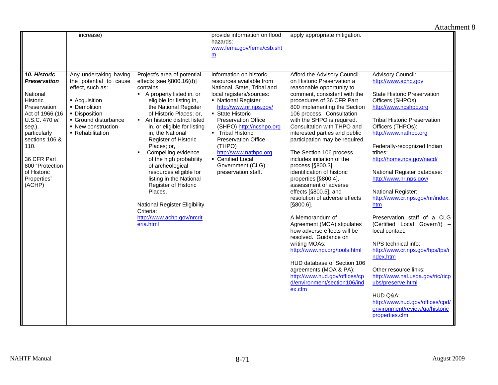|                                                                                                                                                                                                                                               | increase)                                                                                                                                                                              |                                                                                                                                                                                                                                                                                                                                                                                                                                                                                                                                                                                         | provide information on flood<br>hazards:<br>www.fema.gov/fema/csb.sht<br>m                                                                                                                                                                                                                                                                                                                        | apply appropriate mitigation.                                                                                                                                                                                                                                                                                                                                                                                                                                                                                                                                                                                                                                                                                                                                                                                                                                                      |                                                                                                                                                                                                                                                                                                                                                                                                                                                                                                                                                                                                                                                                                                                                                             |
|-----------------------------------------------------------------------------------------------------------------------------------------------------------------------------------------------------------------------------------------------|----------------------------------------------------------------------------------------------------------------------------------------------------------------------------------------|-----------------------------------------------------------------------------------------------------------------------------------------------------------------------------------------------------------------------------------------------------------------------------------------------------------------------------------------------------------------------------------------------------------------------------------------------------------------------------------------------------------------------------------------------------------------------------------------|---------------------------------------------------------------------------------------------------------------------------------------------------------------------------------------------------------------------------------------------------------------------------------------------------------------------------------------------------------------------------------------------------|------------------------------------------------------------------------------------------------------------------------------------------------------------------------------------------------------------------------------------------------------------------------------------------------------------------------------------------------------------------------------------------------------------------------------------------------------------------------------------------------------------------------------------------------------------------------------------------------------------------------------------------------------------------------------------------------------------------------------------------------------------------------------------------------------------------------------------------------------------------------------------|-------------------------------------------------------------------------------------------------------------------------------------------------------------------------------------------------------------------------------------------------------------------------------------------------------------------------------------------------------------------------------------------------------------------------------------------------------------------------------------------------------------------------------------------------------------------------------------------------------------------------------------------------------------------------------------------------------------------------------------------------------------|
| 10. Historic<br><b>Preservation</b><br>National<br>Historic<br>Preservation<br>Act of 1966 (16<br>U.S.C. 470 et<br>seq.),<br>particularly<br>sections 106 &<br>110.<br>36 CFR Part<br>800 "Protection<br>of Historic<br>Properties"<br>(ACHP) | Any undertaking having<br>the potential to cause<br>effect, such as:<br>• Acquisition<br>• Demolition<br>• Disposition<br>Ground disturbance<br>• New construction<br>• Rehabilitation | Project's area of potential<br>effects [see $\S 800.16(d)$ ]<br>contains:<br>A property listed in, or<br>eligible for listing in,<br>the National Register<br>of Historic Places; or,<br>An historic district listed<br>$\blacksquare$<br>in, or eligible for listing<br>in. the National<br>Register of Historic<br>Places; or,<br>Compelling evidence<br>of the high probability<br>of archeological<br>resources eligible for<br>listing in the National<br>Register of Historic<br>Places.<br>National Register Eligibility<br>Criteria:<br>http://www.achp.gov/nrcrit<br>eria.html | Information on historic<br>resources available from<br>National, State, Tribal and<br>local registers/sources:<br>• National Register<br>http://www.nr.nps.gov/<br>State Historic<br><b>Preservation Office</b><br>(SHPO) http://ncshpo.org<br>• Tribal Historic<br><b>Preservation Office</b><br>(THPO)<br>http://www.nathpo.org<br>• Certified Local<br>Government (CLG)<br>preservation staff. | Afford the Advisory Council<br>on Historic Preservation a<br>reasonable opportunity to<br>comment, consistent with the<br>procedures of 36 CFR Part<br>800 implementing the Section<br>106 process. Consultation<br>with the SHPO is required.<br>Consultation with THPO and<br>interested parties and public<br>participation may be required.<br>The Section 106 process<br>includes initiation of the<br>process [§800.3],<br>identification of historic<br>properties [§800.4],<br>assessment of adverse<br>effects [§800.5], and<br>resolution of adverse effects<br>[§800.6].<br>A Memorandum of<br>Agreement (MOA) stipulates<br>how adverse effects will be<br>resolved. Guidance on<br>writing MOAs:<br>http://www.npi.org/tools.html<br>HUD database of Section 106<br>agreements (MOA & PA):<br>http://www.hud.gov/offices/cp<br>d/environment/section106/ind<br>ex.cfm | Advisory Council:<br>http://www.achp.gov<br><b>State Historic Preservation</b><br>Officers (SHPOs):<br>http://www.ncshpo.org<br><b>Tribal Historic Preservation</b><br>Officers (THPOs):<br>http://www.nathpo.org<br>Federally-recognized Indian<br>tribes:<br>http://home.nps.gov/nacd/<br>National Register database:<br>http://www.nr.nps.gov/<br>National Register:<br>http://www.cr.nps.gov/nr/index.<br>htm<br>Preservation staff of a CLG<br>(Certified Local Govern't)<br>local contact.<br>NPS technical info:<br>http://www.cr.nps.gov/hps/tps/i<br>ndex.htm<br>Other resource links:<br>http://www.nal.usda.gov/ric/ricp<br>ubs/preserve.html<br>HUD Q&A:<br>http://www.hud.gov/offices/cpd/<br>environment/review/qa/historic<br>properties.cfm |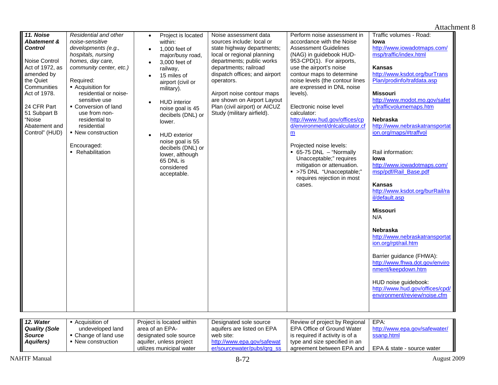| 11. Noise<br>Abatement &<br><b>Control</b><br>Noise Control<br>Act of 1972, as<br>amended by<br>the Quiet<br>Communities<br>Act of 1978.<br>24 CFR Part<br>51 Subpart B<br>"Noise<br>Abatement and<br>Control" (HUD)<br>12. Water | Residential and other<br>noise-sensitive<br>developments (e.g.,<br>hospitals, nursing<br>homes, day care,<br>community center, etc.)<br>Required:<br>- Acquisition for<br>residential or noise-<br>sensitive use<br>• Conversion of land<br>use from non-<br>residential to<br>residential<br>• New construction<br>Encouraged:<br>• Rehabilitation<br>- Acquisition of | Project is located<br>$\bullet$<br>within:<br>1,000 feet of<br>$\bullet$<br>major/busy road,<br>3,000 feet of<br>$\bullet$<br>railway,<br>15 miles of<br>airport (civil or<br>military).<br><b>HUD</b> interior<br>$\bullet$<br>noise goal is 45<br>decibels (DNL) or<br>lower.<br><b>HUD</b> exterior<br>noise goal is 55<br>decibels (DNL) or<br>lower, although<br>65 DNL is<br>considered<br>acceptable.<br>Project is located within | Noise assessment data<br>sources include: local or<br>state highway departments;<br>local or regional planning<br>departments; public works<br>departments; railroad<br>dispatch offices; and airport<br>operators.<br>Airport noise contour maps<br>are shown on Airport Layout<br>Plan (civil airport) or AICUZ<br>Study (military airfield).<br>Designated sole source | Perform noise assessment in<br>accordance with the Noise<br><b>Assessment Guidelines</b><br>(NAG) in guidebook HUD-<br>953-CPD(1). For airports,<br>use the airport's noise<br>contour maps to determine<br>noise levels (the contour lines<br>are expressed in DNL noise<br>levels).<br>Electronic noise level<br>calculator:<br>http://www.hud.gov/offices/cp<br>d/environment/dnlcalculator.cf<br>m<br>Projected noise levels:<br>65-75 DNL - "Normally<br>Unacceptable;" requires<br>mitigation or attenuation.<br>· >75 DNL "Unacceptable;"<br>requires rejection in most<br>cases.<br>Review of project by Regional | Traffic volumes - Road:<br>lowa<br>http://www.iowadotmaps.com/<br>msp/traffic/index.html<br><b>Kansas</b><br>http://www.ksdot.org/burTrans<br>Plan/prodinfo/trafdata.asp<br><b>Missouri</b><br>http://www.modot.mo.gov/safet<br>y/trafficvolumemaps.htm<br>Nebraska<br>http://www.nebraskatransportat<br>ion.org/maps/#traffvol<br>Rail information:<br>lowa<br>http://www.iowadotmaps.com/<br>msp/pdf/Rail_Base.pdf<br><b>Kansas</b><br>http://www.ksdot.org/burRail/ra<br>il/default.asp<br><b>Missouri</b><br>N/A<br><b>Nebraska</b><br>http://www.nebraskatransportat<br>ion.org/rpt/rail.htm<br>Barrier guidance (FHWA):<br>http://www.fhwa.dot.gov/enviro<br>nment/keepdown.htm<br>HUD noise guidebook:<br>http://www.hud.gov/offices/cpd/<br>environment/review/noise.cfm<br>EPA: |
|-----------------------------------------------------------------------------------------------------------------------------------------------------------------------------------------------------------------------------------|-------------------------------------------------------------------------------------------------------------------------------------------------------------------------------------------------------------------------------------------------------------------------------------------------------------------------------------------------------------------------|-------------------------------------------------------------------------------------------------------------------------------------------------------------------------------------------------------------------------------------------------------------------------------------------------------------------------------------------------------------------------------------------------------------------------------------------|---------------------------------------------------------------------------------------------------------------------------------------------------------------------------------------------------------------------------------------------------------------------------------------------------------------------------------------------------------------------------|---------------------------------------------------------------------------------------------------------------------------------------------------------------------------------------------------------------------------------------------------------------------------------------------------------------------------------------------------------------------------------------------------------------------------------------------------------------------------------------------------------------------------------------------------------------------------------------------------------------------------|------------------------------------------------------------------------------------------------------------------------------------------------------------------------------------------------------------------------------------------------------------------------------------------------------------------------------------------------------------------------------------------------------------------------------------------------------------------------------------------------------------------------------------------------------------------------------------------------------------------------------------------------------------------------------------------------------------------------------------------------------------------------------------------|
| <b>Quality (Sole</b><br>Source<br><b>Aquifers)</b>                                                                                                                                                                                | undeveloped land<br>• Change of land use<br>• New construction                                                                                                                                                                                                                                                                                                          | area of an EPA-<br>designated sole source<br>aquifer, unless project<br>utilizes municipal water                                                                                                                                                                                                                                                                                                                                          | aquifers are listed on EPA<br>web site:<br>http://www.epa.gov/safewat<br>er/sourcewater/pubs/grg ss                                                                                                                                                                                                                                                                       | <b>EPA Office of Ground Water</b><br>is required if activity is of a<br>type and size specified in an<br>agreement between EPA and                                                                                                                                                                                                                                                                                                                                                                                                                                                                                        | http://www.epa.gov/safewater/<br>ssanp.html<br>EPA & state - source water                                                                                                                                                                                                                                                                                                                                                                                                                                                                                                                                                                                                                                                                                                                |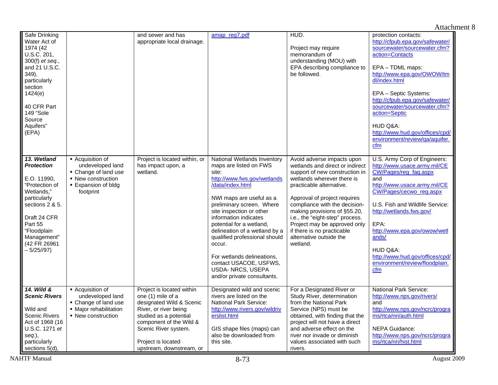| Safe Drinking<br>Water Act of<br>1974 (42<br>U.S.C. 201,<br>300(f) <i>et</i> seq.,<br>and 21 U.S.C.<br>349),<br>particularly<br>section<br>1424(e)<br>40 CFR Part<br>149 "Sole<br>Source<br>Aquifers"<br>(EPA) |                                                                                                                        | and sewer and has<br>appropriate local drainage.                                                                                                                                                                                   | amap reg7.pdf                                                                                                                                                                                                                                                                                                                                                                                                                                       | HUD.<br>Project may require<br>memorandum of<br>understanding (MOU) with<br>EPA describing compliance to<br>be followed.                                                                                                                                                                                                                                                                           | protection contacts:<br>http://cfpub.epa.gov/safewater/<br>sourcewater/sourcewater.cfm?<br>action=Contacts<br>EPA - TDML maps:<br>http://www.epa.gov/OWOW/tm<br>dl/index.html<br>EPA - Septic Systems:<br>http://cfpub.epa.gov/safewater/<br>sourcewater/sourcewater.cfm?<br>action=Septic<br>HUD Q&A:<br>http://www.hud.gov/offices/cpd/<br>environment/review/ga/aquifer.<br>cfm |
|----------------------------------------------------------------------------------------------------------------------------------------------------------------------------------------------------------------|------------------------------------------------------------------------------------------------------------------------|------------------------------------------------------------------------------------------------------------------------------------------------------------------------------------------------------------------------------------|-----------------------------------------------------------------------------------------------------------------------------------------------------------------------------------------------------------------------------------------------------------------------------------------------------------------------------------------------------------------------------------------------------------------------------------------------------|----------------------------------------------------------------------------------------------------------------------------------------------------------------------------------------------------------------------------------------------------------------------------------------------------------------------------------------------------------------------------------------------------|------------------------------------------------------------------------------------------------------------------------------------------------------------------------------------------------------------------------------------------------------------------------------------------------------------------------------------------------------------------------------------|
| 13. Wetland<br><b>Protection</b><br>E.O. 11990,<br>"Protection of<br>Wetlands."<br>particularly<br>sections 2 & 5.<br>Draft 24 CFR<br>Part 55<br>"Floodplain<br>Management"<br>(42 FR 26961<br>$-5/25/97$      | - Acquisition of<br>undeveloped land<br>• Change of land use<br>• New construction<br>• Expansion of bldg<br>footprint | Project is located within, or<br>has impact upon, a<br>wetland.                                                                                                                                                                    | National Wetlands Inventory<br>maps are listed on FWS<br>site:<br>http://www.fws.gov/wetlands<br>/data/index.html<br>NWI maps are useful as a<br>preliminary screen. Where<br>site inspection or other<br>information indicates<br>potential for a wetland,<br>delineation of a wetland by a<br>qualified professional should<br>occur.<br>For wetlands delineations,<br>contact USACOE, USFWS,<br>USDA- NRCS, USEPA<br>and/or private consultants. | Avoid adverse impacts upon<br>wetlands and direct or indirect<br>support of new construction in<br>wetlands wherever there is<br>practicable alternative.<br>Approval of project requires<br>compliance with the decision-<br>making provisions of §55.20,<br>i.e., the "eight-step" process.<br>Project may be approved only<br>if there is no practicable<br>alternative outside the<br>wetland. | U.S. Army Corp of Engineers:<br>http://www.usace.army.mil/CE<br>CW/Pages/reg_faq.aspx<br>and<br>http://www.usace.army.mil/CE<br>CW/Pages/cecwo_reg.aspx<br>U.S. Fish and Wildlife Service:<br>http://wetlands.fws.gov/<br>EPA:<br>http://www.epa.gov/owow/wetl<br>ands/<br>HUD Q&A:<br>http://www.hud.gov/offices/cpd/<br>environment/review/floodplain.<br>cfm                    |
| 14. Wild &<br><b>Scenic Rivers</b><br>Wild and<br><b>Scenic Rivers</b><br>Act of 1968 (16<br>U.S.C. 1271 et<br>seq.),<br>particularly<br>sections 5(d),                                                        | - Acquisition of<br>undeveloped land<br>• Change of land use<br>• Major rehabilitation<br>• New construction           | Project is located within<br>one (1) mile of a<br>designated Wild & Scenic<br>River, or river being<br>studied as a potential<br>component of the Wild &<br>Scenic River system.<br>Project is located<br>upstream, downstream, or | Designated wild and scenic<br>rivers are listed on the<br><b>National Park Service:</b><br>http://www.rivers.gov/wildriv<br>erslist.html<br>GIS shape files (maps) can<br>also be downloaded from<br>this site.                                                                                                                                                                                                                                     | For a Designated River or<br>Study River, determination<br>from the National Park<br>Service (NPS) must be<br>obtained, with finding that the<br>project will not have a direct<br>and adverse effect on the<br>river nor invade or diminish<br>values associated with such<br>rivers.                                                                                                             | <b>National Park Service:</b><br>http://www.nps.gov/rivers/<br>and<br>http://www.nps.gov/ncrc/progra<br>ms/rtca/nri/auth.html<br><b>NEPA Guidance:</b><br>http://www.nps.gov/ncrc/progra<br>ms/rtca/nri/hist.html                                                                                                                                                                  |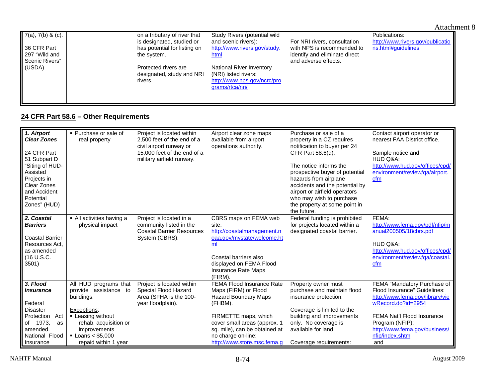| $7(a)$ , $7(b)$ & (c). | on a tributary of river that | Study Rivers (potential wild |                               | Publications:                    |
|------------------------|------------------------------|------------------------------|-------------------------------|----------------------------------|
|                        | is designated, studied or    | and scenic rivers):          | For NRI rivers, consultation  | http://www.rivers.gov/publicatio |
| 36 CFR Part            | has potential for listing on | http://www.rivers.gov/study. | with NPS is recommended to    | ns.html#guidelines               |
| 297 "Wild and          | the system.                  | html                         | identify and eliminate direct |                                  |
| Scenic Rivers"         |                              |                              | and adverse effects.          |                                  |
| (USDA)                 | Protected rivers are         | National River Inventory     |                               |                                  |
|                        | designated, study and NRI    | (NRI) listed rivers:         |                               |                                  |
|                        | rivers.                      | http://www.nps.gov/ncrc/pro  |                               |                                  |
|                        |                              | grams/rtca/nri/              |                               |                                  |
|                        |                              |                              |                               |                                  |
|                        |                              |                              |                               |                                  |
|                        |                              |                              |                               |                                  |

# **24 CFR Part 58.6 – Other Requirements**

| 1. Airport<br><b>Clear Zones</b><br>24 CFR Part<br>51 Subpart D<br>"Siting of HUD-<br>Assisted<br>Projects in<br>Clear Zones<br>and Accident<br>Potential<br>Zones" (HUD) | • Purchase or sale of<br>real property                                                                                                                                                              | Project is located within<br>2.500 feet of the end of a<br>civil airport runway or<br>15,000 feet of the end of a<br>military airfield runway. | Airport clear zone maps<br>available from airport<br>operations authority.                                                                                                                                                                | Purchase or sale of a<br>property in a CZ requires<br>notification to buyer per 24<br>CFR Part 58.6(d).<br>The notice informs the<br>prospective buyer of potential<br>hazards from airplane<br>accidents and the potential by<br>airport or airfield operators<br>who may wish to purchase<br>the property at some point in<br>the future. | Contact airport operator or<br>nearest FAA District office.<br>Sample notice and<br>HUD Q&A:<br>http://www.hud.gov/offices/cpd/<br>environment/review/qa/airport.<br>cfm                                                         |
|---------------------------------------------------------------------------------------------------------------------------------------------------------------------------|-----------------------------------------------------------------------------------------------------------------------------------------------------------------------------------------------------|------------------------------------------------------------------------------------------------------------------------------------------------|-------------------------------------------------------------------------------------------------------------------------------------------------------------------------------------------------------------------------------------------|---------------------------------------------------------------------------------------------------------------------------------------------------------------------------------------------------------------------------------------------------------------------------------------------------------------------------------------------|----------------------------------------------------------------------------------------------------------------------------------------------------------------------------------------------------------------------------------|
| 2. Coastal<br><b>Barriers</b><br><b>Coastal Barrier</b><br>Resources Act.<br>as amended<br>(16 U.S.C.<br>3501)                                                            | • All activities having a<br>physical impact                                                                                                                                                        | Project is located in a<br>community listed in the<br><b>Coastal Barrier Resources</b><br>System (CBRS).                                       | CBRS maps on FEMA web<br>site:<br>http://coastalmanagement.n<br>oaa.gov/mystate/welcome.ht<br>ml<br>Coastal barriers also<br>displayed on FEMA Flood<br>Insurance Rate Maps<br>(FIRM).                                                    | Federal funding is prohibited<br>for projects located within a<br>designated coastal barrier.                                                                                                                                                                                                                                               | FEMA:<br>http://www.fema.gov/pdf/nfip/m<br>anual200505/18cbrs.pdf<br>HUD Q&A:<br>http://www.hud.gov/offices/cpd/<br>environment/review/ga/coastal.<br>cfm                                                                        |
| 3. Flood<br><i><b>Insurance</b></i><br>Federal<br><b>Disaster</b><br>Protection<br>Act<br>of 1973,<br>as<br>amended.<br>National Flood<br>Insurance                       | All HUD programs that<br>provide assistance to<br>buildings.<br>Exceptions:<br>• Leasing without<br>rehab, acquisition or<br>improvements<br>$\blacksquare$ Loans < \$5.000<br>repaid within 1 year | Project is located within<br>Special Flood Hazard<br>Area (SFHA is the 100-<br>year floodplain).                                               | FEMA Flood Insurance Rate<br>Maps (FIRM) or Flood<br><b>Hazard Boundary Maps</b><br>(FHBM).<br>FIRMETTE maps, which<br>cover small areas (approx. 1<br>sq. mile), can be obtained at<br>no charge on-line:<br>http://www.store.msc.fema.g | Property owner must<br>purchase and maintain flood<br>insurance protection.<br>Coverage is limited to the<br>building and improvements<br>only. No coverage is<br>available for land.<br>Coverage requirements:                                                                                                                             | FEMA "Mandatory Purchase of<br>Flood Insurance" Guidelines:<br>http://www.fema.gov/library/vie<br>wRecord.do?id=2954<br>FEMA Nat'l Flood Insurance<br>Program (NFIP):<br>http://www.fema.gov/business/<br>nfip/index.shtm<br>and |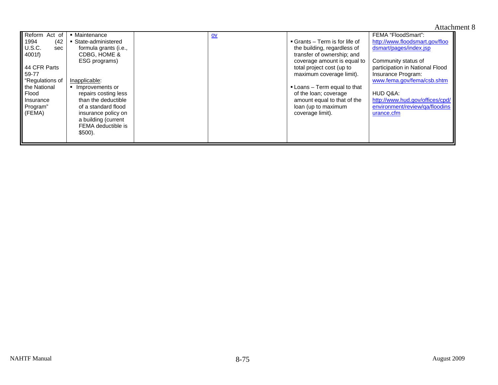| Reform Act of             | • Maintenance         | $ov$ |                              | FEMA "FloodSmart":              |
|---------------------------|-----------------------|------|------------------------------|---------------------------------|
| Ⅱ 1994<br>(42             | • State-administered  |      | Grants – Term is for life of | http://www.floodsmart.gov/floo  |
| $\parallel$ U.S.C.<br>sec | formula grants (i.e., |      | the building, regardless of  | dsmart/pages/index.jsp          |
| $\parallel$ 4001f)        | CDBG, HOME &          |      | transfer of ownership; and   |                                 |
|                           | ESG programs)         |      | coverage amount is equal to  | Community status of             |
| 44 CFR Parts              |                       |      | total project cost (up to    | participation in National Flood |
| 59-77                     |                       |      | maximum coverage limit).     | Insurance Program:              |
| <b>Regulations of</b>     | Inapplicable:         |      |                              | www.fema.gov/fema/csb.shtm      |
| I the National            | • Improvements or     |      | • Loans – Term equal to that |                                 |
| II Flood                  | repairs costing less  |      | of the loan; coverage        | HUD Q&A:                        |
| Insurance                 | than the deductible   |      | amount equal to that of the  | http://www.hud.gov/offices/cpd/ |
| Program"                  | of a standard flood   |      | loan (up to maximum          | environment/review/ga/floodins  |
| $\mathsf I$ (FEMA)        | insurance policy on   |      | coverage limit).             | urance.cfm                      |
|                           | a building (current   |      |                              |                                 |
|                           | FEMA deductible is    |      |                              |                                 |
|                           | $$500$ ).             |      |                              |                                 |
|                           |                       |      |                              |                                 |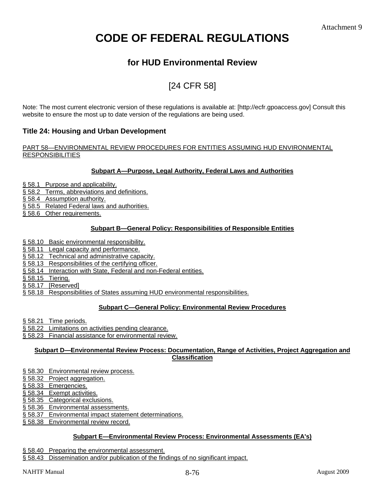# **CODE OF FEDERAL REGULATIONS**

# **for HUD Environmental Review**

# [24 CFR 58]

Note: The most current electronic version of these regulations is available at: [http://ecfr.gpoaccess.gov] Consult this website to ensure the most up to date version of the regulations are being used.

# **Title 24: Housing and Urban Development**

# PART 58—ENVIRONMENTAL REVIEW PROCEDURES FOR ENTITIES ASSUMING HUD ENVIRONMENTAL **RESPONSIBILITIES**

# **Subpart A—Purpose, Legal Authority, Federal Laws and Authorities**

- § 58.1 Purpose and applicability.
- § 58.2 Terms, abbreviations and definitions.
- § 58.4 Assumption authority.
- § 58.5 Related Federal laws and authorities.
- § 58.6 Other requirements.

# **Subpart B—General Policy: Responsibilities of Responsible Entities**

- § 58.10 Basic environmental responsibility.
- § 58.11 Legal capacity and performance.
- § 58.12 Technical and administrative capacity.
- § 58.13 Responsibilities of the certifying officer.
- § 58.14 Interaction with State, Federal and non-Federal entities.
- § 58.15 Tiering.
- § 58.17 [Reserved]
- § 58.18 Responsibilities of States assuming HUD environmental responsibilities.

# **Subpart C—General Policy: Environmental Review Procedures**

- § 58.21 Time periods.
- § 58.22 Limitations on activities pending clearance.
- § 58.23 Financial assistance for environmental review.

# **Subpart D—Environmental Review Process: Documentation, Range of Activities, Project Aggregation and Classification**

- § 58.30 Environmental review process.
- § 58.32 Project aggregation.
- § 58.33 Emergencies.
- § 58.34 Exempt activities.
- § 58.35 Categorical exclusions.
- § 58.36 Environmental assessments.
- § 58.37 Environmental impact statement determinations.
- § 58.38 Environmental review record.

# **Subpart E—Environmental Review Process: Environmental Assessments (EA's)**

- § 58.40 Preparing the environmental assessment.
- § 58.43 Dissemination and/or publication of the findings of no significant impact.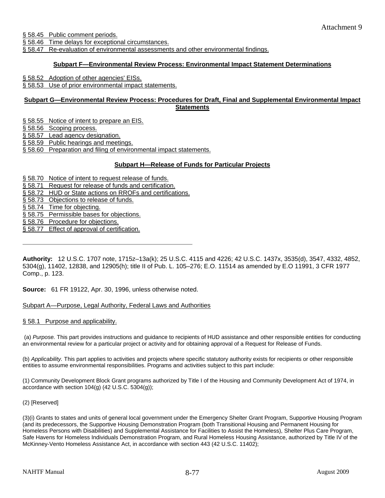§ 58.45 Public comment periods.

§ 58.46 Time delays for exceptional circumstances.

§ 58.47 Re-evaluation of environmental assessments and other environmental findings.

# **Subpart F—Environmental Review Process: Environmental Impact Statement Determinations**

§ 58.52 Adoption of other agencies' EISs.

§ 58.53 Use of prior environmental impact statements.

# **Subpart G—Environmental Review Process: Procedures for Draft, Final and Supplemental Environmental Impact Statements**

§ 58.55 Notice of intent to prepare an EIS.

§ 58.56 Scoping process.

§ 58.57 Lead agency designation.

§ 58.59 Public hearings and meetings.

§ 58.60 Preparation and filing of environmental impact statements.

#### **Subpart H—Release of Funds for Particular Projects**

§ 58.70 Notice of intent to request release of funds.

§ 58.71 Request for release of funds and certification.

§ 58.72 HUD or State actions on RROFs and certifications.

§ 58.73 Objections to release of funds.

§ 58.74 Time for objecting.

§ 58.75 Permissible bases for objections.

§ 58.76 Procedure for objections.

§ 58.77 Effect of approval of certification.

**Authority:** 12 U.S.C. 1707 note, 1715z–13a(k); 25 U.S.C. 4115 and 4226; 42 U.S.C. 1437x, 3535(d), 3547, 4332, 4852, 5304(g), 11402, 12838, and 12905(h); title II of Pub. L. 105–276; E.O. 11514 as amended by E.O 11991, 3 CFR 1977 Comp., p. 123.

**Source:** 61 FR 19122, Apr. 30, 1996, unless otherwise noted.

# Subpart A—Purpose, Legal Authority, Federal Laws and Authorities

§ 58.1 Purpose and applicability.

 (a) *Purpose.* This part provides instructions and guidance to recipients of HUD assistance and other responsible entities for conducting an environmental review for a particular project or activity and for obtaining approval of a Request for Release of Funds.

(b) *Applicability.* This part applies to activities and projects where specific statutory authority exists for recipients or other responsible entities to assume environmental responsibilities. Programs and activities subject to this part include:

(1) Community Development Block Grant programs authorized by Title I of the Housing and Community Development Act of 1974, in accordance with section  $104(g)$  (42 U.S.C. 5304 $(g)$ );

#### (2) [Reserved]

(3)(i) Grants to states and units of general local government under the Emergency Shelter Grant Program, Supportive Housing Program (and its predecessors, the Supportive Housing Demonstration Program (both Transitional Housing and Permanent Housing for Homeless Persons with Disabilities) and Supplemental Assistance for Facilities to Assist the Homeless), Shelter Plus Care Program, Safe Havens for Homeless Individuals Demonstration Program, and Rural Homeless Housing Assistance, authorized by Title IV of the McKinney-Vento Homeless Assistance Act, in accordance with section 443 (42 U.S.C. 11402);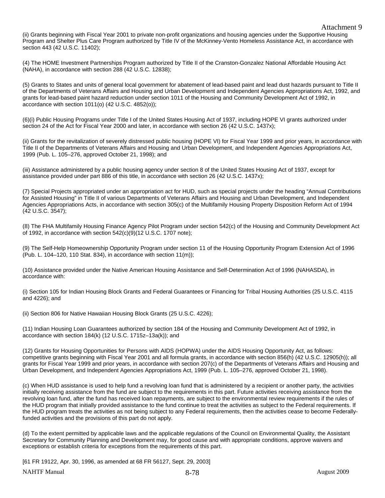(ii) Grants beginning with Fiscal Year 2001 to private non-profit organizations and housing agencies under the Supportive Housing Program and Shelter Plus Care Program authorized by Title IV of the McKinney-Vento Homeless Assistance Act, in accordance with section 443 (42 U.S.C. 11402);

(4) The HOME Investment Partnerships Program authorized by Title II of the Cranston-Gonzalez National Affordable Housing Act (NAHA), in accordance with section 288 (42 U.S.C. 12838);

(5) Grants to States and units of general local government for abatement of lead-based paint and lead dust hazards pursuant to Title II of the Departments of Veterans Affairs and Housing and Urban Development and Independent Agencies Appropriations Act, 1992, and grants for lead-based paint hazard reduction under section 1011 of the Housing and Community Development Act of 1992, in accordance with section 1011(o) (42 U.S.C. 4852(o));

(6)(i) Public Housing Programs under Title I of the United States Housing Act of 1937, including HOPE VI grants authorized under section 24 of the Act for Fiscal Year 2000 and later, in accordance with section 26 (42 U.S.C. 1437x);

(ii) Grants for the revitalization of severely distressed public housing (HOPE VI) for Fiscal Year 1999 and prior years, in accordance with Title II of the Departments of Veterans Affairs and Housing and Urban Development, and Independent Agencies Appropriations Act, 1999 (Pub. L. 105–276, approved October 21, 1998); and

(iii) Assistance administered by a public housing agency under section 8 of the United States Housing Act of 1937, except for assistance provided under part 886 of this title, in accordance with section 26 (42 U.S.C. 1437x);

(7) Special Projects appropriated under an appropriation act for HUD, such as special projects under the heading "Annual Contributions for Assisted Housing" in Title II of various Departments of Veterans Affairs and Housing and Urban Development, and Independent Agencies Appropriations Acts, in accordance with section 305(c) of the Multifamily Housing Property Disposition Reform Act of 1994 (42 U.S.C. 3547);

(8) The FHA Multifamily Housing Finance Agency Pilot Program under section 542(c) of the Housing and Community Development Act of 1992, in accordance with section 542(c)(9)(12 U.S.C. 1707 note);

(9) The Self-Help Homeownership Opportunity Program under section 11 of the Housing Opportunity Program Extension Act of 1996 (Pub. L. 104–120, 110 Stat. 834), in accordance with section 11(m));

(10) Assistance provided under the Native American Housing Assistance and Self-Determination Act of 1996 (NAHASDA), in accordance with:

(i) Section 105 for Indian Housing Block Grants and Federal Guarantees or Financing for Tribal Housing Authorities (25 U.S.C. 4115 and 4226); and

(ii) Section 806 for Native Hawaiian Housing Block Grants (25 U.S.C. 4226);

(11) Indian Housing Loan Guarantees authorized by section 184 of the Housing and Community Development Act of 1992, in accordance with section 184(k) (12 U.S.C. 1715z–13a(k)); and

(12) Grants for Housing Opportunities for Persons with AIDS (HOPWA) under the AIDS Housing Opportunity Act, as follows: competitive grants beginning with Fiscal Year 2001 and all formula grants, in accordance with section 856(h) (42 U.S.C. 12905(h)); all grants for Fiscal Year 1999 and prior years, in accordance with section 207(c) of the Departments of Veterans Affairs and Housing and Urban Development, and Independent Agencies Appropriations Act, 1999 (Pub. L. 105–276, approved October 21, 1998).

(c) When HUD assistance is used to help fund a revolving loan fund that is administered by a recipient or another party, the activities initially receiving assistance from the fund are subject to the requirements in this part. Future activities receiving assistance from the revolving loan fund, after the fund has received loan repayments, are subject to the environmental review requirements if the rules of the HUD program that initially provided assistance to the fund continue to treat the activities as subject to the Federal requirements. If the HUD program treats the activities as not being subject to any Federal requirements, then the activities cease to become Federallyfunded activities and the provisions of this part do not apply.

(d) To the extent permitted by applicable laws and the applicable regulations of the Council on Environmental Quality, the Assistant Secretary for Community Planning and Development may, for good cause and with appropriate conditions, approve waivers and exceptions or establish criteria for exceptions from the requirements of this part.

[61 FR 19122, Apr. 30, 1996, as amended at 68 FR 56127, Sept. 29, 2003]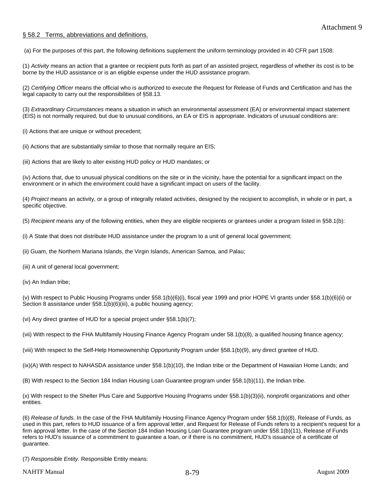# § 58.2 Terms, abbreviations and definitions.

(a) For the purposes of this part, the following definitions supplement the uniform terminology provided in 40 CFR part 1508:

(1) *Activity* means an action that a grantee or recipient puts forth as part of an assisted project, regardless of whether its cost is to be borne by the HUD assistance or is an eligible expense under the HUD assistance program.

(2) *Certifying Officer* means the official who is authorized to execute the Request for Release of Funds and Certification and has the legal capacity to carry out the responsibilities of §58.13.

(3) *Extraordinary Circumstances* means a situation in which an environmental assessment (EA) or environmental impact statement (EIS) is not normally required, but due to unusual conditions, an EA or EIS is appropriate. Indicators of unusual conditions are:

(i) Actions that are unique or without precedent;

(ii) Actions that are substantially similar to those that normally require an EIS;

(iii) Actions that are likely to alter existing HUD policy or HUD mandates; or

(iv) Actions that, due to unusual physical conditions on the site or in the vicinity, have the potential for a significant impact on the environment or in which the environment could have a significant impact on users of the facility.

(4) *Project* means an activity, or a group of integrally related activities, designed by the recipient to accomplish, in whole or in part, a specific objective.

(5) *Recipient* means any of the following entities, when they are eligible recipients or grantees under a program listed in §58.1(b):

(i) A State that does not distribute HUD assistance under the program to a unit of general local government;

(ii) Guam, the Northern Mariana Islands, the Virgin Islands, American Samoa, and Palau;

(iii) A unit of general local government;

(iv) An Indian tribe;

(v) With respect to Public Housing Programs under §58.1(b)(6)(i), fiscal year 1999 and prior HOPE VI grants under §58.1(b)(6)(ii) or Section 8 assistance under §58.1(b)(6)(iii), a public housing agency;

(vi) Any direct grantee of HUD for a special project under §58.1(b)(7);

(vii) With respect to the FHA Multifamily Housing Finance Agency Program under 58.1(b)(8), a qualified housing finance agency;

(viii) With respect to the Self-Help Homeownership Opportunity Program under §58.1(b)(9), any direct grantee of HUD.

(ix)(A) With respect to NAHASDA assistance under §58.1(b)(10), the Indian tribe or the Department of Hawaiian Home Lands; and

(B) With respect to the Section 184 Indian Housing Loan Guarantee program under §58.1(b)(11), the Indian tribe.

(x) With respect to the Shelter Plus Care and Supportive Housing Programs under §58.1(b)(3)(ii), nonprofit organizations and other entities.

(6) *Release of funds.* In the case of the FHA Multifamily Housing Finance Agency Program under §58.1(b)(8), Release of Funds, as used in this part, refers to HUD issuance of a firm approval letter, and Request for Release of Funds refers to a recipient's request for a firm approval letter. In the case of the Section 184 Indian Housing Loan Guarantee program under §58.1(b)(11), Release of Funds refers to HUD's issuance of a commitment to guarantee a loan, or if there is no commitment, HUD's issuance of a certificate of guarantee.

(7) *Responsible Entity.* Responsible Entity means: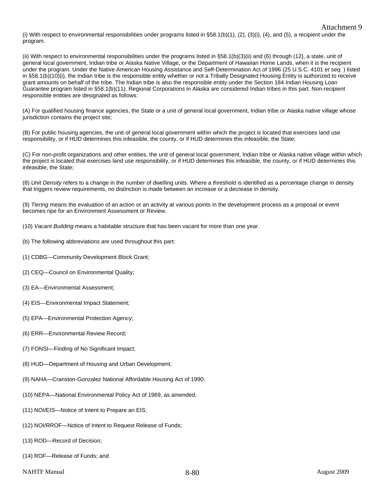(i) With respect to environmental responsibilities under programs listed in  $\S 58.1(b)(1)$ ,  $(2)$ ,  $(3)(i)$ ,  $(4)$ , and  $(5)$ , a recipient under the program.

(ii) With respect to environmental responsibilities under the programs listed in §58.1(b)(3)(ii) and (6) through (12), a state, unit of general local government, Indian tribe or Alaska Native Village, or the Department of Hawaiian Home Lands, when it is the recipient under the program. Under the Native American Housing Assistance and Self-Determination Act of 1996 (25 U.S.C. 4101 *et seq.* ) listed in §58.1(b)(10)(i), the Indian tribe is the responsible entity whether or not a Tribally Designated Housing Entity is authorized to receive grant amounts on behalf of the tribe. The Indian tribe is also the responsible entity under the Section 184 Indian Housing Loan Guarantee program listed in §58.1(b)(11). Regional Corporations in Alaska are considered Indian tribes in this part. Non-recipient responsible entities are designated as follows:

(A) For qualified housing finance agencies, the State or a unit of general local government, Indian tribe or Alaska native village whose jurisdiction contains the project site;

(B) For public housing agencies, the unit of general local government within which the project is located that exercises land use responsibility, or if HUD determines this infeasible, the county, or if HUD determines this infeasible, the State;

(C) For non-profit organizations and other entities, the unit of general local government, Indian tribe or Alaska native village within which the project is located that exercises land use responsibility, or if HUD determines this infeasible, the county, or if HUD determines this infeasible, the State;

(8) *Unit Density* refers to a change in the number of dwelling units. Where a threshold is identified as a percentage change in density that triggers review requirements, no distinction is made between an increase or a decrease in density.

(9) *Tiering* means the evaluation of an action or an activity at various points in the development process as a proposal or event becomes ripe for an Environment Assessment or Review.

(10) *Vacant Building* means a habitable structure that has been vacant for more than one year.

- (b) The following abbreviations are used throughout this part:
- (1) CDBG—Community Development Block Grant;
- (2) CEQ—Council on Environmental Quality;
- (3) EA—Environmental Assessment;
- (4) EIS—Environmental Impact Statement;
- (5) EPA—Environmental Protection Agency;
- (6) ERR—Environmental Review Record;
- (7) FONSI—Finding of No Significant Impact;
- (8) HUD—Department of Housing and Urban Development;
- (9) NAHA—Cranston-Gonzalez National Affordable Housing Act of 1990;
- (10) NEPA—National Environmental Policy Act of 1969, as amended;
- (11) NOI/EIS—Notice of Intent to Prepare an EIS;
- (12) NOI/RROF—Notice of Intent to Request Release of Funds;
- (13) ROD—Record of Decision;
- (14) ROF—Release of Funds; and
- NAHTF Manual 2009 and  $8-80$  and  $8-80$

Attachment 9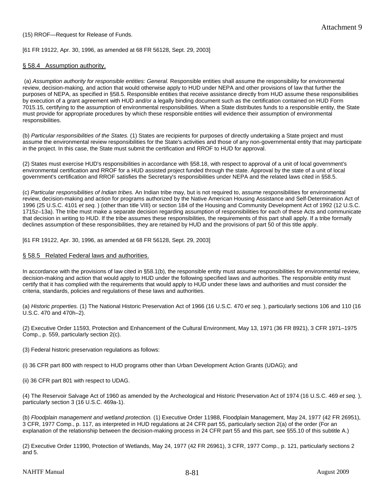[61 FR 19122, Apr. 30, 1996, as amended at 68 FR 56128, Sept. 29, 2003]

# § 58.4 Assumption authority.

 (a) *Assumption authority for responsible entities: General.* Responsible entities shall assume the responsibility for environmental review, decision-making, and action that would otherwise apply to HUD under NEPA and other provisions of law that further the purposes of NEPA, as specified in §58.5. Responsible entities that receive assistance directly from HUD assume these responsibilities by execution of a grant agreement with HUD and/or a legally binding document such as the certification contained on HUD Form 7015.15, certifying to the assumption of environmental responsibilities. When a State distributes funds to a responsible entity, the State must provide for appropriate procedures by which these responsible entities will evidence their assumption of environmental responsibilities.

(b) *Particular responsibilities of the States.* (1) States are recipients for purposes of directly undertaking a State project and must assume the environmental review responsibilities for the State's activities and those of any non-governmental entity that may participate in the project. In this case, the State must submit the certification and RROF to HUD for approval.

(2) States must exercise HUD's responsibilities in accordance with §58.18, with respect to approval of a unit of local government's environmental certification and RROF for a HUD assisted project funded through the state. Approval by the state of a unit of local government's certification and RROF satisfies the Secretary's responsibilities under NEPA and the related laws cited in §58.5.

(c) *Particular responsibilities of Indian tribes.* An Indian tribe may, but is not required to, assume responsibilities for environmental review, decision-making and action for programs authorized by the Native American Housing Assistance and Self-Determination Act of 1996 (25 U.S.C. 4101 *et seq.* ) (other than title VIII) or section 184 of the Housing and Community Development Act of 1992 (12 U.S.C. 1715z–13a). The tribe must make a separate decision regarding assumption of responsibilities for each of these Acts and communicate that decision in writing to HUD. If the tribe assumes these responsibilities, the requirements of this part shall apply. If a tribe formally declines assumption of these responsibilities, they are retained by HUD and the provisions of part 50 of this title apply.

[61 FR 19122, Apr. 30, 1996, as amended at 68 FR 56128, Sept. 29, 2003]

# § 58.5 Related Federal laws and authorities.

In accordance with the provisions of law cited in §58.1(b), the responsible entity must assume responsibilities for environmental review, decision-making and action that would apply to HUD under the following specified laws and authorities. The responsible entity must certify that it has complied with the requirements that would apply to HUD under these laws and authorities and must consider the criteria, standards, policies and regulations of these laws and authorities.

(a) *Historic properties.* (1) The National Historic Preservation Act of 1966 (16 U.S.C. 470 *et seq.* ), particularly sections 106 and 110 (16 U.S.C. 470 and 470h–2).

(2) Executive Order 11593, Protection and Enhancement of the Cultural Environment, May 13, 1971 (36 FR 8921), 3 CFR 1971–1975 Comp., p. 559, particularly section 2(c).

(3) Federal historic preservation regulations as follows:

(i) 36 CFR part 800 with respect to HUD programs other than Urban Development Action Grants (UDAG); and

(ii) 36 CFR part 801 with respect to UDAG.

(4) The Reservoir Salvage Act of 1960 as amended by the Archeological and Historic Preservation Act of 1974 (16 U.S.C. 469 *et seq.* ), particularly section 3 (16 U.S.C. 469a-1).

(b) *Floodplain management and wetland protection.* (1) Executive Order 11988, Floodplain Management, May 24, 1977 (42 FR 26951), 3 CFR, 1977 Comp., p. 117, as interpreted in HUD regulations at 24 CFR part 55, particularly section 2(a) of the order (For an explanation of the relationship between the decision-making process in 24 CFR part 55 and this part, see §55.10 of this subtitle A.)

(2) Executive Order 11990, Protection of Wetlands, May 24, 1977 (42 FR 26961), 3 CFR, 1977 Comp., p. 121, particularly sections 2 and 5.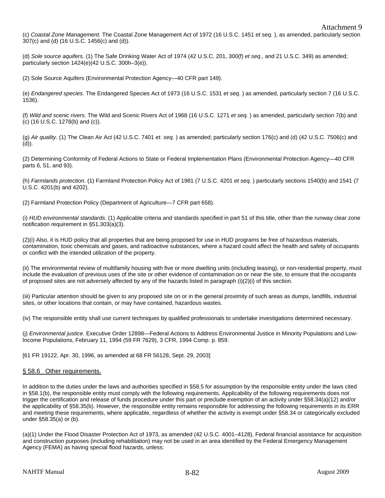(c) *Coastal Zone Management.* The Coastal Zone Management Act of 1972 (16 U.S.C. 1451 *et seq.* ), as amended, particularly section 307(c) and (d) (16 U.S.C. 1456(c) and (d)).

(d) *Sole source aquifers.* (1) The Safe Drinking Water Act of 1974 (42 U.S.C. 201, 300(f) *et seq.,* and 21 U.S.C. 349) as amended; particularly section 1424(e)(42 U.S.C. 300h–3(e)).

(2) Sole Source Aquifers (Environmental Protection Agency—40 CFR part 149).

(e) *Endangered species.* The Endangered Species Act of 1973 (16 U.S.C. 1531 *et seq.* ) as amended, particularly section 7 (16 U.S.C. 1536).

(f) *Wild and scenic rivers.* The Wild and Scenic Rivers Act of 1968 (16 U.S.C. 1271 *et seq.* ) as amended, particularly section 7(b) and (c) (16 U.S.C. 1278(b) and (c)).

(g) *Air quality.* (1) The Clean Air Act (42 U.S.C. 7401 *et. seq.* ) as amended; particularly section 176(c) and (d) (42 U.S.C. 7506(c) and (d)).

(2) Determining Conformity of Federal Actions to State or Federal Implementation Plans (Environmental Protection Agency—40 CFR parts 6, 51, and 93).

(h) *Farmlands protection.* (1) Farmland Protection Policy Act of 1981 (7 U.S.C. 4201 *et seq.* ) particularly sections 1540(b) and 1541 (7 U.S.C. 4201(b) and 4202).

(2) Farmland Protection Policy (Department of Agriculture—7 CFR part 658).

(i) *HUD environmental standards.* (1) Applicable criteria and standards specified in part 51 of this title, other than the runway clear zone notification requirement in §51.303(a)(3).

(2)(i) Also, it is HUD policy that all properties that are being proposed for use in HUD programs be free of hazardous materials, contamination, toxic chemicals and gases, and radioactive substances, where a hazard could affect the health and safety of occupants or conflict with the intended utilization of the property.

(ii) The environmental review of multifamily housing with five or more dwelling units (including leasing), or non-residential property, must include the evaluation of previous uses of the site or other evidence of contamination on or near the site, to ensure that the occupants of proposed sites are not adversely affected by any of the hazards listed in paragraph (i)(2)(i) of this section.

(iii) Particular attention should be given to any proposed site on or in the general proximity of such areas as dumps, landfills, industrial sites, or other locations that contain, or may have contained, hazardous wastes.

(iv) The responsible entity shall use current techniques by qualified professionals to undertake investigations determined necessary.

(j) *Environmental justice.* Executive Order 12898—Federal Actions to Address Environmental Justice in Minority Populations and Low-Income Populations, February 11, 1994 (59 FR 7629), 3 CFR, 1994 Comp. p. 859.

[61 FR 19122, Apr. 30, 1996, as amended at 68 FR 56128, Sept. 29, 2003]

# § 58.6 Other requirements.

In addition to the duties under the laws and authorities specified in §58.5 for assumption by the responsible entity under the laws cited in §58.1(b), the responsible entity must comply with the following requirements. Applicability of the following requirements does not trigger the certification and release of funds procedure under this part or preclude exemption of an activity under §58.34(a)(12) and/or the applicability of §58.35(b). However, the responsible entity remains responsible for addressing the following requirements in its ERR and meeting these requirements, where applicable, regardless of whether the activity is exempt under §58.34 or categorically excluded under §58.35(a) or (b).

(a)(1) Under the Flood Disaster Protection Act of 1973, as amended (42 U.S.C. 4001–4128), Federal financial assistance for acquisition and construction purposes (including rehabilitation) may not be used in an area identified by the Federal Emergency Management Agency (FEMA) as having special flood hazards, unless: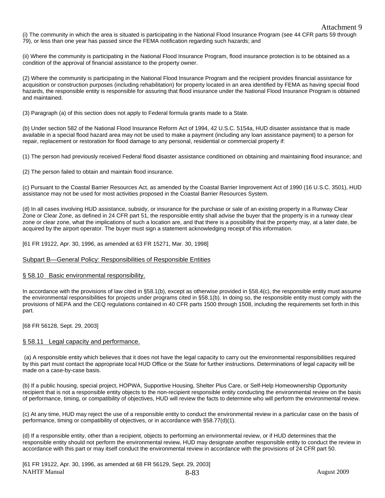(i) The community in which the area is situated is participating in the National Flood Insurance Program (see 44 CFR parts 59 through 79), or less than one year has passed since the FEMA notification regarding such hazards; and

(ii) Where the community is participating in the National Flood Insurance Program, flood insurance protection is to be obtained as a condition of the approval of financial assistance to the property owner.

(2) Where the community is participating in the National Flood Insurance Program and the recipient provides financial assistance for acquisition or construction purposes (including rehabilitation) for property located in an area identified by FEMA as having special flood hazards, the responsible entity is responsible for assuring that flood insurance under the National Flood Insurance Program is obtained and maintained.

(3) Paragraph (a) of this section does not apply to Federal formula grants made to a State.

(b) Under section 582 of the National Flood Insurance Reform Act of 1994, 42 U.S.C. 5154a, HUD disaster assistance that is made available in a special flood hazard area may not be used to make a payment (including any loan assistance payment) to a person for repair, replacement or restoration for flood damage to any personal, residential or commercial property if:

(1) The person had previously received Federal flood disaster assistance conditioned on obtaining and maintaining flood insurance; and

(2) The person failed to obtain and maintain flood insurance.

(c) Pursuant to the Coastal Barrier Resources Act, as amended by the Coastal Barrier Improvement Act of 1990 (16 U.S.C. 3501), HUD assistance may not be used for most activities proposed in the Coastal Barrier Resources System.

(d) In all cases involving HUD assistance, subsidy, or insurance for the purchase or sale of an existing property in a Runway Clear Zone or Clear Zone, as defined in 24 CFR part 51, the responsible entity shall advise the buyer that the property is in a runway clear zone or clear zone, what the implications of such a location are, and that there is a possibility that the property may, at a later date, be acquired by the airport operator. The buyer must sign a statement acknowledging receipt of this information.

[61 FR 19122, Apr. 30, 1996, as amended at 63 FR 15271, Mar. 30, 1998]

#### Subpart B—General Policy: Responsibilities of Responsible Entities

#### § 58.10 Basic environmental responsibility.

In accordance with the provisions of law cited in §58.1(b), except as otherwise provided in §58.4(c), the responsible entity must assume the environmental responsibilities for projects under programs cited in §58.1(b). In doing so, the responsible entity must comply with the provisions of NEPA and the CEQ regulations contained in 40 CFR parts 1500 through 1508, including the requirements set forth in this part.

[68 FR 56128, Sept. 29, 2003]

#### § 58.11 Legal capacity and performance.

 (a) A responsible entity which believes that it does not have the legal capacity to carry out the environmental responsibilities required by this part must contact the appropriate local HUD Office or the State for further instructions. Determinations of legal capacity will be made on a case-by-case basis.

(b) If a public housing, special project, HOPWA, Supportive Housing, Shelter Plus Care, or Self-Help Homeownership Opportunity recipient that is not a responsible entity objects to the non-recipient responsible entity conducting the environmental review on the basis of performance, timing, or compatibility of objectives, HUD will review the facts to determine who will perform the environmental review.

(c) At any time, HUD may reject the use of a responsible entity to conduct the environmental review in a particular case on the basis of performance, timing or compatibility of objectives, or in accordance with §58.77(d)(1).

(d) If a responsible entity, other than a recipient, objects to performing an environmental review, or if HUD determines that the responsible entity should not perform the environmental review, HUD may designate another responsible entity to conduct the review in accordance with this part or may itself conduct the environmental review in accordance with the provisions of 24 CFR part 50.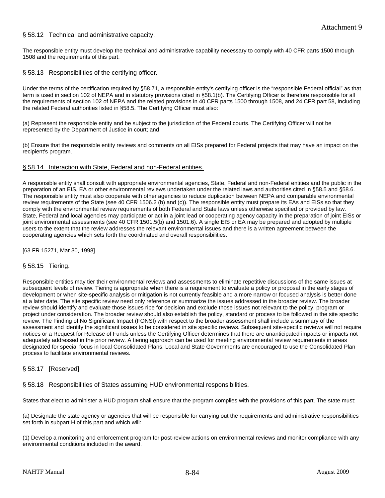# § 58.12 Technical and administrative capacity.

The responsible entity must develop the technical and administrative capability necessary to comply with 40 CFR parts 1500 through 1508 and the requirements of this part.

# § 58.13 Responsibilities of the certifying officer.

Under the terms of the certification required by §58.71, a responsible entity's certifying officer is the "responsible Federal official" as that term is used in section 102 of NEPA and in statutory provisions cited in §58.1(b). The Certifying Officer is therefore responsible for all the requirements of section 102 of NEPA and the related provisions in 40 CFR parts 1500 through 1508, and 24 CFR part 58, including the related Federal authorities listed in §58.5. The Certifying Officer must also:

(a) Represent the responsible entity and be subject to the jurisdiction of the Federal courts. The Certifying Officer will not be represented by the Department of Justice in court; and

(b) Ensure that the responsible entity reviews and comments on all EISs prepared for Federal projects that may have an impact on the recipient's program.

#### § 58.14 Interaction with State, Federal and non-Federal entities.

A responsible entity shall consult with appropriate environmental agencies, State, Federal and non-Federal entities and the public in the preparation of an EIS, EA or other environmental reviews undertaken under the related laws and authorities cited in §58.5 and §58.6. The responsible entity must also cooperate with other agencies to reduce duplication between NEPA and comparable environmental review requirements of the State (see 40 CFR 1506.2 (b) and (c)). The responsible entity must prepare its EAs and EISs so that they comply with the environmental review requirements of both Federal and State laws unless otherwise specified or provided by law. State, Federal and local agencies may participate or act in a joint lead or cooperating agency capacity in the preparation of joint EISs or joint environmental assessments (see 40 CFR 1501.5(b) and 1501.6). A single EIS or EA may be prepared and adopted by multiple users to the extent that the review addresses the relevant environmental issues and there is a written agreement between the cooperating agencies which sets forth the coordinated and overall responsibilities.

[63 FR 15271, Mar 30, 1998]

# § 58.15 Tiering.

Responsible entities may tier their environmental reviews and assessments to eliminate repetitive discussions of the same issues at subsequent levels of review. Tiering is appropriate when there is a requirement to evaluate a policy or proposal in the early stages of development or when site-specific analysis or mitigation is not currently feasible and a more narrow or focused analysis is better done at a later date. The site specific review need only reference or summarize the issues addressed in the broader review. The broader review should identify and evaluate those issues ripe for decision and exclude those issues not relevant to the policy, program or project under consideration. The broader review should also establish the policy, standard or process to be followed in the site specific review. The Finding of No Significant Impact (FONSI) with respect to the broader assessment shall include a summary of the assessment and identify the significant issues to be considered in site specific reviews. Subsequent site-specific reviews will not require notices or a Request for Release of Funds unless the Certifying Officer determines that there are unanticipated impacts or impacts not adequately addressed in the prior review. A tiering approach can be used for meeting environmental review requirements in areas designated for special focus in local Consolidated Plans. Local and State Governments are encouraged to use the Consolidated Plan process to facilitate environmental reviews.

#### § 58.17 [Reserved]

§ 58.18 Responsibilities of States assuming HUD environmental responsibilities.

States that elect to administer a HUD program shall ensure that the program complies with the provisions of this part. The state must:

(a) Designate the state agency or agencies that will be responsible for carrying out the requirements and administrative responsibilities set forth in subpart H of this part and which will:

(1) Develop a monitoring and enforcement program for post-review actions on environmental reviews and monitor compliance with any environmental conditions included in the award.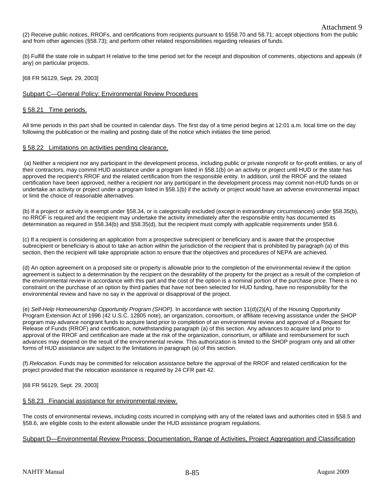(2) Receive public notices, RROFs, and certifications from recipients pursuant to §§58.70 and 58.71; accept objections from the public and from other agencies (§58.73); and perform other related responsibilities regarding releases of funds.

(b) Fulfill the state role in subpart H relative to the time period set for the receipt and disposition of comments, objections and appeals (if any) on particular projects.

[68 FR 56129, Sept. 29, 2003]

# Subpart C—General Policy: Environmental Review Procedures

# § 58.21 Time periods.

All time periods in this part shall be counted in calendar days. The first day of a time period begins at 12:01 a.m. local time on the day following the publication or the mailing and posting date of the notice which initiates the time period.

# § 58.22 Limitations on activities pending clearance.

 (a) Neither a recipient nor any participant in the development process, including public or private nonprofit or for-profit entities, or any of their contractors, may commit HUD assistance under a program listed in §58.1(b) on an activity or project until HUD or the state has approved the recipient's RROF and the related certification from the responsible entity. In addition, until the RROF and the related certification have been approved, neither a recipient nor any participant in the development process may commit non-HUD funds on or undertake an activity or project under a program listed in §58.1(b) if the activity or project would have an adverse environmental impact or limit the choice of reasonable alternatives.

(b) If a project or activity is exempt under §58.34, or is categorically excluded (except in extraordinary circumstances) under §58.35(b), no RROF is required and the recipient may undertake the activity immediately after the responsible entity has documented its determination as required in §58.34(b) and §58.35(d), but the recipient must comply with applicable requirements under §58.6.

(c) If a recipient is considering an application from a prospective subrecipient or beneficiary and is aware that the prospective subrecipient or beneficiary is about to take an action within the jurisdiction of the recipient that is prohibited by paragraph (a) of this section, then the recipient will take appropriate action to ensure that the objectives and procedures of NEPA are achieved.

(d) An option agreement on a proposed site or property is allowable prior to the completion of the environmental review if the option agreement is subject to a determination by the recipient on the desirability of the property for the project as a result of the completion of the environmental review in accordance with this part and the cost of the option is a nominal portion of the purchase price. There is no constraint on the purchase of an option by third parties that have not been selected for HUD funding, have no responsibility for the environmental review and have no say in the approval or disapproval of the project.

(e) *Self-Help Homeownership Opportunity Program (SHOP).* In accordance with section 11(d)(2)(A) of the Housing Opportunity Program Extension Act of 1996 (42 U.S.C. 12805 note), an organization, consortium, or affiliate receiving assistance under the SHOP program may advance nongrant funds to acquire land prior to completion of an environmental review and approval of a Request for Release of Funds (RROF) and certification, notwithstanding paragraph (a) of this section. Any advances to acquire land prior to approval of the RROF and certification are made at the risk of the organization, consortium, or affiliate and reimbursement for such advances may depend on the result of the environmental review. This authorization is limited to the SHOP program only and all other forms of HUD assistance are subject to the limitations in paragraph (a) of this section.

(f) *Relocation.* Funds may be committed for relocation assistance before the approval of the RROF and related certification for the project provided that the relocation assistance is required by 24 CFR part 42.

[68 FR 56129, Sept. 29, 2003]

# § 58.23 Financial assistance for environmental review.

The costs of environmental reviews, including costs incurred in complying with any of the related laws and authorities cited in §58.5 and §58.6, are eligible costs to the extent allowable under the HUD assistance program regulations.

#### Subpart D—Environmental Review Process: Documentation, Range of Activities, Project Aggregation and Classification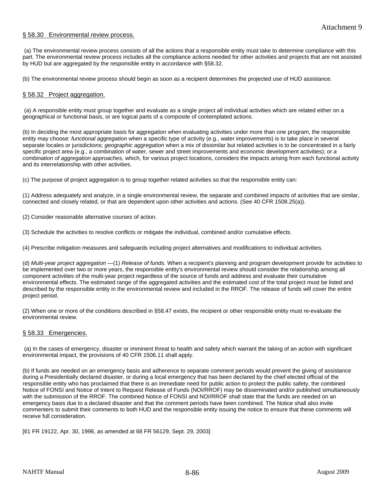# § 58.30 Environmental review process.

 (a) The environmental review process consists of all the actions that a responsible entity must take to determine compliance with this part. The environmental review process includes all the compliance actions needed for other activities and projects that are not assisted by HUD but are aggregated by the responsible entity in accordance with §58.32.

(b) The environmental review process should begin as soon as a recipient determines the projected use of HUD assistance.

#### § 58.32 Project aggregation.

 (a) A responsible entity must group together and evaluate as a single project all individual activities which are related either on a geographical or functional basis, or are logical parts of a composite of contemplated actions.

(b) In deciding the most appropriate basis for aggregation when evaluating activities under more than one program, the responsible entity may choose: *functional aggregation* when a specific type of activity (e.g., water improvements) is to take place in several separate locales or jurisdictions; *geographic aggregation* when a mix of dissimilar but related activities is to be concentrated in a fairly specific project area (e.g., a combination of water, sewer and street improvements and economic development activities); or *a combination of aggregation approaches,* which, for various project locations, considers the impacts arising from each functional activity and its interrelationship with other activities.

(c) The purpose of project aggregation is to group together related activities so that the responsible entity can:

(1) Address adequately and analyze, in a single environmental review, the separate and combined impacts of activities that are similar, connected and closely related, or that are dependent upon other activities and actions. (See 40 CFR 1508.25(a)).

(2) Consider reasonable alternative courses of action.

(3) Schedule the activities to resolve conflicts or mitigate the individual, combined and/or cumulative effects.

(4) Prescribe mitigation measures and safeguards including project alternatives and modifications to individual activities.

(d) *Multi-year project aggregation* —(1) *Release of funds.* When a recipient's planning and program development provide for activities to be implemented over two or more years, the responsible entity's environmental review should consider the relationship among all component activities of the multi-year project regardless of the source of funds and address and evaluate their cumulative environmental effects. The estimated range of the aggregated activities and the estimated cost of the total project must be listed and described by the responsible entity in the environmental review and included in the RROF. The release of funds will cover the entire project period.

(2) When one or more of the conditions described in §58.47 exists, the recipient or other responsible entity must re-evaluate the environmental review.

#### § 58.33 Emergencies.

 (a) In the cases of emergency, disaster or imminent threat to health and safety which warrant the taking of an action with significant environmental impact, the provisions of 40 CFR 1506.11 shall apply.

(b) If funds are needed on an emergency basis and adherence to separate comment periods would prevent the giving of assistance during a Presidentially declared disaster, or during a local emergency that has been declared by the chief elected official of the responsible entity who has proclaimed that there is an immediate need for public action to protect the public safety, the combined Notice of FONSI and Notice of Intent to Request Release of Funds (NOI/RROF) may be disseminated and/or published simultaneously with the submission of the RROF. The combined Notice of FONSI and NOI/RROF shall state that the funds are needed on an emergency basis due to a declared disaster and that the comment periods have been combined. The Notice shall also invite commenters to submit their comments to both HUD and the responsible entity issuing the notice to ensure that these comments will receive full consideration.

[61 FR 19122, Apr. 30, 1996, as amended at 68 FR 56129, Sept. 29, 2003]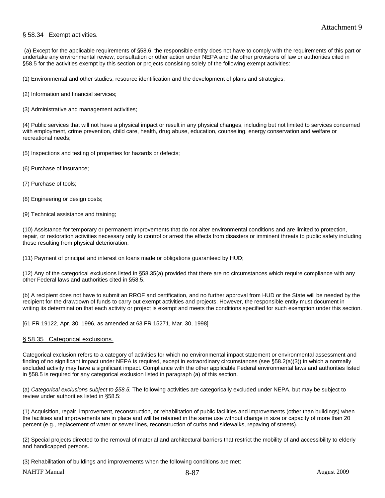# § 58.34 Exempt activities.

 (a) Except for the applicable requirements of §58.6, the responsible entity does not have to comply with the requirements of this part or undertake any environmental review, consultation or other action under NEPA and the other provisions of law or authorities cited in §58.5 for the activities exempt by this section or projects consisting solely of the following exempt activities:

(1) Environmental and other studies, resource identification and the development of plans and strategies;

(2) Information and financial services;

(3) Administrative and management activities;

(4) Public services that will not have a physical impact or result in any physical changes, including but not limited to services concerned with employment, crime prevention, child care, health, drug abuse, education, counseling, energy conservation and welfare or recreational needs;

(5) Inspections and testing of properties for hazards or defects;

- (6) Purchase of insurance;
- (7) Purchase of tools;
- (8) Engineering or design costs;
- (9) Technical assistance and training;

(10) Assistance for temporary or permanent improvements that do not alter environmental conditions and are limited to protection, repair, or restoration activities necessary only to control or arrest the effects from disasters or imminent threats to public safety including those resulting from physical deterioration;

(11) Payment of principal and interest on loans made or obligations guaranteed by HUD;

(12) Any of the categorical exclusions listed in §58.35(a) provided that there are no circumstances which require compliance with any other Federal laws and authorities cited in §58.5.

(b) A recipient does not have to submit an RROF and certification, and no further approval from HUD or the State will be needed by the recipient for the drawdown of funds to carry out exempt activities and projects. However, the responsible entity must document in writing its determination that each activity or project is exempt and meets the conditions specified for such exemption under this section.

[61 FR 19122, Apr. 30, 1996, as amended at 63 FR 15271, Mar. 30, 1998]

#### § 58.35 Categorical exclusions.

Categorical exclusion refers to a category of activities for which no environmental impact statement or environmental assessment and finding of no significant impact under NEPA is required, except in extraordinary circumstances (see §58.2(a)(3)) in which a normally excluded activity may have a significant impact. Compliance with the other applicable Federal environmental laws and authorities listed in §58.5 is required for any categorical exclusion listed in paragraph (a) of this section.

(a) *Categorical exclusions subject to §58.5.* The following activities are categorically excluded under NEPA, but may be subject to review under authorities listed in §58.5:

(1) Acquisition, repair, improvement, reconstruction, or rehabilitation of public facilities and improvements (other than buildings) when the facilities and improvements are in place and will be retained in the same use without change in size or capacity of more than 20 percent (e.g., replacement of water or sewer lines, reconstruction of curbs and sidewalks, repaving of streets).

(2) Special projects directed to the removal of material and architectural barriers that restrict the mobility of and accessibility to elderly and handicapped persons.

(3) Rehabilitation of buildings and improvements when the following conditions are met:

NAHTF Manual 2009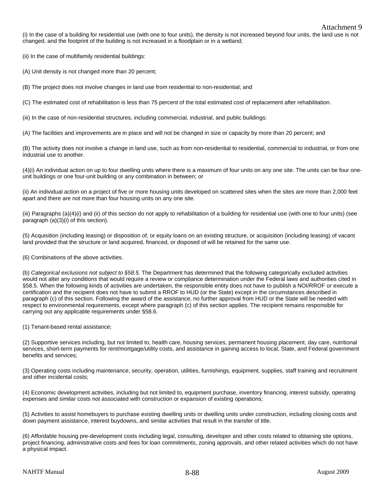(i) In the case of a building for residential use (with one to four units), the density is not increased beyond four units, the land use is not changed, and the footprint of the building is not increased in a floodplain or in a wetland;

(ii) In the case of multifamily residential buildings:

(A) Unit density is not changed more than 20 percent;

(B) The project does not involve changes in land use from residential to non-residential; and

(C) The estimated cost of rehabilitation is less than 75 percent of the total estimated cost of replacement after rehabilitation.

(iii) In the case of non-residential structures, including commercial, industrial, and public buildings:

(A) The facilities and improvements are in place and will not be changed in size or capacity by more than 20 percent; and

(B) The activity does not involve a change in land use, such as from non-residential to residential, commercial to industrial, or from one industrial use to another.

(4)(i) An individual action on up to four dwelling units where there is a maximum of four units on any one site. The units can be four oneunit buildings or one four-unit building or any combination in between; or

(ii) An individual action on a project of five or more housing units developed on scattered sites when the sites are more than 2,000 feet apart and there are not more than four housing units on any one site.

(iii) Paragraphs (a)(4)(i) and (ii) of this section do not apply to rehabilitation of a building for residential use (with one to four units) (see paragraph (a)(3)(i) of this section).

(5) Acquisition (including leasing) or disposition of, or equity loans on an existing structure, or acquisition (including leasing) of vacant land provided that the structure or land acquired, financed, or disposed of will be retained for the same use.

(6) Combinations of the above activities.

(b) *Categorical exclusions not subject to §58.5.* The Department has determined that the following categorically excluded activities would not alter any conditions that would require a review or compliance determination under the Federal laws and authorities cited in §58.5. When the following kinds of activities are undertaken, the responsible entity does not have to publish a NOI/RROF or execute a certification and the recipient does not have to submit a RROF to HUD (or the State) except in the circumstances described in paragraph (c) of this section. Following the award of the assistance, no further approval from HUD or the State will be needed with respect to environmental requirements, except where paragraph (c) of this section applies. The recipient remains responsible for carrying out any applicable requirements under §58.6.

(1) Tenant-based rental assistance;

(2) Supportive services including, but not limited to, health care, housing services, permanent housing placement, day care, nutritional services, short-term payments for rent/mortgage/utility costs, and assistance in gaining access to local, State, and Federal government benefits and services;

(3) Operating costs including maintenance, security, operation, utilities, furnishings, equipment, supplies, staff training and recruitment and other incidental costs;

(4) Economic development activities, including but not limited to, equipment purchase, inventory financing, interest subsidy, operating expenses and similar costs not associated with construction or expansion of existing operations;

(5) Activities to assist homebuyers to purchase existing dwelling units or dwelling units under construction, including closing costs and down payment assistance, interest buydowns, and similar activities that result in the transfer of title.

(6) Affordable housing pre-development costs including legal, consulting, developer and other costs related to obtaining site options, project financing, administrative costs and fees for loan commitments, zoning approvals, and other related activities which do not have a physical impact.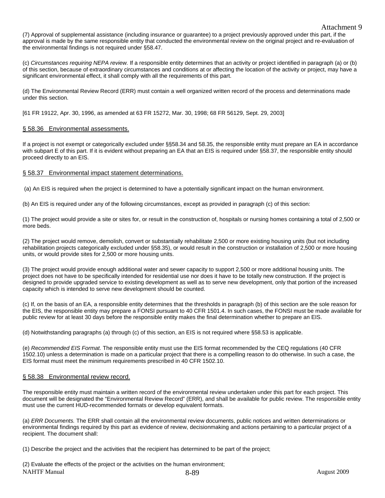(7) Approval of supplemental assistance (including insurance or guarantee) to a project previously approved under this part, if the approval is made by the same responsible entity that conducted the environmental review on the original project and re-evaluation of the environmental findings is not required under §58.47.

(c) *Circumstances requiring NEPA review.* If a responsible entity determines that an activity or project identified in paragraph (a) or (b) of this section, because of extraordinary circumstances and conditions at or affecting the location of the activity or project, may have a significant environmental effect, it shall comply with all the requirements of this part.

(d) The Environmental Review Record (ERR) must contain a well organized written record of the process and determinations made under this section.

[61 FR 19122, Apr. 30, 1996, as amended at 63 FR 15272, Mar. 30, 1998; 68 FR 56129, Sept. 29, 2003]

#### § 58.36 Environmental assessments.

If a project is not exempt or categorically excluded under §§58.34 and 58.35, the responsible entity must prepare an EA in accordance with subpart E of this part. If it is evident without preparing an EA that an EIS is required under §58.37, the responsible entity should proceed directly to an EIS.

# § 58.37 Environmental impact statement determinations.

(a) An EIS is required when the project is determined to have a potentially significant impact on the human environment.

(b) An EIS is required under any of the following circumstances, except as provided in paragraph (c) of this section:

(1) The project would provide a site or sites for, or result in the construction of, hospitals or nursing homes containing a total of 2,500 or more beds.

(2) The project would remove, demolish, convert or substantially rehabilitate 2,500 or more existing housing units (but not including rehabilitation projects categorically excluded under §58.35), or would result in the construction or installation of 2,500 or more housing units, or would provide sites for 2,500 or more housing units.

(3) The project would provide enough additional water and sewer capacity to support 2,500 or more additional housing units. The project does not have to be specifically intended for residential use nor does it have to be totally new construction. If the project is designed to provide upgraded service to existing development as well as to serve new development, only that portion of the increased capacity which is intended to serve new development should be counted.

(c) If, on the basis of an EA, a responsible entity determines that the thresholds in paragraph (b) of this section are the sole reason for the EIS, the responsible entity may prepare a FONSI pursuant to 40 CFR 1501.4. In such cases, the FONSI must be made available for public review for at least 30 days before the responsible entity makes the final determination whether to prepare an EIS.

(d) Notwithstanding paragraphs (a) through (c) of this section, an EIS is not required where §58.53 is applicable.

(e) *Recommended EIS Format.* The responsible entity must use the EIS format recommended by the CEQ regulations (40 CFR 1502.10) unless a determination is made on a particular project that there is a compelling reason to do otherwise. In such a case, the EIS format must meet the minimum requirements prescribed in 40 CFR 1502.10.

# § 58.38 Environmental review record.

The responsible entity must maintain a written record of the environmental review undertaken under this part for each project. This document will be designated the "Environmental Review Record" (ERR), and shall be available for public review. The responsible entity must use the current HUD-recommended formats or develop equivalent formats.

(a) *ERR Documents.* The ERR shall contain all the environmental review documents, public notices and written determinations or environmental findings required by this part as evidence of review, decisionmaking and actions pertaining to a particular project of a recipient. The document shall:

(1) Describe the project and the activities that the recipient has determined to be part of the project;

NAHTF Manual 2009 and 3-89 and 3-89 and 3-89 and 3-89 and 3-89 and 3-89 and 3-89 and 3-89 and 3-89 and 3-89 and 3-89 and 3-89 and 3-89 and 3-89 and 3-89 and 3-89 and 3-89 and 3-89 and 3-89 and 3-89 and 3-89 and 3-89 and 3-(2) Evaluate the effects of the project or the activities on the human environment;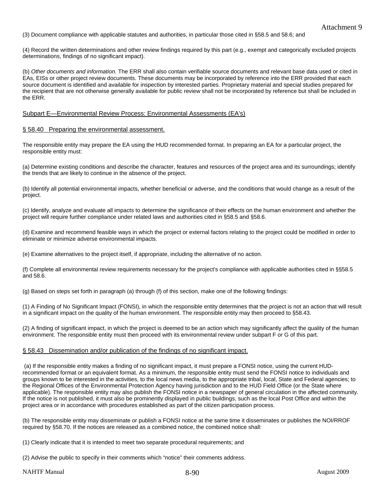(3) Document compliance with applicable statutes and authorities, in particular those cited in §58.5 and 58.6; and

(4) Record the written determinations and other review findings required by this part (e.g., exempt and categorically excluded projects determinations, findings of no significant impact).

(b) *Other documents and information.* The ERR shall also contain verifiable source documents and relevant base data used or cited in EAs, EISs or other project review documents. These documents may be incorporated by reference into the ERR provided that each source document is identified and available for inspection by interested parties. Proprietary material and special studies prepared for the recipient that are not otherwise generally available for public review shall not be incorporated by reference but shall be included in the ERR.

#### Subpart E—Environmental Review Process: Environmental Assessments (EA's)

#### § 58.40 Preparing the environmental assessment.

The responsible entity may prepare the EA using the HUD recommended format. In preparing an EA for a particular project, the responsible entity must:

(a) Determine existing conditions and describe the character, features and resources of the project area and its surroundings; identify the trends that are likely to continue in the absence of the project.

(b) Identify all potential environmental impacts, whether beneficial or adverse, and the conditions that would change as a result of the project.

(c) Identify, analyze and evaluate all impacts to determine the significance of their effects on the human environment and whether the project will require further compliance under related laws and authorities cited in §58.5 and §58.6.

(d) Examine and recommend feasible ways in which the project or external factors relating to the project could be modified in order to eliminate or minimize adverse environmental impacts.

(e) Examine alternatives to the project itself, if appropriate, including the alternative of no action.

(f) Complete all environmental review requirements necessary for the project's compliance with applicable authorities cited in §§58.5 and 58.6.

(g) Based on steps set forth in paragraph (a) through (f) of this section, make one of the following findings:

(1) A Finding of No Significant Impact (FONSI), in which the responsible entity determines that the project is not an action that will result in a significant impact on the quality of the human environment. The responsible entity may then proceed to §58.43.

(2) A finding of significant impact, in which the project is deemed to be an action which may significantly affect the quality of the human environment. The responsible entity must then proceed with its environmental review under subpart F or G of this part.

#### § 58.43 Dissemination and/or publication of the findings of no significant impact.

 (a) If the responsible entity makes a finding of no significant impact, it must prepare a FONSI notice, using the current HUDrecommended format or an equivalent format. As a minimum, the responsible entity must send the FONSI notice to individuals and groups known to be interested in the activities, to the local news media, to the appropriate tribal, local, State and Federal agencies; to the Regional Offices of the Environmental Protection Agency having jurisdiction and to the HUD Field Office (or the State where applicable). The responsible entity may also publish the FONSI notice in a newspaper of general circulation in the affected community. If the notice is not published, it must also be prominently displayed in public buildings, such as the local Post Office and within the project area or in accordance with procedures established as part of the citizen participation process.

(b) The responsible entity may disseminate or publish a FONSI notice at the same time it disseminates or publishes the NOI/RROF required by §58.70. If the notices are released as a combined notice, the combined notice shall:

(1) Clearly indicate that it is intended to meet two separate procedural requirements; and

(2) Advise the public to specify in their comments which "notice" their comments address.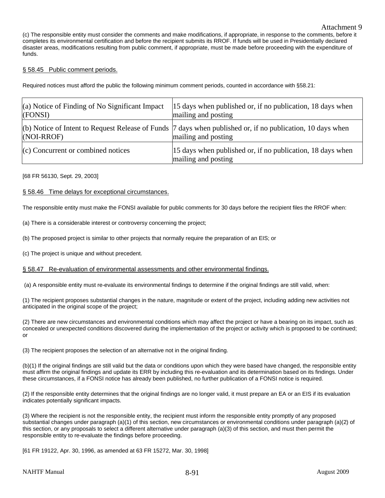(c) The responsible entity must consider the comments and make modifications, if appropriate, in response to the comments, before it completes its environmental certification and before the recipient submits its RROF. If funds will be used in Presidentially declared disaster areas, modifications resulting from public comment, if appropriate, must be made before proceeding with the expenditure of funds.

# § 58.45 Public comment periods.

Required notices must afford the public the following minimum comment periods, counted in accordance with §58.21:

| (a) Notice of Finding of No Significant Impact<br>(FONSI) | 15 days when published or, if no publication, 18 days when<br>mailing and posting                                                             |
|-----------------------------------------------------------|-----------------------------------------------------------------------------------------------------------------------------------------------|
| $(NOI-RROF)$                                              | (b) Notice of Intent to Request Release of Funds $\frac{1}{7}$ days when published or, if no publication, 10 days when<br>mailing and posting |
| $(c)$ Concurrent or combined notices                      | 15 days when published or, if no publication, 18 days when<br>mailing and posting                                                             |

#### [68 FR 56130, Sept. 29, 2003]

# § 58.46 Time delays for exceptional circumstances.

The responsible entity must make the FONSI available for public comments for 30 days before the recipient files the RROF when:

(a) There is a considerable interest or controversy concerning the project;

(b) The proposed project is similar to other projects that normally require the preparation of an EIS; or

(c) The project is unique and without precedent.

# § 58.47 Re-evaluation of environmental assessments and other environmental findings.

(a) A responsible entity must re-evaluate its environmental findings to determine if the original findings are still valid, when:

(1) The recipient proposes substantial changes in the nature, magnitude or extent of the project, including adding new activities not anticipated in the original scope of the project;

(2) There are new circumstances and environmental conditions which may affect the project or have a bearing on its impact, such as concealed or unexpected conditions discovered during the implementation of the project or activity which is proposed to be continued; or

(3) The recipient proposes the selection of an alternative not in the original finding.

(b)(1) If the original findings are still valid but the data or conditions upon which they were based have changed, the responsible entity must affirm the original findings and update its ERR by including this re-evaluation and its determination based on its findings. Under these circumstances, if a FONSI notice has already been published, no further publication of a FONSI notice is required.

(2) If the responsible entity determines that the original findings are no longer valid, it must prepare an EA or an EIS if its evaluation indicates potentially significant impacts.

(3) Where the recipient is not the responsible entity, the recipient must inform the responsible entity promptly of any proposed substantial changes under paragraph (a)(1) of this section, new circumstances or environmental conditions under paragraph (a)(2) of this section, or any proposals to select a different alternative under paragraph (a)(3) of this section, and must then permit the responsible entity to re-evaluate the findings before proceeding.

[61 FR 19122, Apr. 30, 1996, as amended at 63 FR 15272, Mar. 30, 1998]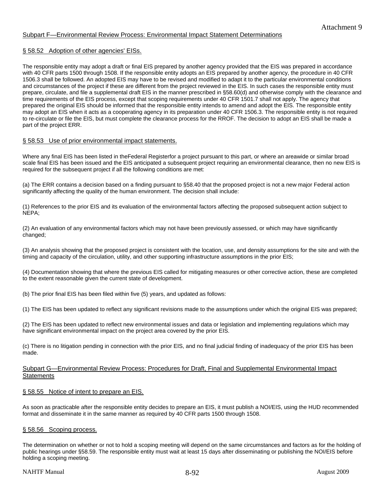# Subpart F—Environmental Review Process: Environmental Impact Statement Determinations

# § 58.52 Adoption of other agencies' EISs.

The responsible entity may adopt a draft or final EIS prepared by another agency provided that the EIS was prepared in accordance with 40 CFR parts 1500 through 1508. If the responsible entity adopts an EIS prepared by another agency, the procedure in 40 CFR 1506.3 shall be followed. An adopted EIS may have to be revised and modified to adapt it to the particular environmental conditions and circumstances of the project if these are different from the project reviewed in the EIS. In such cases the responsible entity must prepare, circulate, and file a supplemental draft EIS in the manner prescribed in §58.60(d) and otherwise comply with the clearance and time requirements of the EIS process, except that scoping requirements under 40 CFR 1501.7 shall not apply. The agency that prepared the original EIS should be informed that the responsible entity intends to amend and adopt the EIS. The responsible entity may adopt an EIS when it acts as a cooperating agency in its preparation under 40 CFR 1506.3. The responsible entity is not required to re-circulate or file the EIS, but must complete the clearance process for the RROF. The decision to adopt an EIS shall be made a part of the project ERR.

# § 58.53 Use of prior environmental impact statements.

Where any final EIS has been listed in theFederal Registerfor a project pursuant to this part, or where an areawide or similar broad scale final EIS has been issued and the EIS anticipated a subsequent project requiring an environmental clearance, then no new EIS is required for the subsequent project if all the following conditions are met:

(a) The ERR contains a decision based on a finding pursuant to §58.40 that the proposed project is not a new major Federal action significantly affecting the quality of the human environment. The decision shall include:

(1) References to the prior EIS and its evaluation of the environmental factors affecting the proposed subsequent action subject to NEPA;

(2) An evaluation of any environmental factors which may not have been previously assessed, or which may have significantly changed;

(3) An analysis showing that the proposed project is consistent with the location, use, and density assumptions for the site and with the timing and capacity of the circulation, utility, and other supporting infrastructure assumptions in the prior EIS;

(4) Documentation showing that where the previous EIS called for mitigating measures or other corrective action, these are completed to the extent reasonable given the current state of development.

(b) The prior final EIS has been filed within five (5) years, and updated as follows:

(1) The EIS has been updated to reflect any significant revisions made to the assumptions under which the original EIS was prepared;

(2) The EIS has been updated to reflect new environmental issues and data or legislation and implementing regulations which may have significant environmental impact on the project area covered by the prior EIS.

(c) There is no litigation pending in connection with the prior EIS, and no final judicial finding of inadequacy of the prior EIS has been made.

# Subpart G—Environmental Review Process: Procedures for Draft, Final and Supplemental Environmental Impact **Statements**

# § 58.55 Notice of intent to prepare an EIS.

As soon as practicable after the responsible entity decides to prepare an EIS, it must publish a NOI/EIS, using the HUD recommended format and disseminate it in the same manner as required by 40 CFR parts 1500 through 1508.

# § 58.56 Scoping process.

The determination on whether or not to hold a scoping meeting will depend on the same circumstances and factors as for the holding of public hearings under §58.59. The responsible entity must wait at least 15 days after disseminating or publishing the NOI/EIS before holding a scoping meeting.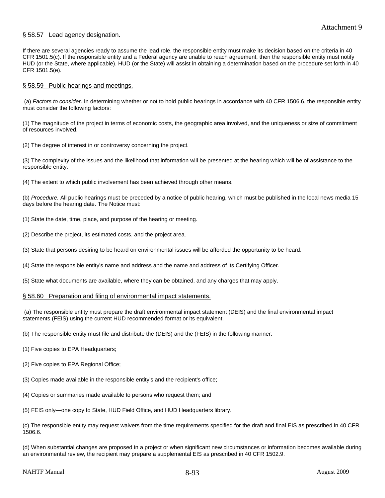# § 58.57 Lead agency designation.

If there are several agencies ready to assume the lead role, the responsible entity must make its decision based on the criteria in 40 CFR 1501.5(c). If the responsible entity and a Federal agency are unable to reach agreement, then the responsible entity must notify HUD (or the State, where applicable). HUD (or the State) will assist in obtaining a determination based on the procedure set forth in 40 CFR 1501.5(e).

#### § 58.59 Public hearings and meetings.

 (a) *Factors to consider.* In determining whether or not to hold public hearings in accordance with 40 CFR 1506.6, the responsible entity must consider the following factors:

(1) The magnitude of the project in terms of economic costs, the geographic area involved, and the uniqueness or size of commitment of resources involved.

(2) The degree of interest in or controversy concerning the project.

(3) The complexity of the issues and the likelihood that information will be presented at the hearing which will be of assistance to the responsible entity.

(4) The extent to which public involvement has been achieved through other means.

(b) *Procedure.* All public hearings must be preceded by a notice of public hearing, which must be published in the local news media 15 days before the hearing date. The Notice must:

(1) State the date, time, place, and purpose of the hearing or meeting.

(2) Describe the project, its estimated costs, and the project area.

(3) State that persons desiring to be heard on environmental issues will be afforded the opportunity to be heard.

(4) State the responsible entity's name and address and the name and address of its Certifying Officer.

(5) State what documents are available, where they can be obtained, and any charges that may apply.

#### § 58.60 Preparation and filing of environmental impact statements.

 (a) The responsible entity must prepare the draft environmental impact statement (DEIS) and the final environmental impact statements (FEIS) using the current HUD recommended format or its equivalent.

(b) The responsible entity must file and distribute the (DEIS) and the (FEIS) in the following manner:

- (1) Five copies to EPA Headquarters;
- (2) Five copies to EPA Regional Office;
- (3) Copies made available in the responsible entity's and the recipient's office;
- (4) Copies or summaries made available to persons who request them; and
- (5) FEIS only—one copy to State, HUD Field Office, and HUD Headquarters library.

(c) The responsible entity may request waivers from the time requirements specified for the draft and final EIS as prescribed in 40 CFR 1506.6.

(d) When substantial changes are proposed in a project or when significant new circumstances or information becomes available during an environmental review, the recipient may prepare a supplemental EIS as prescribed in 40 CFR 1502.9.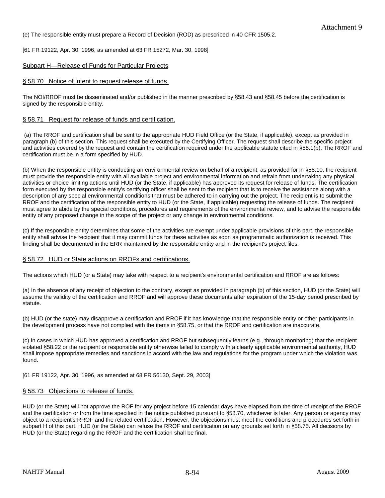(e) The responsible entity must prepare a Record of Decision (ROD) as prescribed in 40 CFR 1505.2.

[61 FR 19122, Apr. 30, 1996, as amended at 63 FR 15272, Mar. 30, 1998]

# Subpart H—Release of Funds for Particular Projects

#### § 58.70 Notice of intent to request release of funds.

The NOI/RROF must be disseminated and/or published in the manner prescribed by §58.43 and §58.45 before the certification is signed by the responsible entity.

#### § 58.71 Request for release of funds and certification.

 (a) The RROF and certification shall be sent to the appropriate HUD Field Office (or the State, if applicable), except as provided in paragraph (b) of this section. This request shall be executed by the Certifying Officer. The request shall describe the specific project and activities covered by the request and contain the certification required under the applicable statute cited in §58.1(b). The RROF and certification must be in a form specified by HUD.

(b) When the responsible entity is conducting an environmental review on behalf of a recipient, as provided for in §58.10, the recipient must provide the responsible entity with all available project and environmental information and refrain from undertaking any physical activities or choice limiting actions until HUD (or the State, if applicable) has approved its request for release of funds. The certification form executed by the responsible entity's certifying officer shall be sent to the recipient that is to receive the assistance along with a description of any special environmental conditions that must be adhered to in carrying out the project. The recipient is to submit the RROF and the certification of the responsible entity to HUD (or the State, if applicable) requesting the release of funds. The recipient must agree to abide by the special conditions, procedures and requirements of the environmental review, and to advise the responsible entity of any proposed change in the scope of the project or any change in environmental conditions.

(c) If the responsible entity determines that some of the activities are exempt under applicable provisions of this part, the responsible entity shall advise the recipient that it may commit funds for these activities as soon as programmatic authorization is received. This finding shall be documented in the ERR maintained by the responsible entity and in the recipient's project files.

#### § 58.72 HUD or State actions on RROFs and certifications.

The actions which HUD (or a State) may take with respect to a recipient's environmental certification and RROF are as follows:

(a) In the absence of any receipt of objection to the contrary, except as provided in paragraph (b) of this section, HUD (or the State) will assume the validity of the certification and RROF and will approve these documents after expiration of the 15-day period prescribed by statute.

(b) HUD (or the state) may disapprove a certification and RROF if it has knowledge that the responsible entity or other participants in the development process have not complied with the items in §58.75, or that the RROF and certification are inaccurate.

(c) In cases in which HUD has approved a certification and RROF but subsequently learns (e.g., through monitoring) that the recipient violated §58.22 or the recipient or responsible entity otherwise failed to comply with a clearly applicable environmental authority, HUD shall impose appropriate remedies and sanctions in accord with the law and regulations for the program under which the violation was found.

[61 FR 19122, Apr. 30, 1996, as amended at 68 FR 56130, Sept. 29, 2003]

#### § 58.73 Objections to release of funds.

HUD (or the State) will not approve the ROF for any project before 15 calendar days have elapsed from the time of receipt of the RROF and the certification or from the time specified in the notice published pursuant to §58.70, whichever is later. Any person or agency may object to a recipient's RROF and the related certification. However, the objections must meet the conditions and procedures set forth in subpart H of this part. HUD (or the State) can refuse the RROF and certification on any grounds set forth in §58.75. All decisions by HUD (or the State) regarding the RROF and the certification shall be final.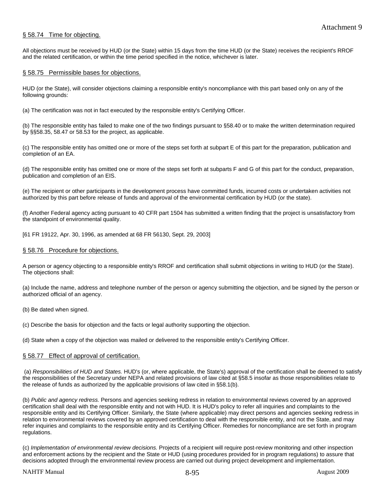# § 58.74 Time for objecting.

All objections must be received by HUD (or the State) within 15 days from the time HUD (or the State) receives the recipient's RROF and the related certification, or within the time period specified in the notice, whichever is later.

#### § 58.75 Permissible bases for objections.

HUD (or the State), will consider objections claiming a responsible entity's noncompliance with this part based only on any of the following grounds:

(a) The certification was not in fact executed by the responsible entity's Certifying Officer.

(b) The responsible entity has failed to make one of the two findings pursuant to §58.40 or to make the written determination required by §§58.35, 58.47 or 58.53 for the project, as applicable.

(c) The responsible entity has omitted one or more of the steps set forth at subpart E of this part for the preparation, publication and completion of an EA.

(d) The responsible entity has omitted one or more of the steps set forth at subparts F and G of this part for the conduct, preparation, publication and completion of an EIS.

(e) The recipient or other participants in the development process have committed funds, incurred costs or undertaken activities not authorized by this part before release of funds and approval of the environmental certification by HUD (or the state).

(f) Another Federal agency acting pursuant to 40 CFR part 1504 has submitted a written finding that the project is unsatisfactory from the standpoint of environmental quality.

[61 FR 19122, Apr. 30, 1996, as amended at 68 FR 56130, Sept. 29, 2003]

#### § 58.76 Procedure for objections.

A person or agency objecting to a responsible entity's RROF and certification shall submit objections in writing to HUD (or the State). The objections shall:

(a) Include the name, address and telephone number of the person or agency submitting the objection, and be signed by the person or authorized official of an agency.

(b) Be dated when signed.

(c) Describe the basis for objection and the facts or legal authority supporting the objection.

(d) State when a copy of the objection was mailed or delivered to the responsible entity's Certifying Officer.

#### § 58.77 Effect of approval of certification.

 (a) *Responsibilities of HUD and States.* HUD's (or, where applicable, the State's) approval of the certification shall be deemed to satisfy the responsibilities of the Secretary under NEPA and related provisions of law cited at §58.5 insofar as those responsibilities relate to the release of funds as authorized by the applicable provisions of law cited in §58.1(b).

(b) *Public and agency redress.* Persons and agencies seeking redress in relation to environmental reviews covered by an approved certification shall deal with the responsible entity and not with HUD. It is HUD's policy to refer all inquiries and complaints to the responsible entity and its Certifying Officer. Similarly, the State (where applicable) may direct persons and agencies seeking redress in relation to environmental reviews covered by an approved certification to deal with the responsible entity, and not the State, and may refer inquiries and complaints to the responsible entity and its Certifying Officer. Remedies for noncompliance are set forth in program regulations.

(c) *Implementation of environmental review decisions.* Projects of a recipient will require post-review monitoring and other inspection and enforcement actions by the recipient and the State or HUD (using procedures provided for in program regulations) to assure that decisions adopted through the environmental review process are carried out during project development and implementation.